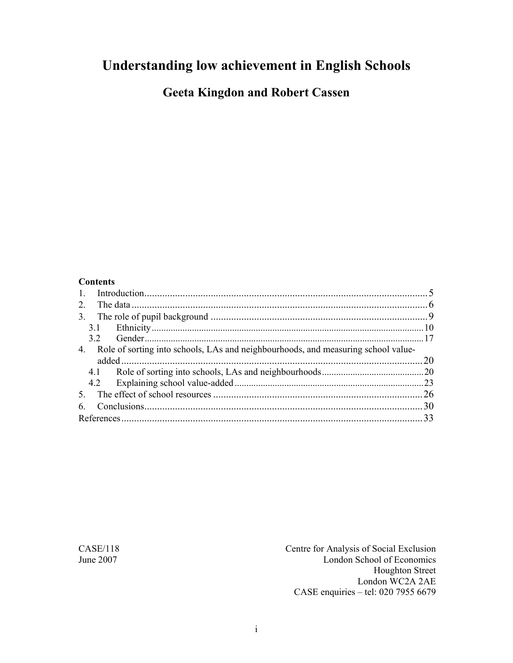# **Understanding low achievement in English Schools**

**Geeta Kingdon and Robert Cassen** 

#### **Contents**

| $\mathbf{1}$   |                                                                                   |    |
|----------------|-----------------------------------------------------------------------------------|----|
| 2              |                                                                                   |    |
| 3 <sub>1</sub> |                                                                                   |    |
|                |                                                                                   |    |
|                | 32                                                                                |    |
| 4.             | Role of sorting into schools, LAs and neighbourhoods, and measuring school value- |    |
|                |                                                                                   | 20 |
|                |                                                                                   |    |
|                |                                                                                   | 23 |
|                |                                                                                   | 26 |
| 6              |                                                                                   |    |
|                |                                                                                   | 33 |

CASE/118 Centre for Analysis of Social Exclusion June 2007 London School of Economics Houghton Street London WC2A 2AE CASE enquiries – tel: 020 7955 6679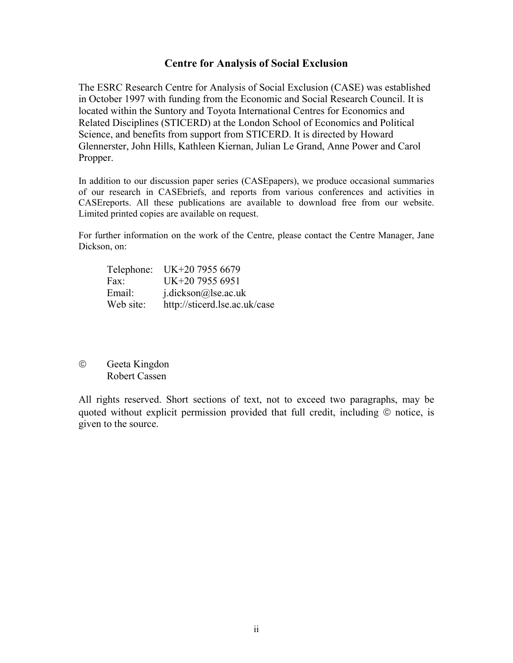#### **Centre for Analysis of Social Exclusion**

The ESRC Research Centre for Analysis of Social Exclusion (CASE) was established in October 1997 with funding from the Economic and Social Research Council. It is located within the Suntory and Toyota International Centres for Economics and Related Disciplines (STICERD) at the London School of Economics and Political Science, and benefits from support from STICERD. It is directed by Howard Glennerster, John Hills, Kathleen Kiernan, Julian Le Grand, Anne Power and Carol Propper.

In addition to our discussion paper series (CASEpapers), we produce occasional summaries of our research in CASEbriefs, and reports from various conferences and activities in CASEreports. All these publications are available to download free from our website. Limited printed copies are available on request.

For further information on the work of the Centre, please contact the Centre Manager, Jane Dickson, on:

|           | Telephone: UK+20 7955 6679    |
|-----------|-------------------------------|
| Fax:      | UK+20 7955 6951               |
| Email:    | $i$ .dickson@lse.ac.uk        |
| Web site: | http://sticerd.lse.ac.uk/case |

© Geeta Kingdon Robert Cassen

All rights reserved. Short sections of text, not to exceed two paragraphs, may be quoted without explicit permission provided that full credit, including © notice, is given to the source.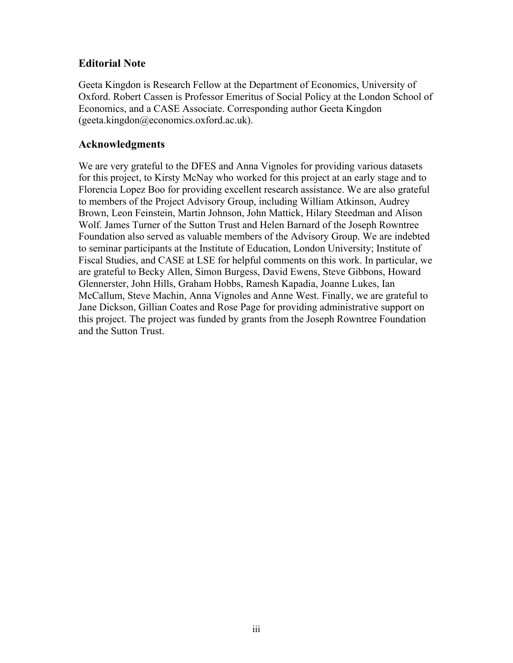### **Editorial Note**

Geeta Kingdon is Research Fellow at the Department of Economics, University of Oxford. Robert Cassen is Professor Emeritus of Social Policy at the London School of Economics, and a CASE Associate. Corresponding author Geeta Kingdon (geeta.kingdon@economics.oxford.ac.uk).

### **Acknowledgments**

We are very grateful to the DFES and Anna Vignoles for providing various datasets for this project, to Kirsty McNay who worked for this project at an early stage and to Florencia Lopez Boo for providing excellent research assistance. We are also grateful to members of the Project Advisory Group, including William Atkinson, Audrey Brown, Leon Feinstein, Martin Johnson, John Mattick, Hilary Steedman and Alison Wolf. James Turner of the Sutton Trust and Helen Barnard of the Joseph Rowntree Foundation also served as valuable members of the Advisory Group. We are indebted to seminar participants at the Institute of Education, London University; Institute of Fiscal Studies, and CASE at LSE for helpful comments on this work. In particular, we are grateful to Becky Allen, Simon Burgess, David Ewens, Steve Gibbons, Howard Glennerster, John Hills, Graham Hobbs, Ramesh Kapadia, Joanne Lukes, Ian McCallum, Steve Machin, Anna Vignoles and Anne West. Finally, we are grateful to Jane Dickson, Gillian Coates and Rose Page for providing administrative support on this project. The project was funded by grants from the Joseph Rowntree Foundation and the Sutton Trust.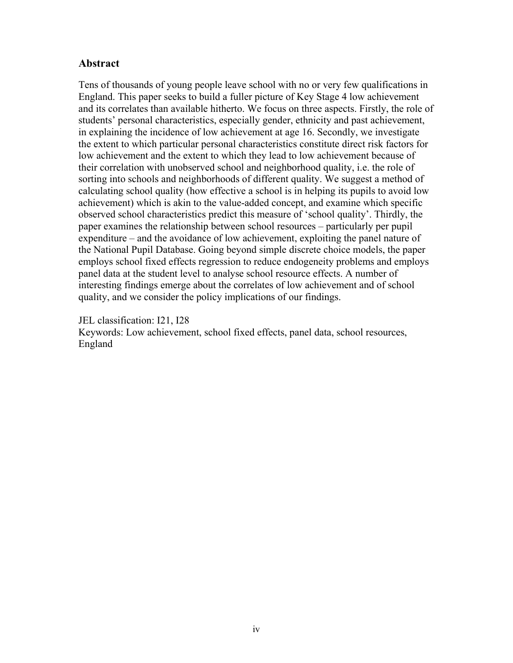### **Abstract**

Tens of thousands of young people leave school with no or very few qualifications in England. This paper seeks to build a fuller picture of Key Stage 4 low achievement and its correlates than available hitherto. We focus on three aspects. Firstly, the role of students' personal characteristics, especially gender, ethnicity and past achievement, in explaining the incidence of low achievement at age 16. Secondly, we investigate the extent to which particular personal characteristics constitute direct risk factors for low achievement and the extent to which they lead to low achievement because of their correlation with unobserved school and neighborhood quality, i.e. the role of sorting into schools and neighborhoods of different quality. We suggest a method of calculating school quality (how effective a school is in helping its pupils to avoid low achievement) which is akin to the value-added concept, and examine which specific observed school characteristics predict this measure of 'school quality'. Thirdly, the paper examines the relationship between school resources – particularly per pupil expenditure – and the avoidance of low achievement, exploiting the panel nature of the National Pupil Database. Going beyond simple discrete choice models, the paper employs school fixed effects regression to reduce endogeneity problems and employs panel data at the student level to analyse school resource effects. A number of interesting findings emerge about the correlates of low achievement and of school quality, and we consider the policy implications of our findings.

JEL classification: I21, I28 Keywords: Low achievement, school fixed effects, panel data, school resources, England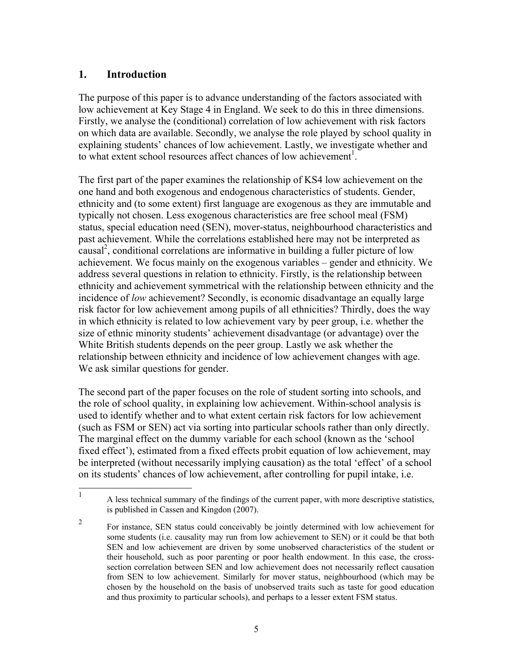### **1. Introduction**

<u>.</u>

The purpose of this paper is to advance understanding of the factors associated with low achievement at Key Stage 4 in England. We seek to do this in three dimensions. Firstly, we analyse the (conditional) correlation of low achievement with risk factors on which data are available. Secondly, we analyse the role played by school quality in explaining students' chances of low achievement. Lastly, we investigate whether and to what extent school resources affect chances of low achievement<sup>1</sup>.

The first part of the paper examines the relationship of KS4 low achievement on the one hand and both exogenous and endogenous characteristics of students. Gender, ethnicity and (to some extent) first language are exogenous as they are immutable and typically not chosen. Less exogenous characteristics are free school meal (FSM) status, special education need (SEN), mover-status, neighbourhood characteristics and past achievement. While the correlations established here may not be interpreted as causal<sup>2</sup>, conditional correlations are informative in building a fuller picture of low achievement. We focus mainly on the exogenous variables – gender and ethnicity. We address several questions in relation to ethnicity. Firstly, is the relationship between ethnicity and achievement symmetrical with the relationship between ethnicity and the incidence of *low* achievement? Secondly, is economic disadvantage an equally large risk factor for low achievement among pupils of all ethnicities? Thirdly, does the way in which ethnicity is related to low achievement vary by peer group, i.e. whether the size of ethnic minority students' achievement disadvantage (or advantage) over the White British students depends on the peer group. Lastly we ask whether the relationship between ethnicity and incidence of low achievement changes with age. We ask similar questions for gender.

The second part of the paper focuses on the role of student sorting into schools, and the role of school quality, in explaining low achievement. Within-school analysis is used to identify whether and to what extent certain risk factors for low achievement (such as FSM or SEN) act via sorting into particular schools rather than only directly. The marginal effect on the dummy variable for each school (known as the 'school fixed effect'), estimated from a fixed effects probit equation of low achievement, may be interpreted (without necessarily implying causation) as the total 'effect' of a school on its students' chances of low achievement, after controlling for pupil intake, i.e.

<sup>1</sup> A less technical summary of the findings of the current paper, with more descriptive statistics, is published in Cassen and Kingdon (2007).

<sup>2</sup> For instance, SEN status could conceivably be jointly determined with low achievement for some students (i.e. causality may run from low achievement to SEN) or it could be that both SEN and low achievement are driven by some unobserved characteristics of the student or their household, such as poor parenting or poor health endowment. In this case, the crosssection correlation between SEN and low achievement does not necessarily reflect causation from SEN to low achievement. Similarly for mover status, neighbourhood (which may be chosen by the household on the basis of unobserved traits such as taste for good education and thus proximity to particular schools), and perhaps to a lesser extent FSM status.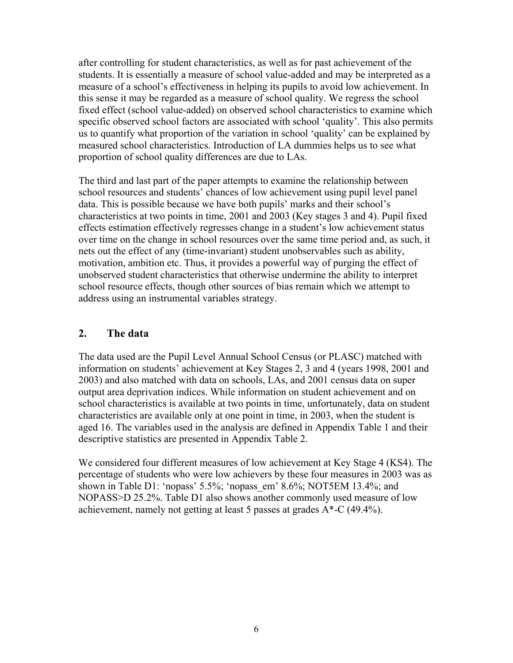after controlling for student characteristics, as well as for past achievement of the students. It is essentially a measure of school value-added and may be interpreted as a measure of a school's effectiveness in helping its pupils to avoid low achievement. In this sense it may be regarded as a measure of school quality. We regress the school fixed effect (school value-added) on observed school characteristics to examine which specific observed school factors are associated with school 'quality'. This also permits us to quantify what proportion of the variation in school 'quality' can be explained by measured school characteristics. Introduction of LA dummies helps us to see what proportion of school quality differences are due to LAs.

The third and last part of the paper attempts to examine the relationship between school resources and students' chances of low achievement using pupil level panel data. This is possible because we have both pupils' marks and their school's characteristics at two points in time, 2001 and 2003 (Key stages 3 and 4). Pupil fixed effects estimation effectively regresses change in a student's low achievement status over time on the change in school resources over the same time period and, as such, it nets out the effect of any (time-invariant) student unobservables such as ability, motivation, ambition etc. Thus, it provides a powerful way of purging the effect of unobserved student characteristics that otherwise undermine the ability to interpret school resource effects, though other sources of bias remain which we attempt to address using an instrumental variables strategy.

### **2. The data**

The data used are the Pupil Level Annual School Census (or PLASC) matched with information on students' achievement at Key Stages 2, 3 and 4 (years 1998, 2001 and 2003) and also matched with data on schools, LAs, and 2001 census data on super output area deprivation indices. While information on student achievement and on school characteristics is available at two points in time, unfortunately, data on student characteristics are available only at one point in time, in 2003, when the student is aged 16. The variables used in the analysis are defined in Appendix Table 1 and their descriptive statistics are presented in Appendix Table 2.

We considered four different measures of low achievement at Key Stage 4 (KS4). The percentage of students who were low achievers by these four measures in 2003 was as shown in Table D1: 'nopass' 5.5%; 'nopass\_em' 8.6%; NOT5EM 13.4%; and NOPASS>D 25.2%. Table D1 also shows another commonly used measure of low achievement, namely not getting at least 5 passes at grades A\*-C (49.4%).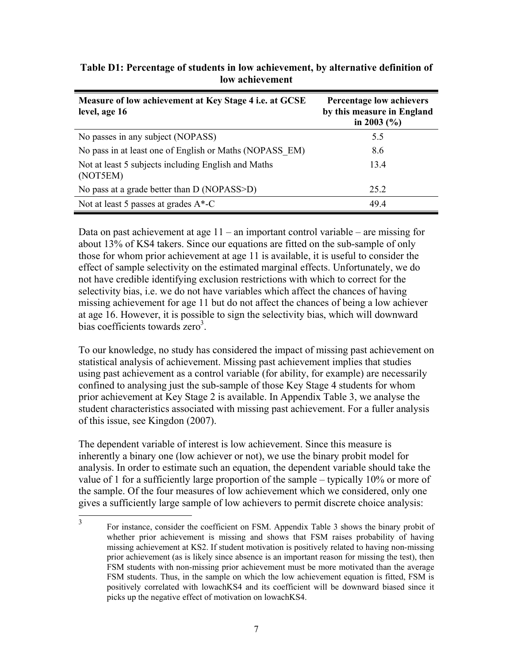| Measure of low achievement at Key Stage 4 i.e. at GCSE<br>level, age 16 | Percentage low achievers<br>by this measure in England<br>in 2003 $(\% )$ |
|-------------------------------------------------------------------------|---------------------------------------------------------------------------|
| No passes in any subject (NOPASS)                                       | 5.5                                                                       |
| No pass in at least one of English or Maths (NOPASS EM)                 | 8.6                                                                       |
| Not at least 5 subjects including English and Maths<br>(NOT5EM)         | 13.4                                                                      |
| No pass at a grade better than D (NOPASS>D)                             | 25.2                                                                      |
| Not at least 5 passes at grades $A^*$ -C                                | 49.4                                                                      |

**Table D1: Percentage of students in low achievement, by alternative definition of low achievement** 

Data on past achievement at age  $11 -$ an important control variable – are missing for about 13% of KS4 takers. Since our equations are fitted on the sub-sample of only those for whom prior achievement at age 11 is available, it is useful to consider the effect of sample selectivity on the estimated marginal effects. Unfortunately, we do not have credible identifying exclusion restrictions with which to correct for the selectivity bias, i.e. we do not have variables which affect the chances of having missing achievement for age 11 but do not affect the chances of being a low achiever at age 16. However, it is possible to sign the selectivity bias, which will downward bias coefficients towards zero<sup>3</sup>.

To our knowledge, no study has considered the impact of missing past achievement on statistical analysis of achievement. Missing past achievement implies that studies using past achievement as a control variable (for ability, for example) are necessarily confined to analysing just the sub-sample of those Key Stage 4 students for whom prior achievement at Key Stage 2 is available. In Appendix Table 3, we analyse the student characteristics associated with missing past achievement. For a fuller analysis of this issue, see Kingdon (2007).

The dependent variable of interest is low achievement. Since this measure is inherently a binary one (low achiever or not), we use the binary probit model for analysis. In order to estimate such an equation, the dependent variable should take the value of 1 for a sufficiently large proportion of the sample – typically 10% or more of the sample. Of the four measures of low achievement which we considered, only one gives a sufficiently large sample of low achievers to permit discrete choice analysis:

 $\frac{1}{3}$  For instance, consider the coefficient on FSM. Appendix Table 3 shows the binary probit of whether prior achievement is missing and shows that FSM raises probability of having missing achievement at KS2. If student motivation is positively related to having non-missing prior achievement (as is likely since absence is an important reason for missing the test), then FSM students with non-missing prior achievement must be more motivated than the average FSM students. Thus, in the sample on which the low achievement equation is fitted, FSM is positively correlated with lowachKS4 and its coefficient will be downward biased since it picks up the negative effect of motivation on lowachKS4.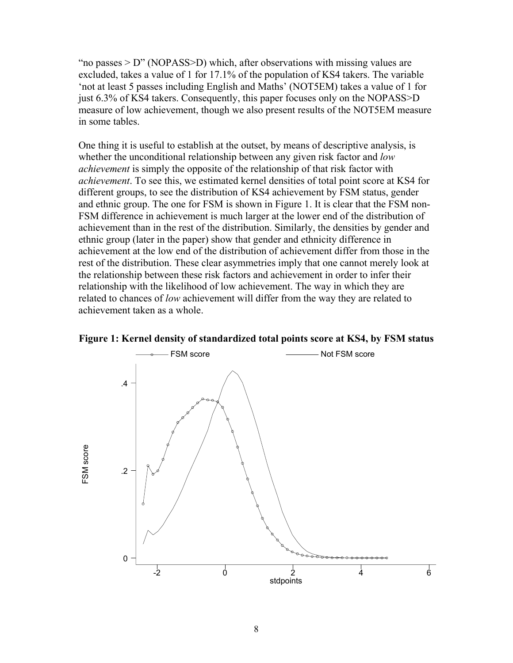"no passes  $> D$ " (NOPASS $> D$ ) which, after observations with missing values are excluded, takes a value of 1 for 17.1% of the population of KS4 takers. The variable 'not at least 5 passes including English and Maths' (NOT5EM) takes a value of 1 for just 6.3% of KS4 takers. Consequently, this paper focuses only on the NOPASS>D measure of low achievement, though we also present results of the NOT5EM measure in some tables.

One thing it is useful to establish at the outset, by means of descriptive analysis, is whether the unconditional relationship between any given risk factor and *low achievement* is simply the opposite of the relationship of that risk factor with *achievement*. To see this, we estimated kernel densities of total point score at KS4 for different groups, to see the distribution of KS4 achievement by FSM status, gender and ethnic group. The one for FSM is shown in Figure 1. It is clear that the FSM non-FSM difference in achievement is much larger at the lower end of the distribution of achievement than in the rest of the distribution. Similarly, the densities by gender and ethnic group (later in the paper) show that gender and ethnicity difference in achievement at the low end of the distribution of achievement differ from those in the rest of the distribution. These clear asymmetries imply that one cannot merely look at the relationship between these risk factors and achievement in order to infer their relationship with the likelihood of low achievement. The way in which they are related to chances of *low* achievement will differ from the way they are related to achievement taken as a whole.



**Figure 1: Kernel density of standardized total points score at KS4, by FSM status**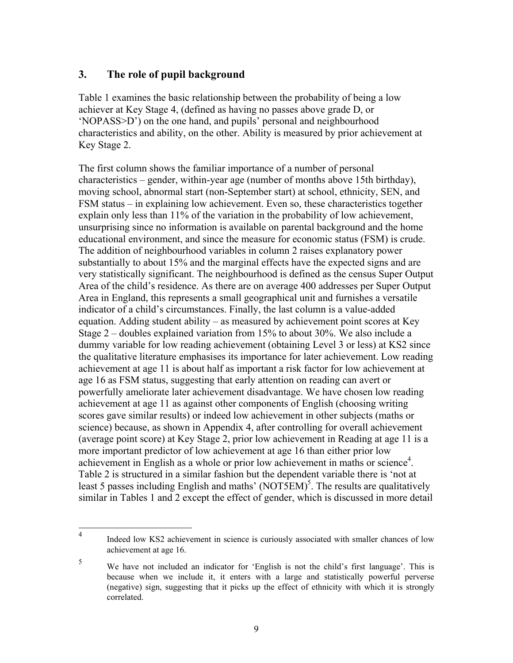### **3. The role of pupil background**

Table 1 examines the basic relationship between the probability of being a low achiever at Key Stage 4, (defined as having no passes above grade D, or 'NOPASS>D') on the one hand, and pupils' personal and neighbourhood characteristics and ability, on the other. Ability is measured by prior achievement at Key Stage 2.

The first column shows the familiar importance of a number of personal characteristics – gender, within-year age (number of months above 15th birthday), moving school, abnormal start (non-September start) at school, ethnicity, SEN, and FSM status – in explaining low achievement. Even so, these characteristics together explain only less than 11% of the variation in the probability of low achievement, unsurprising since no information is available on parental background and the home educational environment, and since the measure for economic status (FSM) is crude. The addition of neighbourhood variables in column 2 raises explanatory power substantially to about 15% and the marginal effects have the expected signs and are very statistically significant. The neighbourhood is defined as the census Super Output Area of the child's residence. As there are on average 400 addresses per Super Output Area in England, this represents a small geographical unit and furnishes a versatile indicator of a child's circumstances. Finally, the last column is a value-added equation. Adding student ability – as measured by achievement point scores at Key Stage 2 – doubles explained variation from 15% to about 30%. We also include a dummy variable for low reading achievement (obtaining Level 3 or less) at KS2 since the qualitative literature emphasises its importance for later achievement. Low reading achievement at age 11 is about half as important a risk factor for low achievement at age 16 as FSM status, suggesting that early attention on reading can avert or powerfully ameliorate later achievement disadvantage. We have chosen low reading achievement at age 11 as against other components of English (choosing writing scores gave similar results) or indeed low achievement in other subjects (maths or science) because, as shown in Appendix 4, after controlling for overall achievement (average point score) at Key Stage 2, prior low achievement in Reading at age 11 is a more important predictor of low achievement at age 16 than either prior low achievement in English as a whole or prior low achievement in maths or science<sup>4</sup>. Table 2 is structured in a similar fashion but the dependent variable there is 'not at least 5 passes including English and maths' (NOT $\overline{5EM}$ )<sup>5</sup>. The results are qualitatively similar in Tables 1 and 2 except the effect of gender, which is discussed in more detail

 $\overline{4}$ Indeed low KS2 achievement in science is curiously associated with smaller chances of low achievement at age 16.

<sup>5</sup> We have not included an indicator for 'English is not the child's first language'. This is because when we include it, it enters with a large and statistically powerful perverse (negative) sign, suggesting that it picks up the effect of ethnicity with which it is strongly correlated.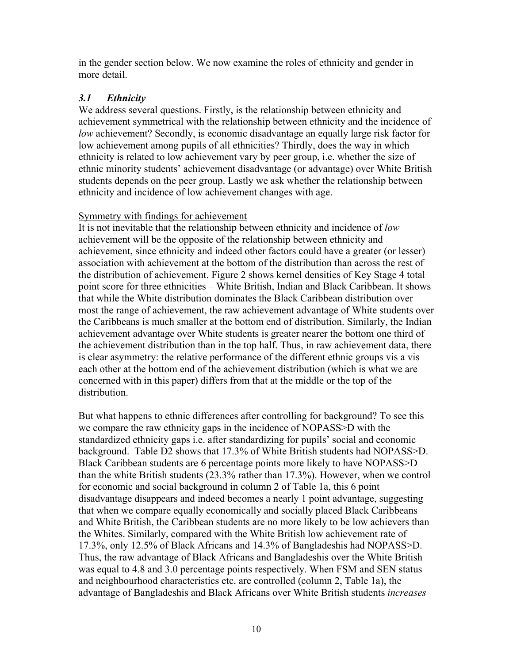in the gender section below. We now examine the roles of ethnicity and gender in more detail.

### *3.1 Ethnicity*

We address several questions. Firstly, is the relationship between ethnicity and achievement symmetrical with the relationship between ethnicity and the incidence of *low* achievement? Secondly, is economic disadvantage an equally large risk factor for low achievement among pupils of all ethnicities? Thirdly, does the way in which ethnicity is related to low achievement vary by peer group, i.e. whether the size of ethnic minority students' achievement disadvantage (or advantage) over White British students depends on the peer group. Lastly we ask whether the relationship between ethnicity and incidence of low achievement changes with age.

#### Symmetry with findings for achievement

It is not inevitable that the relationship between ethnicity and incidence of *low* achievement will be the opposite of the relationship between ethnicity and achievement, since ethnicity and indeed other factors could have a greater (or lesser) association with achievement at the bottom of the distribution than across the rest of the distribution of achievement. Figure 2 shows kernel densities of Key Stage 4 total point score for three ethnicities – White British, Indian and Black Caribbean. It shows that while the White distribution dominates the Black Caribbean distribution over most the range of achievement, the raw achievement advantage of White students over the Caribbeans is much smaller at the bottom end of distribution. Similarly, the Indian achievement advantage over White students is greater nearer the bottom one third of the achievement distribution than in the top half. Thus, in raw achievement data, there is clear asymmetry: the relative performance of the different ethnic groups vis a vis each other at the bottom end of the achievement distribution (which is what we are concerned with in this paper) differs from that at the middle or the top of the distribution.

But what happens to ethnic differences after controlling for background? To see this we compare the raw ethnicity gaps in the incidence of NOPASS>D with the standardized ethnicity gaps i.e. after standardizing for pupils' social and economic background. Table D2 shows that 17.3% of White British students had NOPASS>D. Black Caribbean students are 6 percentage points more likely to have NOPASS>D than the white British students (23.3% rather than 17.3%). However, when we control for economic and social background in column 2 of Table 1a, this 6 point disadvantage disappears and indeed becomes a nearly 1 point advantage, suggesting that when we compare equally economically and socially placed Black Caribbeans and White British, the Caribbean students are no more likely to be low achievers than the Whites. Similarly, compared with the White British low achievement rate of 17.3%, only 12.5% of Black Africans and 14.3% of Bangladeshis had NOPASS>D. Thus, the raw advantage of Black Africans and Bangladeshis over the White British was equal to 4.8 and 3.0 percentage points respectively. When FSM and SEN status and neighbourhood characteristics etc. are controlled (column 2, Table 1a), the advantage of Bangladeshis and Black Africans over White British students *increases*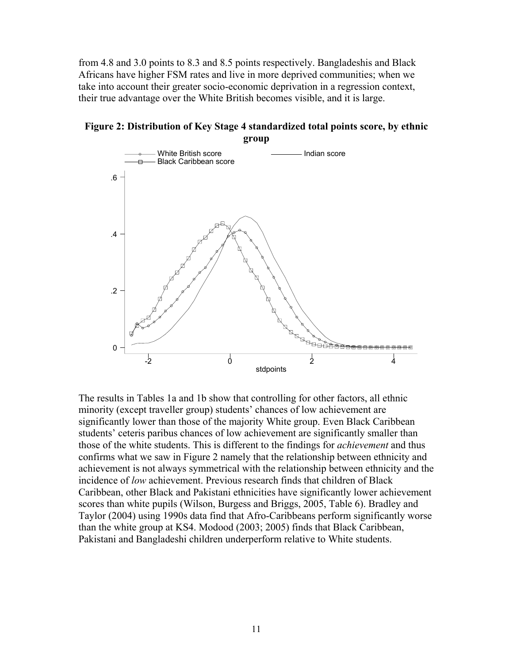from 4.8 and 3.0 points to 8.3 and 8.5 points respectively. Bangladeshis and Black Africans have higher FSM rates and live in more deprived communities; when we take into account their greater socio-economic deprivation in a regression context, their true advantage over the White British becomes visible, and it is large.

**Figure 2: Distribution of Key Stage 4 standardized total points score, by ethnic group** 



The results in Tables 1a and 1b show that controlling for other factors, all ethnic minority (except traveller group) students' chances of low achievement are significantly lower than those of the majority White group. Even Black Caribbean students' ceteris paribus chances of low achievement are significantly smaller than those of the white students. This is different to the findings for *achievement* and thus confirms what we saw in Figure 2 namely that the relationship between ethnicity and achievement is not always symmetrical with the relationship between ethnicity and the incidence of *low* achievement. Previous research finds that children of Black Caribbean, other Black and Pakistani ethnicities have significantly lower achievement scores than white pupils (Wilson, Burgess and Briggs, 2005, Table 6). Bradley and Taylor (2004) using 1990s data find that Afro-Caribbeans perform significantly worse than the white group at KS4. Modood (2003; 2005) finds that Black Caribbean, Pakistani and Bangladeshi children underperform relative to White students.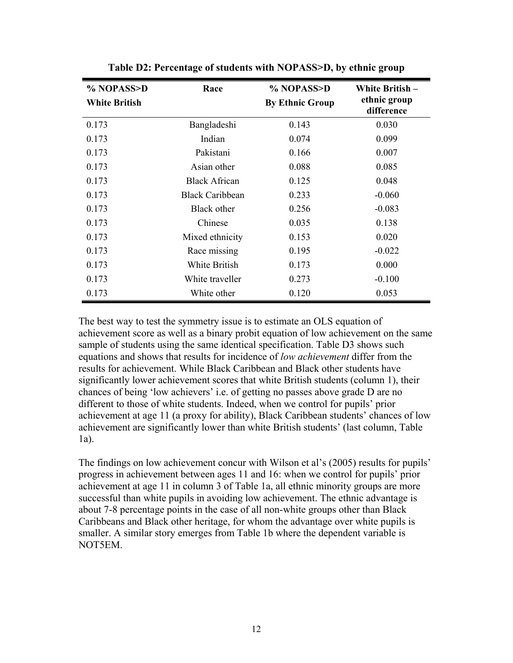| % NOPASS>D           | Race                   | % NOPASS>D             | White British-             |
|----------------------|------------------------|------------------------|----------------------------|
| <b>White British</b> |                        | <b>By Ethnic Group</b> | ethnic group<br>difference |
| 0.173                | Bangladeshi            | 0.143                  | 0.030                      |
| 0.173                | Indian                 | 0.074                  | 0.099                      |
| 0.173                | Pakistani              | 0.166                  | 0.007                      |
| 0.173                | Asian other            | 0.088                  | 0.085                      |
| 0.173                | <b>Black African</b>   | 0.125                  | 0.048                      |
| 0.173                | <b>Black Caribbean</b> | 0.233                  | $-0.060$                   |
| 0.173                | Black other            | 0.256                  | $-0.083$                   |
| 0.173                | Chinese                | 0.035                  | 0.138                      |
| 0.173                | Mixed ethnicity        | 0.153                  | 0.020                      |
| 0.173                | Race missing           | 0.195                  | $-0.022$                   |
| 0.173                | White British          | 0.173                  | 0.000                      |
| 0.173                | White traveller        | 0.273                  | $-0.100$                   |
| 0.173                | White other            | 0.120                  | 0.053                      |

**Table D2: Percentage of students with NOPASS>D, by ethnic group** 

The best way to test the symmetry issue is to estimate an OLS equation of achievement score as well as a binary probit equation of low achievement on the same sample of students using the same identical specification. Table D3 shows such equations and shows that results for incidence of *low achievement* differ from the results for achievement. While Black Caribbean and Black other students have significantly lower achievement scores that white British students (column 1), their chances of being 'low achievers' i.e. of getting no passes above grade D are no different to those of white students. Indeed, when we control for pupils' prior achievement at age 11 (a proxy for ability), Black Caribbean students' chances of low achievement are significantly lower than white British students' (last column, Table 1a).

The findings on low achievement concur with Wilson et al's (2005) results for pupils' progress in achievement between ages 11 and 16: when we control for pupils' prior achievement at age 11 in column 3 of Table 1a, all ethnic minority groups are more successful than white pupils in avoiding low achievement. The ethnic advantage is about 7-8 percentage points in the case of all non-white groups other than Black Caribbeans and Black other heritage, for whom the advantage over white pupils is smaller. A similar story emerges from Table 1b where the dependent variable is NOT5EM.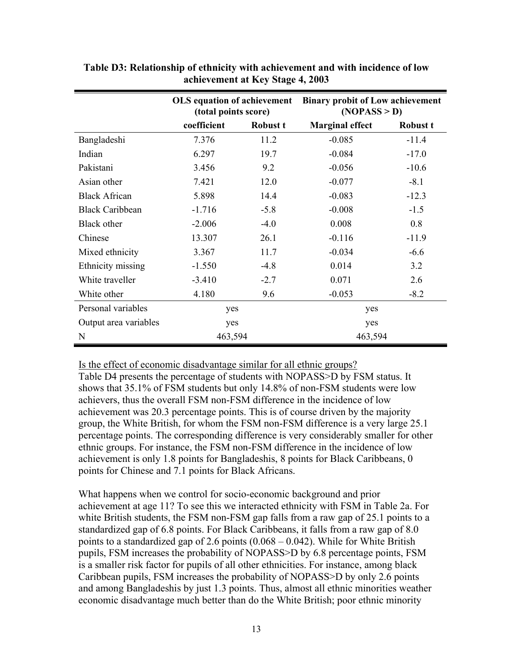|                        | OLS equation of achievement<br>(total points score) |          | <b>Binary probit of Low achievement</b><br>( <b>NOPASS</b> > <b>D</b> ) |          |
|------------------------|-----------------------------------------------------|----------|-------------------------------------------------------------------------|----------|
|                        | coefficient                                         | Robust t | <b>Marginal effect</b>                                                  | Robust t |
| Bangladeshi            | 7.376                                               | 11.2     | $-0.085$                                                                | $-11.4$  |
| Indian                 | 6.297                                               | 19.7     | $-0.084$                                                                | $-17.0$  |
| Pakistani              | 3.456                                               | 9.2      | $-0.056$                                                                | $-10.6$  |
| Asian other            | 7.421                                               | 12.0     | $-0.077$                                                                | $-8.1$   |
| <b>Black African</b>   | 5.898                                               | 14.4     | $-0.083$                                                                | $-12.3$  |
| <b>Black Caribbean</b> | $-1.716$                                            | $-5.8$   | $-0.008$                                                                | $-1.5$   |
| Black other            | $-2.006$                                            | $-4.0$   | 0.008                                                                   | 0.8      |
| Chinese                | 13.307                                              | 26.1     | $-0.116$                                                                | $-11.9$  |
| Mixed ethnicity        | 3.367                                               | 11.7     | $-0.034$                                                                | $-6.6$   |
| Ethnicity missing      | $-1.550$                                            | $-4.8$   | 0.014                                                                   | 3.2      |
| White traveller        | $-3.410$                                            | $-2.7$   | 0.071                                                                   | 2.6      |
| White other            | 4.180                                               | 9.6      | $-0.053$                                                                | $-8.2$   |
| Personal variables     | yes                                                 |          | yes                                                                     |          |
| Output area variables  | yes                                                 |          | yes                                                                     |          |
| N                      | 463,594                                             |          | 463,594                                                                 |          |

**Table D3: Relationship of ethnicity with achievement and with incidence of low achievement at Key Stage 4, 2003** 

Is the effect of economic disadvantage similar for all ethnic groups?

Table D4 presents the percentage of students with NOPASS>D by FSM status. It shows that 35.1% of FSM students but only 14.8% of non-FSM students were low achievers, thus the overall FSM non-FSM difference in the incidence of low achievement was 20.3 percentage points. This is of course driven by the majority group, the White British, for whom the FSM non-FSM difference is a very large 25.1 percentage points. The corresponding difference is very considerably smaller for other ethnic groups. For instance, the FSM non-FSM difference in the incidence of low achievement is only 1.8 points for Bangladeshis, 8 points for Black Caribbeans, 0 points for Chinese and 7.1 points for Black Africans.

What happens when we control for socio-economic background and prior achievement at age 11? To see this we interacted ethnicity with FSM in Table 2a. For white British students, the FSM non-FSM gap falls from a raw gap of 25.1 points to a standardized gap of 6.8 points. For Black Caribbeans, it falls from a raw gap of 8.0 points to a standardized gap of 2.6 points  $(0.068 - 0.042)$ . While for White British pupils, FSM increases the probability of NOPASS>D by 6.8 percentage points, FSM is a smaller risk factor for pupils of all other ethnicities. For instance, among black Caribbean pupils, FSM increases the probability of NOPASS>D by only 2.6 points and among Bangladeshis by just 1.3 points. Thus, almost all ethnic minorities weather economic disadvantage much better than do the White British; poor ethnic minority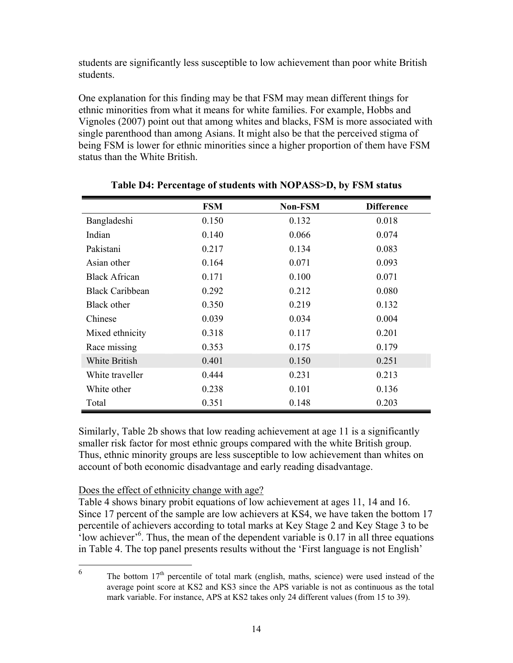students are significantly less susceptible to low achievement than poor white British students.

One explanation for this finding may be that FSM may mean different things for ethnic minorities from what it means for white families. For example, Hobbs and Vignoles (2007) point out that among whites and blacks, FSM is more associated with single parenthood than among Asians. It might also be that the perceived stigma of being FSM is lower for ethnic minorities since a higher proportion of them have FSM status than the White British.

|                        | <b>FSM</b> | <b>Non-FSM</b> | <b>Difference</b> |
|------------------------|------------|----------------|-------------------|
| Bangladeshi            | 0.150      | 0.132          | 0.018             |
| Indian                 | 0.140      | 0.066          | 0.074             |
| Pakistani              | 0.217      | 0.134          | 0.083             |
| Asian other            | 0.164      | 0.071          | 0.093             |
| <b>Black African</b>   | 0.171      | 0.100          | 0.071             |
| <b>Black Caribbean</b> | 0.292      | 0.212          | 0.080             |
| Black other            | 0.350      | 0.219          | 0.132             |
| Chinese                | 0.039      | 0.034          | 0.004             |
| Mixed ethnicity        | 0.318      | 0.117          | 0.201             |
| Race missing           | 0.353      | 0.175          | 0.179             |
| White British          | 0.401      | 0.150          | 0.251             |
| White traveller        | 0.444      | 0.231          | 0.213             |
| White other            | 0.238      | 0.101          | 0.136             |
| Total                  | 0.351      | 0.148          | 0.203             |

**Table D4: Percentage of students with NOPASS>D, by FSM status** 

Similarly, Table 2b shows that low reading achievement at age 11 is a significantly smaller risk factor for most ethnic groups compared with the white British group. Thus, ethnic minority groups are less susceptible to low achievement than whites on account of both economic disadvantage and early reading disadvantage.

#### Does the effect of ethnicity change with age?

Table 4 shows binary probit equations of low achievement at ages 11, 14 and 16. Since 17 percent of the sample are low achievers at KS4, we have taken the bottom 17 percentile of achievers according to total marks at Key Stage 2 and Key Stage 3 to be  $\cdot$ low achiever $\cdot$ <sup>6</sup>. Thus, the mean of the dependent variable is 0.17 in all three equations in Table 4. The top panel presents results without the 'First language is not English'

 $\sqrt{6}$ The bottom  $17<sup>th</sup>$  percentile of total mark (english, maths, science) were used instead of the average point score at KS2 and KS3 since the APS variable is not as continuous as the total mark variable. For instance, APS at KS2 takes only 24 different values (from 15 to 39).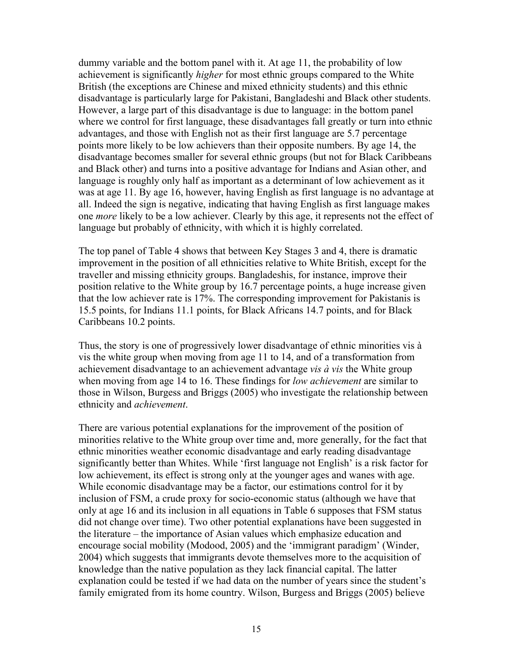dummy variable and the bottom panel with it. At age 11, the probability of low achievement is significantly *higher* for most ethnic groups compared to the White British (the exceptions are Chinese and mixed ethnicity students) and this ethnic disadvantage is particularly large for Pakistani, Bangladeshi and Black other students. However, a large part of this disadvantage is due to language: in the bottom panel where we control for first language, these disadvantages fall greatly or turn into ethnic advantages, and those with English not as their first language are 5.7 percentage points more likely to be low achievers than their opposite numbers. By age 14, the disadvantage becomes smaller for several ethnic groups (but not for Black Caribbeans and Black other) and turns into a positive advantage for Indians and Asian other, and language is roughly only half as important as a determinant of low achievement as it was at age 11. By age 16, however, having English as first language is no advantage at all. Indeed the sign is negative, indicating that having English as first language makes one *more* likely to be a low achiever. Clearly by this age, it represents not the effect of language but probably of ethnicity, with which it is highly correlated.

The top panel of Table 4 shows that between Key Stages 3 and 4, there is dramatic improvement in the position of all ethnicities relative to White British, except for the traveller and missing ethnicity groups. Bangladeshis, for instance, improve their position relative to the White group by 16.7 percentage points, a huge increase given that the low achiever rate is 17%. The corresponding improvement for Pakistanis is 15.5 points, for Indians 11.1 points, for Black Africans 14.7 points, and for Black Caribbeans 10.2 points.

Thus, the story is one of progressively lower disadvantage of ethnic minorities vis à vis the white group when moving from age 11 to 14, and of a transformation from achievement disadvantage to an achievement advantage *vis à vis* the White group when moving from age 14 to 16. These findings for *low achievement* are similar to those in Wilson, Burgess and Briggs (2005) who investigate the relationship between ethnicity and *achievement*.

There are various potential explanations for the improvement of the position of minorities relative to the White group over time and, more generally, for the fact that ethnic minorities weather economic disadvantage and early reading disadvantage significantly better than Whites. While 'first language not English' is a risk factor for low achievement, its effect is strong only at the younger ages and wanes with age. While economic disadvantage may be a factor, our estimations control for it by inclusion of FSM, a crude proxy for socio-economic status (although we have that only at age 16 and its inclusion in all equations in Table 6 supposes that FSM status did not change over time). Two other potential explanations have been suggested in the literature – the importance of Asian values which emphasize education and encourage social mobility (Modood, 2005) and the 'immigrant paradigm' (Winder, 2004) which suggests that immigrants devote themselves more to the acquisition of knowledge than the native population as they lack financial capital. The latter explanation could be tested if we had data on the number of years since the student's family emigrated from its home country. Wilson, Burgess and Briggs (2005) believe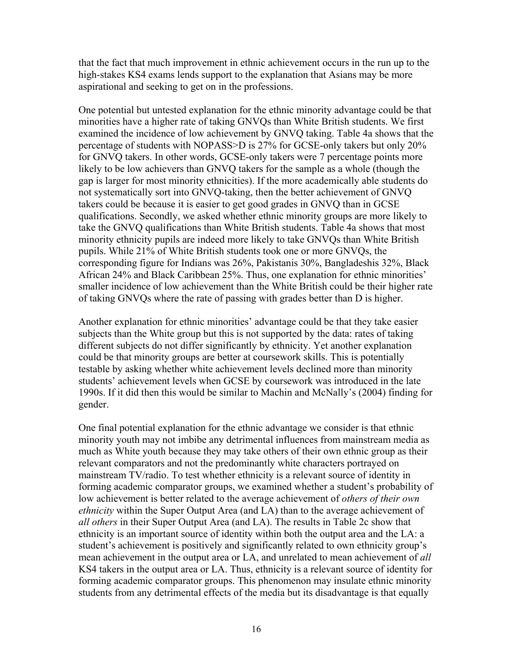that the fact that much improvement in ethnic achievement occurs in the run up to the high-stakes KS4 exams lends support to the explanation that Asians may be more aspirational and seeking to get on in the professions.

One potential but untested explanation for the ethnic minority advantage could be that minorities have a higher rate of taking GNVQs than White British students. We first examined the incidence of low achievement by GNVQ taking. Table 4a shows that the percentage of students with NOPASS>D is 27% for GCSE-only takers but only 20% for GNVQ takers. In other words, GCSE-only takers were 7 percentage points more likely to be low achievers than GNVQ takers for the sample as a whole (though the gap is larger for most minority ethnicities). If the more academically able students do not systematically sort into GNVQ-taking, then the better achievement of GNVQ takers could be because it is easier to get good grades in GNVQ than in GCSE qualifications. Secondly, we asked whether ethnic minority groups are more likely to take the GNVQ qualifications than White British students. Table 4a shows that most minority ethnicity pupils are indeed more likely to take GNVQs than White British pupils. While 21% of White British students took one or more GNVQs, the corresponding figure for Indians was 26%, Pakistanis 30%, Bangladeshis 32%, Black African 24% and Black Caribbean 25%. Thus, one explanation for ethnic minorities' smaller incidence of low achievement than the White British could be their higher rate of taking GNVQs where the rate of passing with grades better than D is higher.

Another explanation for ethnic minorities' advantage could be that they take easier subjects than the White group but this is not supported by the data: rates of taking different subjects do not differ significantly by ethnicity. Yet another explanation could be that minority groups are better at coursework skills. This is potentially testable by asking whether white achievement levels declined more than minority students' achievement levels when GCSE by coursework was introduced in the late 1990s. If it did then this would be similar to Machin and McNally's (2004) finding for gender.

One final potential explanation for the ethnic advantage we consider is that ethnic minority youth may not imbibe any detrimental influences from mainstream media as much as White youth because they may take others of their own ethnic group as their relevant comparators and not the predominantly white characters portrayed on mainstream TV/radio. To test whether ethnicity is a relevant source of identity in forming academic comparator groups, we examined whether a student's probability of low achievement is better related to the average achievement of *others of their own ethnicity* within the Super Output Area (and LA) than to the average achievement of *all others* in their Super Output Area (and LA). The results in Table 2c show that ethnicity is an important source of identity within both the output area and the LA: a student's achievement is positively and significantly related to own ethnicity group's mean achievement in the output area or LA, and unrelated to mean achievement of *all* KS4 takers in the output area or LA. Thus, ethnicity is a relevant source of identity for forming academic comparator groups. This phenomenon may insulate ethnic minority students from any detrimental effects of the media but its disadvantage is that equally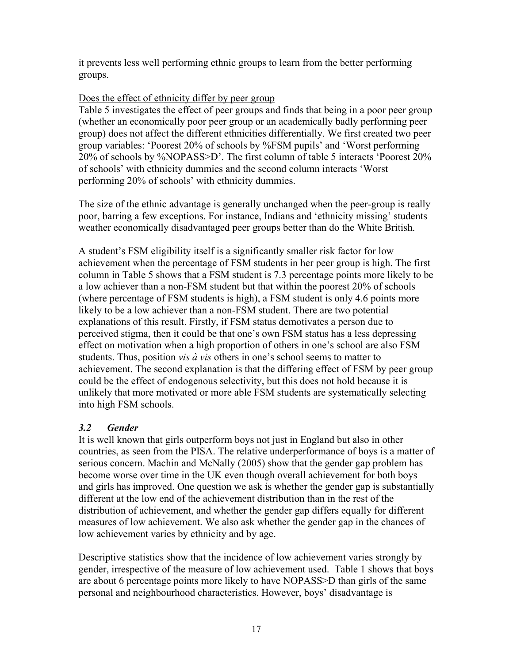it prevents less well performing ethnic groups to learn from the better performing groups.

#### Does the effect of ethnicity differ by peer group

Table 5 investigates the effect of peer groups and finds that being in a poor peer group (whether an economically poor peer group or an academically badly performing peer group) does not affect the different ethnicities differentially. We first created two peer group variables: 'Poorest 20% of schools by %FSM pupils' and 'Worst performing 20% of schools by %NOPASS>D'. The first column of table 5 interacts 'Poorest 20% of schools' with ethnicity dummies and the second column interacts 'Worst performing 20% of schools' with ethnicity dummies.

The size of the ethnic advantage is generally unchanged when the peer-group is really poor, barring a few exceptions. For instance, Indians and 'ethnicity missing' students weather economically disadvantaged peer groups better than do the White British.

A student's FSM eligibility itself is a significantly smaller risk factor for low achievement when the percentage of FSM students in her peer group is high. The first column in Table 5 shows that a FSM student is 7.3 percentage points more likely to be a low achiever than a non-FSM student but that within the poorest 20% of schools (where percentage of FSM students is high), a FSM student is only 4.6 points more likely to be a low achiever than a non-FSM student. There are two potential explanations of this result. Firstly, if FSM status demotivates a person due to perceived stigma, then it could be that one's own FSM status has a less depressing effect on motivation when a high proportion of others in one's school are also FSM students. Thus, position *vis à vis* others in one's school seems to matter to achievement. The second explanation is that the differing effect of FSM by peer group could be the effect of endogenous selectivity, but this does not hold because it is unlikely that more motivated or more able FSM students are systematically selecting into high FSM schools.

### *3.2 Gender*

It is well known that girls outperform boys not just in England but also in other countries, as seen from the PISA. The relative underperformance of boys is a matter of serious concern. Machin and McNally (2005) show that the gender gap problem has become worse over time in the UK even though overall achievement for both boys and girls has improved. One question we ask is whether the gender gap is substantially different at the low end of the achievement distribution than in the rest of the distribution of achievement, and whether the gender gap differs equally for different measures of low achievement. We also ask whether the gender gap in the chances of low achievement varies by ethnicity and by age.

Descriptive statistics show that the incidence of low achievement varies strongly by gender, irrespective of the measure of low achievement used. Table 1 shows that boys are about 6 percentage points more likely to have NOPASS>D than girls of the same personal and neighbourhood characteristics. However, boys' disadvantage is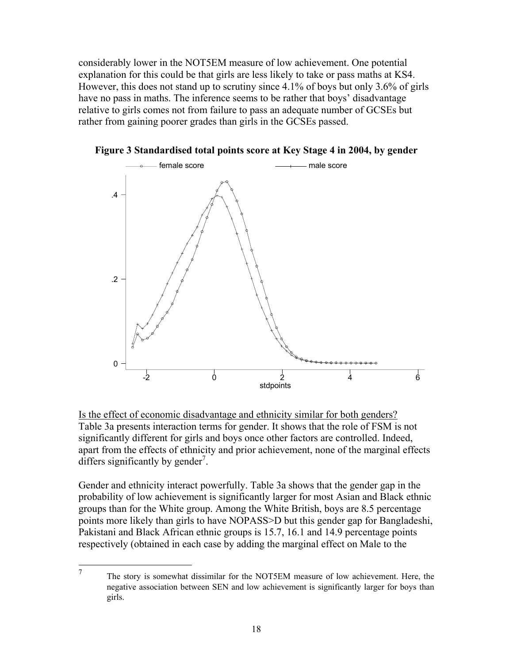considerably lower in the NOT5EM measure of low achievement. One potential explanation for this could be that girls are less likely to take or pass maths at KS4. However, this does not stand up to scrutiny since 4.1% of boys but only 3.6% of girls have no pass in maths. The inference seems to be rather that boys' disadvantage relative to girls comes not from failure to pass an adequate number of GCSEs but rather from gaining poorer grades than girls in the GCSEs passed.



**Figure 3 Standardised total points score at Key Stage 4 in 2004, by gender** 

Is the effect of economic disadvantage and ethnicity similar for both genders? Table 3a presents interaction terms for gender. It shows that the role of FSM is not significantly different for girls and boys once other factors are controlled. Indeed, apart from the effects of ethnicity and prior achievement, none of the marginal effects differs significantly by gender<sup>7</sup>.

Gender and ethnicity interact powerfully. Table 3a shows that the gender gap in the probability of low achievement is significantly larger for most Asian and Black ethnic groups than for the White group. Among the White British, boys are 8.5 percentage points more likely than girls to have NOPASS>D but this gender gap for Bangladeshi, Pakistani and Black African ethnic groups is 15.7, 16.1 and 14.9 percentage points respectively (obtained in each case by adding the marginal effect on Male to the

<sup>—&</sup>lt;br>7 The story is somewhat dissimilar for the NOT5EM measure of low achievement. Here, the negative association between SEN and low achievement is significantly larger for boys than girls.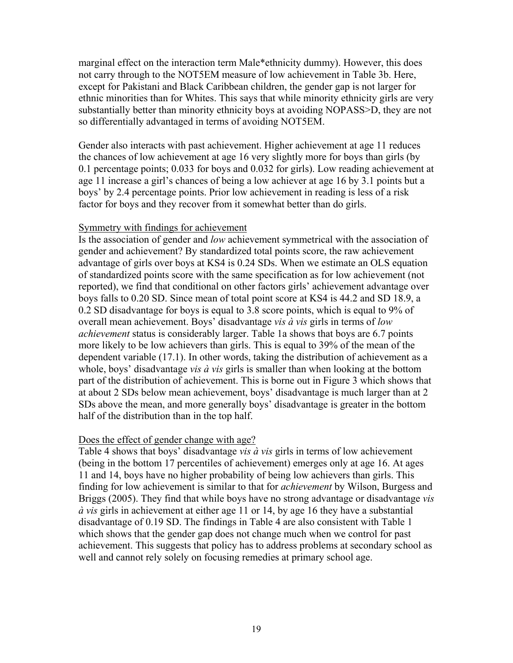marginal effect on the interaction term Male\*ethnicity dummy). However, this does not carry through to the NOT5EM measure of low achievement in Table 3b. Here, except for Pakistani and Black Caribbean children, the gender gap is not larger for ethnic minorities than for Whites. This says that while minority ethnicity girls are very substantially better than minority ethnicity boys at avoiding NOPASS>D, they are not so differentially advantaged in terms of avoiding NOT5EM.

Gender also interacts with past achievement. Higher achievement at age 11 reduces the chances of low achievement at age 16 very slightly more for boys than girls (by 0.1 percentage points; 0.033 for boys and 0.032 for girls). Low reading achievement at age 11 increase a girl's chances of being a low achiever at age 16 by 3.1 points but a boys' by 2.4 percentage points. Prior low achievement in reading is less of a risk factor for boys and they recover from it somewhat better than do girls.

#### Symmetry with findings for achievement

Is the association of gender and *low* achievement symmetrical with the association of gender and achievement? By standardized total points score, the raw achievement advantage of girls over boys at KS4 is 0.24 SDs. When we estimate an OLS equation of standardized points score with the same specification as for low achievement (not reported), we find that conditional on other factors girls' achievement advantage over boys falls to 0.20 SD. Since mean of total point score at KS4 is 44.2 and SD 18.9, a 0.2 SD disadvantage for boys is equal to 3.8 score points, which is equal to 9% of overall mean achievement. Boys' disadvantage *vis à vis* girls in terms of *low achievement* status is considerably larger. Table 1a shows that boys are 6.7 points more likely to be low achievers than girls. This is equal to 39% of the mean of the dependent variable (17.1). In other words, taking the distribution of achievement as a whole, boys' disadvantage *vis à vis* girls is smaller than when looking at the bottom part of the distribution of achievement. This is borne out in Figure 3 which shows that at about 2 SDs below mean achievement, boys' disadvantage is much larger than at 2 SDs above the mean, and more generally boys' disadvantage is greater in the bottom half of the distribution than in the top half.

#### Does the effect of gender change with age?

Table 4 shows that boys' disadvantage *vis à vis* girls in terms of low achievement (being in the bottom 17 percentiles of achievement) emerges only at age 16. At ages 11 and 14, boys have no higher probability of being low achievers than girls. This finding for low achievement is similar to that for *achievement* by Wilson, Burgess and Briggs (2005). They find that while boys have no strong advantage or disadvantage *vis à vis* girls in achievement at either age 11 or 14, by age 16 they have a substantial disadvantage of 0.19 SD. The findings in Table 4 are also consistent with Table 1 which shows that the gender gap does not change much when we control for past achievement. This suggests that policy has to address problems at secondary school as well and cannot rely solely on focusing remedies at primary school age.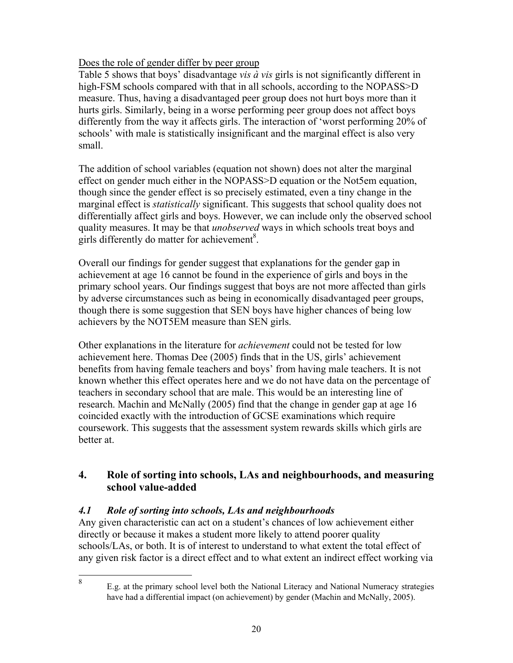### Does the role of gender differ by peer group

Table 5 shows that boys' disadvantage *vis à vis* girls is not significantly different in high-FSM schools compared with that in all schools, according to the NOPASS>D measure. Thus, having a disadvantaged peer group does not hurt boys more than it hurts girls. Similarly, being in a worse performing peer group does not affect boys differently from the way it affects girls. The interaction of 'worst performing 20% of schools' with male is statistically insignificant and the marginal effect is also very small.

The addition of school variables (equation not shown) does not alter the marginal effect on gender much either in the NOPASS>D equation or the Not5em equation, though since the gender effect is so precisely estimated, even a tiny change in the marginal effect is *statistically* significant. This suggests that school quality does not differentially affect girls and boys. However, we can include only the observed school quality measures. It may be that *unobserved* ways in which schools treat boys and girls differently do matter for achievement<sup>8</sup>.

Overall our findings for gender suggest that explanations for the gender gap in achievement at age 16 cannot be found in the experience of girls and boys in the primary school years. Our findings suggest that boys are not more affected than girls by adverse circumstances such as being in economically disadvantaged peer groups, though there is some suggestion that SEN boys have higher chances of being low achievers by the NOT5EM measure than SEN girls.

Other explanations in the literature for *achievement* could not be tested for low achievement here. Thomas Dee (2005) finds that in the US, girls' achievement benefits from having female teachers and boys' from having male teachers. It is not known whether this effect operates here and we do not have data on the percentage of teachers in secondary school that are male. This would be an interesting line of research. Machin and McNally (2005) find that the change in gender gap at age 16 coincided exactly with the introduction of GCSE examinations which require coursework. This suggests that the assessment system rewards skills which girls are better at.

### **4. Role of sorting into schools, LAs and neighbourhoods, and measuring school value-added**

### *4.1 Role of sorting into schools, LAs and neighbourhoods*

Any given characteristic can act on a student's chances of low achievement either directly or because it makes a student more likely to attend poorer quality schools/LAs, or both. It is of interest to understand to what extent the total effect of any given risk factor is a direct effect and to what extent an indirect effect working via

-8

E.g. at the primary school level both the National Literacy and National Numeracy strategies have had a differential impact (on achievement) by gender (Machin and McNally, 2005).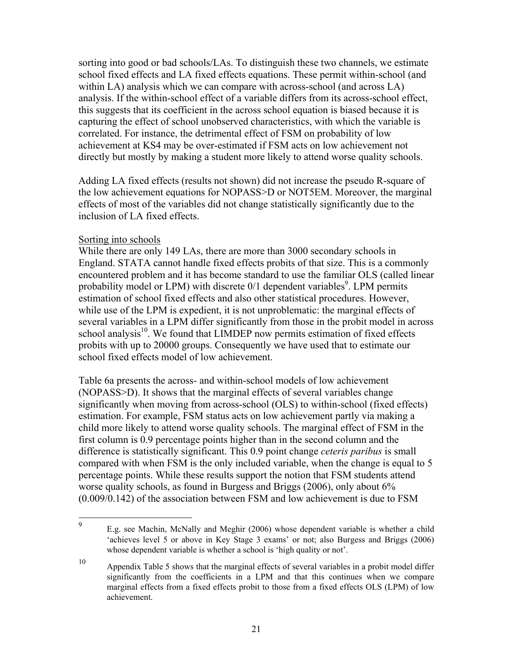sorting into good or bad schools/LAs. To distinguish these two channels, we estimate school fixed effects and LA fixed effects equations. These permit within-school (and within LA) analysis which we can compare with across-school (and across LA) analysis. If the within-school effect of a variable differs from its across-school effect, this suggests that its coefficient in the across school equation is biased because it is capturing the effect of school unobserved characteristics, with which the variable is correlated. For instance, the detrimental effect of FSM on probability of low achievement at KS4 may be over-estimated if FSM acts on low achievement not directly but mostly by making a student more likely to attend worse quality schools.

Adding LA fixed effects (results not shown) did not increase the pseudo R-square of the low achievement equations for NOPASS>D or NOT5EM. Moreover, the marginal effects of most of the variables did not change statistically significantly due to the inclusion of LA fixed effects.

#### Sorting into schools

While there are only 149 LAs, there are more than 3000 secondary schools in England. STATA cannot handle fixed effects probits of that size. This is a commonly encountered problem and it has become standard to use the familiar OLS (called linear probability model or LPM) with discrete  $0/1$  dependent variables<sup>9</sup>. LPM permits estimation of school fixed effects and also other statistical procedures. However, while use of the LPM is expedient, it is not unproblematic: the marginal effects of several variables in a LPM differ significantly from those in the probit model in across school analysis $10$ . We found that LIMDEP now permits estimation of fixed effects probits with up to 20000 groups. Consequently we have used that to estimate our school fixed effects model of low achievement.

Table 6a presents the across- and within-school models of low achievement (NOPASS>D). It shows that the marginal effects of several variables change significantly when moving from across-school (OLS) to within-school (fixed effects) estimation. For example, FSM status acts on low achievement partly via making a child more likely to attend worse quality schools. The marginal effect of FSM in the first column is 0.9 percentage points higher than in the second column and the difference is statistically significant. This 0.9 point change *ceteris paribus* is small compared with when FSM is the only included variable, when the change is equal to 5 percentage points. While these results support the notion that FSM students attend worse quality schools, as found in Burgess and Briggs (2006), only about 6% (0.009/0.142) of the association between FSM and low achievement is due to FSM

<sup>–&</sup>lt;br>9 E.g. see Machin, McNally and Meghir (2006) whose dependent variable is whether a child 'achieves level 5 or above in Key Stage 3 exams' or not; also Burgess and Briggs (2006) whose dependent variable is whether a school is 'high quality or not'.

<sup>10</sup> Appendix Table 5 shows that the marginal effects of several variables in a probit model differ significantly from the coefficients in a LPM and that this continues when we compare marginal effects from a fixed effects probit to those from a fixed effects OLS (LPM) of low achievement.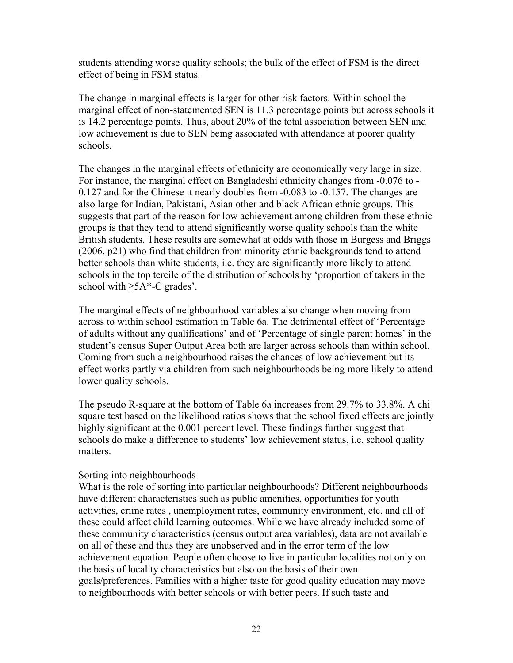students attending worse quality schools; the bulk of the effect of FSM is the direct effect of being in FSM status.

The change in marginal effects is larger for other risk factors. Within school the marginal effect of non-statemented SEN is 11.3 percentage points but across schools it is 14.2 percentage points. Thus, about 20% of the total association between SEN and low achievement is due to SEN being associated with attendance at poorer quality schools.

The changes in the marginal effects of ethnicity are economically very large in size. For instance, the marginal effect on Bangladeshi ethnicity changes from -0.076 to - 0.127 and for the Chinese it nearly doubles from -0.083 to -0.157. The changes are also large for Indian, Pakistani, Asian other and black African ethnic groups. This suggests that part of the reason for low achievement among children from these ethnic groups is that they tend to attend significantly worse quality schools than the white British students. These results are somewhat at odds with those in Burgess and Briggs (2006, p21) who find that children from minority ethnic backgrounds tend to attend better schools than white students, i.e. they are significantly more likely to attend schools in the top tercile of the distribution of schools by 'proportion of takers in the school with  $\geq 5A^*$ -C grades'.

The marginal effects of neighbourhood variables also change when moving from across to within school estimation in Table 6a. The detrimental effect of 'Percentage of adults without any qualifications' and of 'Percentage of single parent homes' in the student's census Super Output Area both are larger across schools than within school. Coming from such a neighbourhood raises the chances of low achievement but its effect works partly via children from such neighbourhoods being more likely to attend lower quality schools.

The pseudo R-square at the bottom of Table 6a increases from 29.7% to 33.8%. A chi square test based on the likelihood ratios shows that the school fixed effects are jointly highly significant at the 0.001 percent level. These findings further suggest that schools do make a difference to students' low achievement status, i.e. school quality matters.

#### Sorting into neighbourhoods

What is the role of sorting into particular neighbourhoods? Different neighbourhoods have different characteristics such as public amenities, opportunities for youth activities, crime rates , unemployment rates, community environment, etc. and all of these could affect child learning outcomes. While we have already included some of these community characteristics (census output area variables), data are not available on all of these and thus they are unobserved and in the error term of the low achievement equation. People often choose to live in particular localities not only on the basis of locality characteristics but also on the basis of their own goals/preferences. Families with a higher taste for good quality education may move to neighbourhoods with better schools or with better peers. If such taste and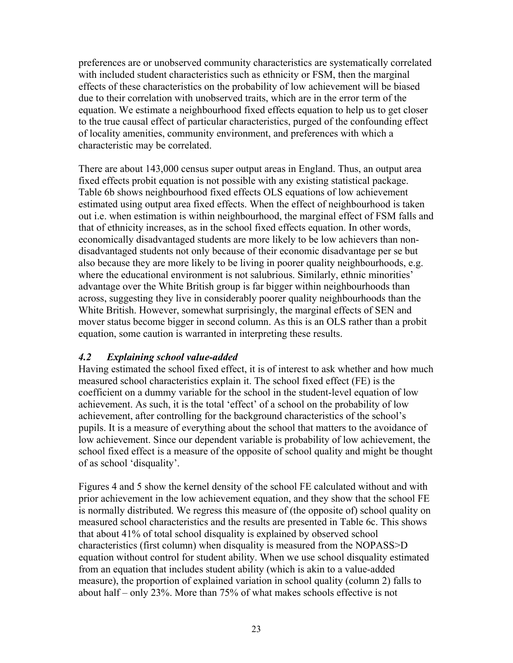preferences are or unobserved community characteristics are systematically correlated with included student characteristics such as ethnicity or FSM, then the marginal effects of these characteristics on the probability of low achievement will be biased due to their correlation with unobserved traits, which are in the error term of the equation. We estimate a neighbourhood fixed effects equation to help us to get closer to the true causal effect of particular characteristics, purged of the confounding effect of locality amenities, community environment, and preferences with which a characteristic may be correlated.

There are about 143,000 census super output areas in England. Thus, an output area fixed effects probit equation is not possible with any existing statistical package. Table 6b shows neighbourhood fixed effects OLS equations of low achievement estimated using output area fixed effects. When the effect of neighbourhood is taken out i.e. when estimation is within neighbourhood, the marginal effect of FSM falls and that of ethnicity increases, as in the school fixed effects equation. In other words, economically disadvantaged students are more likely to be low achievers than nondisadvantaged students not only because of their economic disadvantage per se but also because they are more likely to be living in poorer quality neighbourhoods, e.g. where the educational environment is not salubrious. Similarly, ethnic minorities' advantage over the White British group is far bigger within neighbourhoods than across, suggesting they live in considerably poorer quality neighbourhoods than the White British. However, somewhat surprisingly, the marginal effects of SEN and mover status become bigger in second column. As this is an OLS rather than a probit equation, some caution is warranted in interpreting these results.

#### *4.2 Explaining school value-added*

Having estimated the school fixed effect, it is of interest to ask whether and how much measured school characteristics explain it. The school fixed effect (FE) is the coefficient on a dummy variable for the school in the student-level equation of low achievement. As such, it is the total 'effect' of a school on the probability of low achievement, after controlling for the background characteristics of the school's pupils. It is a measure of everything about the school that matters to the avoidance of low achievement. Since our dependent variable is probability of low achievement, the school fixed effect is a measure of the opposite of school quality and might be thought of as school 'disquality'.

Figures 4 and 5 show the kernel density of the school FE calculated without and with prior achievement in the low achievement equation, and they show that the school FE is normally distributed. We regress this measure of (the opposite of) school quality on measured school characteristics and the results are presented in Table 6c. This shows that about 41% of total school disquality is explained by observed school characteristics (first column) when disquality is measured from the NOPASS>D equation without control for student ability. When we use school disquality estimated from an equation that includes student ability (which is akin to a value-added measure), the proportion of explained variation in school quality (column 2) falls to about half – only 23%. More than 75% of what makes schools effective is not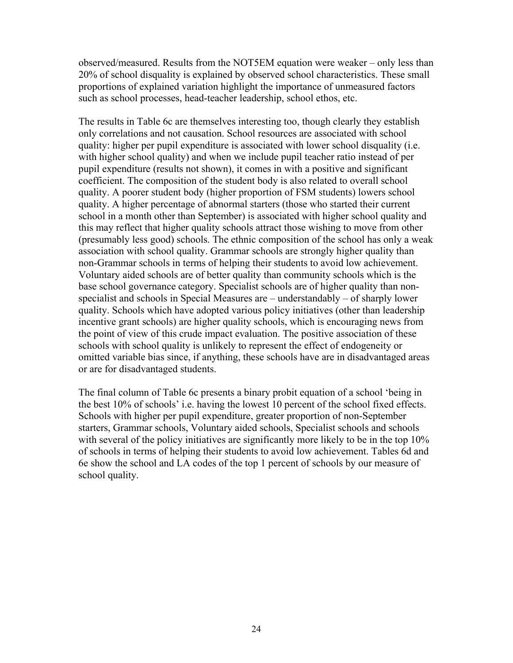observed/measured. Results from the NOT5EM equation were weaker – only less than 20% of school disquality is explained by observed school characteristics. These small proportions of explained variation highlight the importance of unmeasured factors such as school processes, head-teacher leadership, school ethos, etc.

The results in Table 6c are themselves interesting too, though clearly they establish only correlations and not causation. School resources are associated with school quality: higher per pupil expenditure is associated with lower school disquality (i.e. with higher school quality) and when we include pupil teacher ratio instead of per pupil expenditure (results not shown), it comes in with a positive and significant coefficient. The composition of the student body is also related to overall school quality. A poorer student body (higher proportion of FSM students) lowers school quality. A higher percentage of abnormal starters (those who started their current school in a month other than September) is associated with higher school quality and this may reflect that higher quality schools attract those wishing to move from other (presumably less good) schools. The ethnic composition of the school has only a weak association with school quality. Grammar schools are strongly higher quality than non-Grammar schools in terms of helping their students to avoid low achievement. Voluntary aided schools are of better quality than community schools which is the base school governance category. Specialist schools are of higher quality than nonspecialist and schools in Special Measures are – understandably – of sharply lower quality. Schools which have adopted various policy initiatives (other than leadership incentive grant schools) are higher quality schools, which is encouraging news from the point of view of this crude impact evaluation. The positive association of these schools with school quality is unlikely to represent the effect of endogeneity or omitted variable bias since, if anything, these schools have are in disadvantaged areas or are for disadvantaged students.

The final column of Table 6c presents a binary probit equation of a school 'being in the best 10% of schools' i.e. having the lowest 10 percent of the school fixed effects. Schools with higher per pupil expenditure, greater proportion of non-September starters, Grammar schools, Voluntary aided schools, Specialist schools and schools with several of the policy initiatives are significantly more likely to be in the top 10% of schools in terms of helping their students to avoid low achievement. Tables 6d and 6e show the school and LA codes of the top 1 percent of schools by our measure of school quality.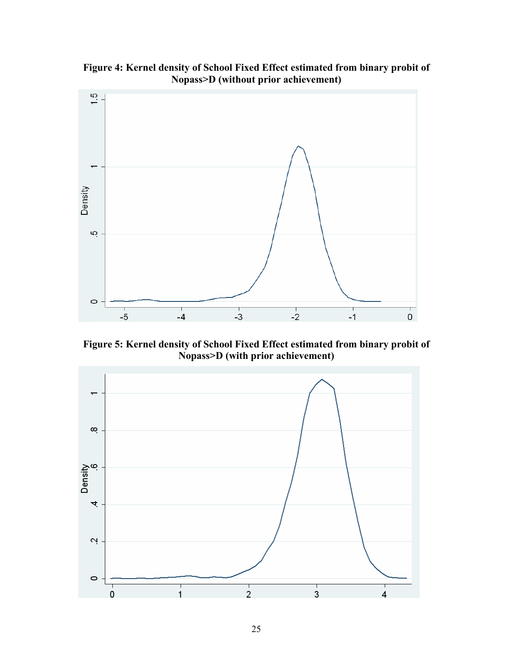**Figure 4: Kernel density of School Fixed Effect estimated from binary probit of Nopass>D (without prior achievement)** 



**Figure 5: Kernel density of School Fixed Effect estimated from binary probit of Nopass>D (with prior achievement)** 

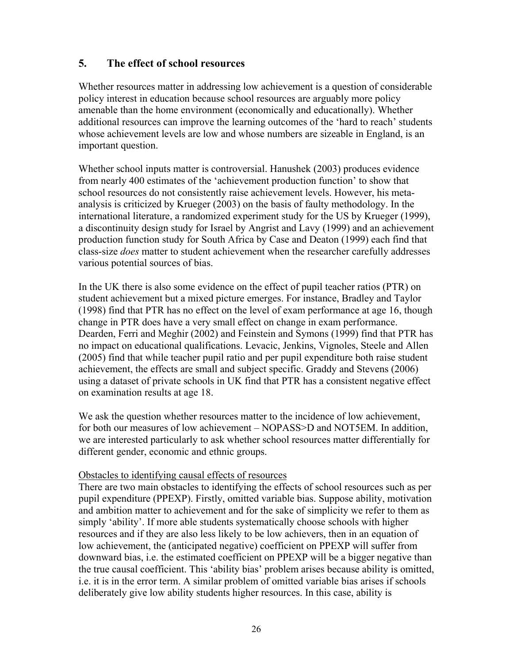### **5. The effect of school resources**

Whether resources matter in addressing low achievement is a question of considerable policy interest in education because school resources are arguably more policy amenable than the home environment (economically and educationally). Whether additional resources can improve the learning outcomes of the 'hard to reach' students whose achievement levels are low and whose numbers are sizeable in England, is an important question.

Whether school inputs matter is controversial. Hanushek (2003) produces evidence from nearly 400 estimates of the 'achievement production function' to show that school resources do not consistently raise achievement levels. However, his metaanalysis is criticized by Krueger (2003) on the basis of faulty methodology. In the international literature, a randomized experiment study for the US by Krueger (1999), a discontinuity design study for Israel by Angrist and Lavy (1999) and an achievement production function study for South Africa by Case and Deaton (1999) each find that class-size *does* matter to student achievement when the researcher carefully addresses various potential sources of bias.

In the UK there is also some evidence on the effect of pupil teacher ratios (PTR) on student achievement but a mixed picture emerges. For instance, Bradley and Taylor (1998) find that PTR has no effect on the level of exam performance at age 16, though change in PTR does have a very small effect on change in exam performance. Dearden, Ferri and Meghir (2002) and Feinstein and Symons (1999) find that PTR has no impact on educational qualifications. Levacic, Jenkins, Vignoles, Steele and Allen (2005) find that while teacher pupil ratio and per pupil expenditure both raise student achievement, the effects are small and subject specific. Graddy and Stevens (2006) using a dataset of private schools in UK find that PTR has a consistent negative effect on examination results at age 18.

We ask the question whether resources matter to the incidence of low achievement, for both our measures of low achievement – NOPASS>D and NOT5EM. In addition, we are interested particularly to ask whether school resources matter differentially for different gender, economic and ethnic groups.

#### Obstacles to identifying causal effects of resources

There are two main obstacles to identifying the effects of school resources such as per pupil expenditure (PPEXP). Firstly, omitted variable bias. Suppose ability, motivation and ambition matter to achievement and for the sake of simplicity we refer to them as simply 'ability'. If more able students systematically choose schools with higher resources and if they are also less likely to be low achievers, then in an equation of low achievement, the (anticipated negative) coefficient on PPEXP will suffer from downward bias, i.e. the estimated coefficient on PPEXP will be a bigger negative than the true causal coefficient. This 'ability bias' problem arises because ability is omitted, i.e. it is in the error term. A similar problem of omitted variable bias arises if schools deliberately give low ability students higher resources. In this case, ability is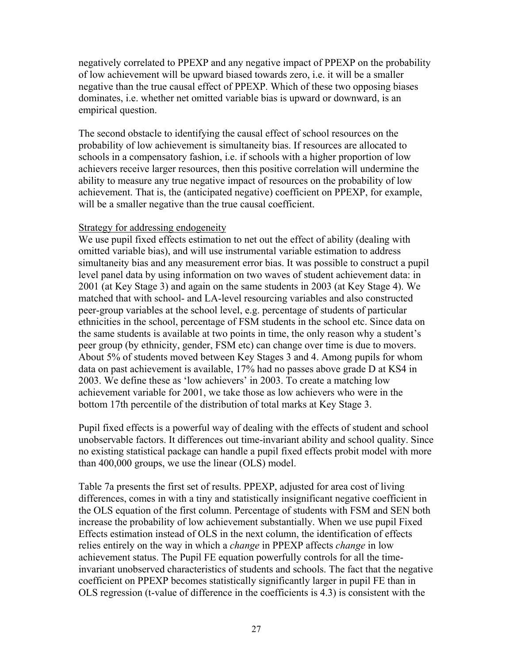negatively correlated to PPEXP and any negative impact of PPEXP on the probability of low achievement will be upward biased towards zero, i.e. it will be a smaller negative than the true causal effect of PPEXP. Which of these two opposing biases dominates, i.e. whether net omitted variable bias is upward or downward, is an empirical question.

The second obstacle to identifying the causal effect of school resources on the probability of low achievement is simultaneity bias. If resources are allocated to schools in a compensatory fashion, i.e. if schools with a higher proportion of low achievers receive larger resources, then this positive correlation will undermine the ability to measure any true negative impact of resources on the probability of low achievement. That is, the (anticipated negative) coefficient on PPEXP, for example, will be a smaller negative than the true causal coefficient.

#### Strategy for addressing endogeneity

We use pupil fixed effects estimation to net out the effect of ability (dealing with omitted variable bias), and will use instrumental variable estimation to address simultaneity bias and any measurement error bias. It was possible to construct a pupil level panel data by using information on two waves of student achievement data: in 2001 (at Key Stage 3) and again on the same students in 2003 (at Key Stage 4). We matched that with school- and LA-level resourcing variables and also constructed peer-group variables at the school level, e.g. percentage of students of particular ethnicities in the school, percentage of FSM students in the school etc. Since data on the same students is available at two points in time, the only reason why a student's peer group (by ethnicity, gender, FSM etc) can change over time is due to movers. About 5% of students moved between Key Stages 3 and 4. Among pupils for whom data on past achievement is available, 17% had no passes above grade D at KS4 in 2003. We define these as 'low achievers' in 2003. To create a matching low achievement variable for 2001, we take those as low achievers who were in the bottom 17th percentile of the distribution of total marks at Key Stage 3.

Pupil fixed effects is a powerful way of dealing with the effects of student and school unobservable factors. It differences out time-invariant ability and school quality. Since no existing statistical package can handle a pupil fixed effects probit model with more than 400,000 groups, we use the linear (OLS) model.

Table 7a presents the first set of results. PPEXP, adjusted for area cost of living differences, comes in with a tiny and statistically insignificant negative coefficient in the OLS equation of the first column. Percentage of students with FSM and SEN both increase the probability of low achievement substantially. When we use pupil Fixed Effects estimation instead of OLS in the next column, the identification of effects relies entirely on the way in which a *change* in PPEXP affects *change* in low achievement status. The Pupil FE equation powerfully controls for all the timeinvariant unobserved characteristics of students and schools. The fact that the negative coefficient on PPEXP becomes statistically significantly larger in pupil FE than in OLS regression (t-value of difference in the coefficients is 4.3) is consistent with the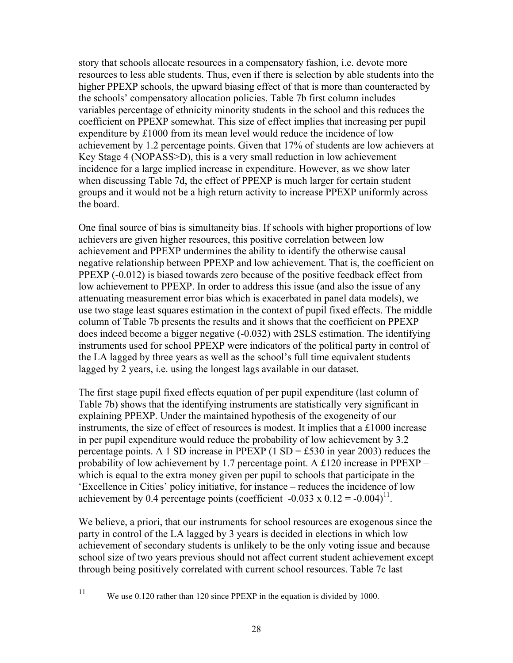story that schools allocate resources in a compensatory fashion, i.e. devote more resources to less able students. Thus, even if there is selection by able students into the higher PPEXP schools, the upward biasing effect of that is more than counteracted by the schools' compensatory allocation policies. Table 7b first column includes variables percentage of ethnicity minority students in the school and this reduces the coefficient on PPEXP somewhat. This size of effect implies that increasing per pupil expenditure by £1000 from its mean level would reduce the incidence of low achievement by 1.2 percentage points. Given that 17% of students are low achievers at Key Stage 4 (NOPASS>D), this is a very small reduction in low achievement incidence for a large implied increase in expenditure. However, as we show later when discussing Table 7d, the effect of PPEXP is much larger for certain student groups and it would not be a high return activity to increase PPEXP uniformly across the board.

One final source of bias is simultaneity bias. If schools with higher proportions of low achievers are given higher resources, this positive correlation between low achievement and PPEXP undermines the ability to identify the otherwise causal negative relationship between PPEXP and low achievement. That is, the coefficient on PPEXP (-0.012) is biased towards zero because of the positive feedback effect from low achievement to PPEXP. In order to address this issue (and also the issue of any attenuating measurement error bias which is exacerbated in panel data models), we use two stage least squares estimation in the context of pupil fixed effects. The middle column of Table 7b presents the results and it shows that the coefficient on PPEXP does indeed become a bigger negative (-0.032) with 2SLS estimation. The identifying instruments used for school PPEXP were indicators of the political party in control of the LA lagged by three years as well as the school's full time equivalent students lagged by 2 years, i.e. using the longest lags available in our dataset.

The first stage pupil fixed effects equation of per pupil expenditure (last column of Table 7b) shows that the identifying instruments are statistically very significant in explaining PPEXP. Under the maintained hypothesis of the exogeneity of our instruments, the size of effect of resources is modest. It implies that a £1000 increase in per pupil expenditure would reduce the probability of low achievement by 3.2 percentage points. A 1 SD increase in PPEXP (1 SD = £530 in year 2003) reduces the probability of low achievement by 1.7 percentage point. A £120 increase in PPEXP – which is equal to the extra money given per pupil to schools that participate in the 'Excellence in Cities' policy initiative, for instance – reduces the incidence of low achievement by 0.4 percentage points (coefficient -0.033 x  $0.12 = -0.004$ )<sup>11</sup>.

We believe, a priori, that our instruments for school resources are exogenous since the party in control of the LA lagged by 3 years is decided in elections in which low achievement of secondary students is unlikely to be the only voting issue and because school size of two years previous should not affect current student achievement except through being positively correlated with current school resources. Table 7c last

11

We use 0.120 rather than 120 since PPEXP in the equation is divided by 1000.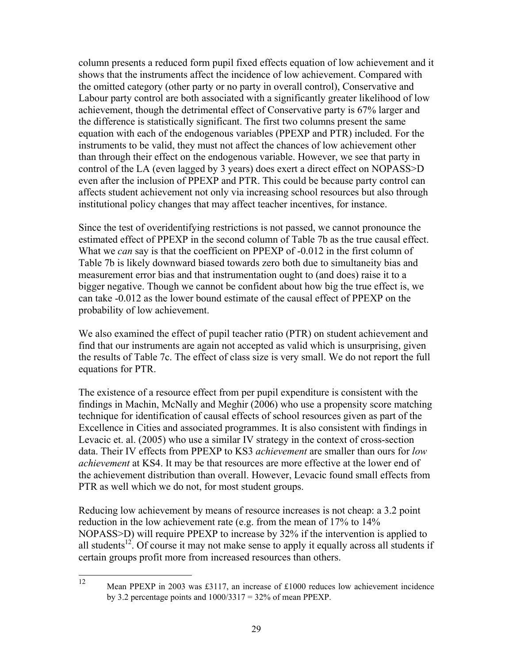column presents a reduced form pupil fixed effects equation of low achievement and it shows that the instruments affect the incidence of low achievement. Compared with the omitted category (other party or no party in overall control), Conservative and Labour party control are both associated with a significantly greater likelihood of low achievement, though the detrimental effect of Conservative party is 67% larger and the difference is statistically significant. The first two columns present the same equation with each of the endogenous variables (PPEXP and PTR) included. For the instruments to be valid, they must not affect the chances of low achievement other than through their effect on the endogenous variable. However, we see that party in control of the LA (even lagged by 3 years) does exert a direct effect on NOPASS>D even after the inclusion of PPEXP and PTR. This could be because party control can affects student achievement not only via increasing school resources but also through institutional policy changes that may affect teacher incentives, for instance.

Since the test of overidentifying restrictions is not passed, we cannot pronounce the estimated effect of PPEXP in the second column of Table 7b as the true causal effect. What we *can* say is that the coefficient on PPEXP of -0.012 in the first column of Table 7b is likely downward biased towards zero both due to simultaneity bias and measurement error bias and that instrumentation ought to (and does) raise it to a bigger negative. Though we cannot be confident about how big the true effect is, we can take -0.012 as the lower bound estimate of the causal effect of PPEXP on the probability of low achievement.

We also examined the effect of pupil teacher ratio (PTR) on student achievement and find that our instruments are again not accepted as valid which is unsurprising, given the results of Table 7c. The effect of class size is very small. We do not report the full equations for PTR.

The existence of a resource effect from per pupil expenditure is consistent with the findings in Machin, McNally and Meghir (2006) who use a propensity score matching technique for identification of causal effects of school resources given as part of the Excellence in Cities and associated programmes. It is also consistent with findings in Levacic et. al. (2005) who use a similar IV strategy in the context of cross-section data. Their IV effects from PPEXP to KS3 *achievement* are smaller than ours for *low achievement* at KS4. It may be that resources are more effective at the lower end of the achievement distribution than overall. However, Levacic found small effects from PTR as well which we do not, for most student groups.

Reducing low achievement by means of resource increases is not cheap: a 3.2 point reduction in the low achievement rate (e.g. from the mean of 17% to 14% NOPASS>D) will require PPEXP to increase by 32% if the intervention is applied to all students<sup>12</sup>. Of course it may not make sense to apply it equally across all students if certain groups profit more from increased resources than others.

 $12$ 

Mean PPEXP in 2003 was £3117, an increase of £1000 reduces low achievement incidence by 3.2 percentage points and  $1000/3317 = 32\%$  of mean PPEXP.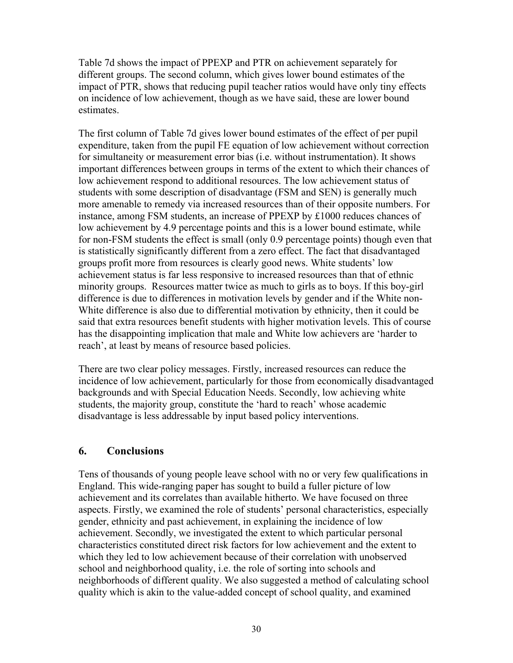Table 7d shows the impact of PPEXP and PTR on achievement separately for different groups. The second column, which gives lower bound estimates of the impact of PTR, shows that reducing pupil teacher ratios would have only tiny effects on incidence of low achievement, though as we have said, these are lower bound estimates.

The first column of Table 7d gives lower bound estimates of the effect of per pupil expenditure, taken from the pupil FE equation of low achievement without correction for simultaneity or measurement error bias (i.e. without instrumentation). It shows important differences between groups in terms of the extent to which their chances of low achievement respond to additional resources. The low achievement status of students with some description of disadvantage (FSM and SEN) is generally much more amenable to remedy via increased resources than of their opposite numbers. For instance, among FSM students, an increase of PPEXP by £1000 reduces chances of low achievement by 4.9 percentage points and this is a lower bound estimate, while for non-FSM students the effect is small (only 0.9 percentage points) though even that is statistically significantly different from a zero effect. The fact that disadvantaged groups profit more from resources is clearly good news. White students' low achievement status is far less responsive to increased resources than that of ethnic minority groups. Resources matter twice as much to girls as to boys. If this boy-girl difference is due to differences in motivation levels by gender and if the White non-White difference is also due to differential motivation by ethnicity, then it could be said that extra resources benefit students with higher motivation levels. This of course has the disappointing implication that male and White low achievers are 'harder to reach', at least by means of resource based policies.

There are two clear policy messages. Firstly, increased resources can reduce the incidence of low achievement, particularly for those from economically disadvantaged backgrounds and with Special Education Needs. Secondly, low achieving white students, the majority group, constitute the 'hard to reach' whose academic disadvantage is less addressable by input based policy interventions.

#### **6. Conclusions**

Tens of thousands of young people leave school with no or very few qualifications in England. This wide-ranging paper has sought to build a fuller picture of low achievement and its correlates than available hitherto. We have focused on three aspects. Firstly, we examined the role of students' personal characteristics, especially gender, ethnicity and past achievement, in explaining the incidence of low achievement. Secondly, we investigated the extent to which particular personal characteristics constituted direct risk factors for low achievement and the extent to which they led to low achievement because of their correlation with unobserved school and neighborhood quality, i.e. the role of sorting into schools and neighborhoods of different quality. We also suggested a method of calculating school quality which is akin to the value-added concept of school quality, and examined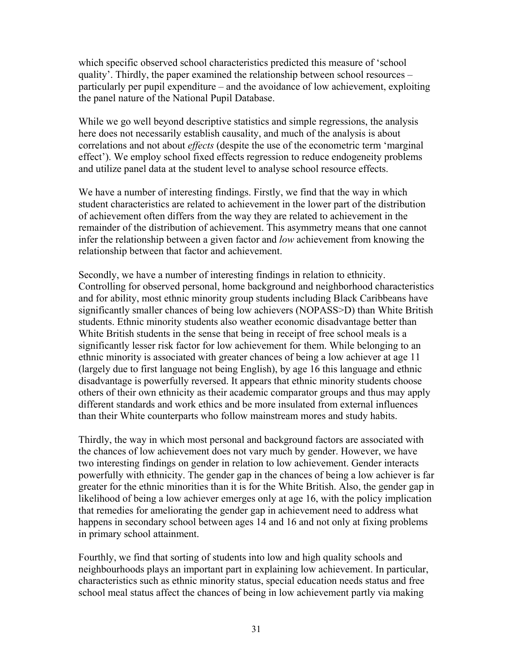which specific observed school characteristics predicted this measure of 'school quality'. Thirdly, the paper examined the relationship between school resources – particularly per pupil expenditure – and the avoidance of low achievement, exploiting the panel nature of the National Pupil Database.

While we go well beyond descriptive statistics and simple regressions, the analysis here does not necessarily establish causality, and much of the analysis is about correlations and not about *effects* (despite the use of the econometric term 'marginal effect'). We employ school fixed effects regression to reduce endogeneity problems and utilize panel data at the student level to analyse school resource effects.

We have a number of interesting findings. Firstly, we find that the way in which student characteristics are related to achievement in the lower part of the distribution of achievement often differs from the way they are related to achievement in the remainder of the distribution of achievement. This asymmetry means that one cannot infer the relationship between a given factor and *low* achievement from knowing the relationship between that factor and achievement.

Secondly, we have a number of interesting findings in relation to ethnicity. Controlling for observed personal, home background and neighborhood characteristics and for ability, most ethnic minority group students including Black Caribbeans have significantly smaller chances of being low achievers (NOPASS>D) than White British students. Ethnic minority students also weather economic disadvantage better than White British students in the sense that being in receipt of free school meals is a significantly lesser risk factor for low achievement for them. While belonging to an ethnic minority is associated with greater chances of being a low achiever at age 11 (largely due to first language not being English), by age 16 this language and ethnic disadvantage is powerfully reversed. It appears that ethnic minority students choose others of their own ethnicity as their academic comparator groups and thus may apply different standards and work ethics and be more insulated from external influences than their White counterparts who follow mainstream mores and study habits.

Thirdly, the way in which most personal and background factors are associated with the chances of low achievement does not vary much by gender. However, we have two interesting findings on gender in relation to low achievement. Gender interacts powerfully with ethnicity. The gender gap in the chances of being a low achiever is far greater for the ethnic minorities than it is for the White British. Also, the gender gap in likelihood of being a low achiever emerges only at age 16, with the policy implication that remedies for ameliorating the gender gap in achievement need to address what happens in secondary school between ages 14 and 16 and not only at fixing problems in primary school attainment.

Fourthly, we find that sorting of students into low and high quality schools and neighbourhoods plays an important part in explaining low achievement. In particular, characteristics such as ethnic minority status, special education needs status and free school meal status affect the chances of being in low achievement partly via making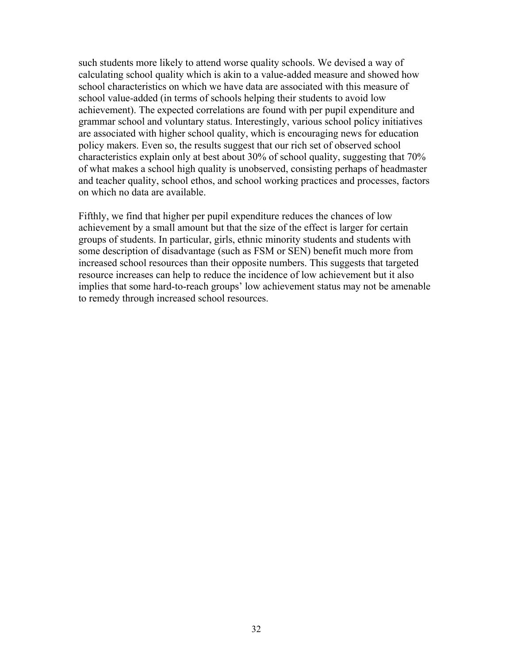such students more likely to attend worse quality schools. We devised a way of calculating school quality which is akin to a value-added measure and showed how school characteristics on which we have data are associated with this measure of school value-added (in terms of schools helping their students to avoid low achievement). The expected correlations are found with per pupil expenditure and grammar school and voluntary status. Interestingly, various school policy initiatives are associated with higher school quality, which is encouraging news for education policy makers. Even so, the results suggest that our rich set of observed school characteristics explain only at best about 30% of school quality, suggesting that 70% of what makes a school high quality is unobserved, consisting perhaps of headmaster and teacher quality, school ethos, and school working practices and processes, factors on which no data are available.

Fifthly, we find that higher per pupil expenditure reduces the chances of low achievement by a small amount but that the size of the effect is larger for certain groups of students. In particular, girls, ethnic minority students and students with some description of disadvantage (such as FSM or SEN) benefit much more from increased school resources than their opposite numbers. This suggests that targeted resource increases can help to reduce the incidence of low achievement but it also implies that some hard-to-reach groups' low achievement status may not be amenable to remedy through increased school resources.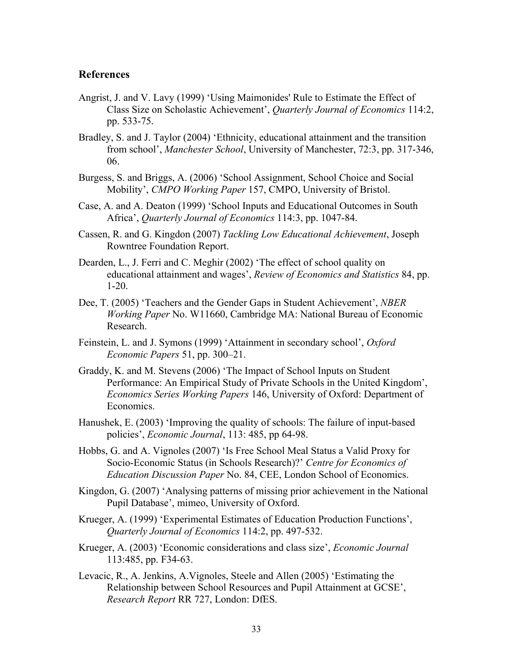#### **References**

- Angrist, J. and V. Lavy (1999) 'Using Maimonides' Rule to Estimate the Effect of Class Size on Scholastic Achievement', *Quarterly Journal of Economics* 114:2, pp. 533-75.
- Bradley, S. and J. Taylor (2004) 'Ethnicity, educational attainment and the transition from school', *Manchester School*, University of Manchester, 72:3, pp. 317-346, 06.
- Burgess, S. and Briggs, A. (2006) 'School Assignment, School Choice and Social Mobility', *CMPO Working Paper* 157, CMPO, University of Bristol.
- Case, A. and A. Deaton (1999) 'School Inputs and Educational Outcomes in South Africa', *Quarterly Journal of Economics* 114:3, pp. 1047-84.
- Cassen, R. and G. Kingdon (2007) *Tackling Low Educational Achievement*, Joseph Rowntree Foundation Report.
- Dearden, L., J. Ferri and C. Meghir (2002) 'The effect of school quality on educational attainment and wages', *Review of Economics and Statistics* 84, pp. 1-20.
- Dee, T. (2005) 'Teachers and the Gender Gaps in Student Achievement', *NBER Working Paper* No. W11660, Cambridge MA: National Bureau of Economic Research.
- Feinstein, L. and J. Symons (1999) 'Attainment in secondary school', *Oxford Economic Papers* 51, pp. 300–21.
- Graddy, K. and M. Stevens (2006) 'The Impact of School Inputs on Student Performance: An Empirical Study of Private Schools in the United Kingdom', *Economics Series Working Papers* 146, University of Oxford: Department of Economics.
- Hanushek, E. (2003) 'Improving the quality of schools: The failure of input-based policies', *Economic Journal*, 113: 485, pp 64-98.
- Hobbs, G. and A. Vignoles (2007) 'Is Free School Meal Status a Valid Proxy for Socio-Economic Status (in Schools Research)?' *Centre for Economics of Education Discussion Paper* No. 84, CEE, London School of Economics.
- Kingdon, G. (2007) 'Analysing patterns of missing prior achievement in the National Pupil Database', mimeo, University of Oxford.
- Krueger, A. (1999) 'Experimental Estimates of Education Production Functions', *Quarterly Journal of Economics* 114:2, pp. 497-532.
- Krueger, A. (2003) 'Economic considerations and class size', *Economic Journal* 113:485, pp. F34-63.
- Levacic, R., A. Jenkins, A.Vignoles, Steele and Allen (2005) 'Estimating the Relationship between School Resources and Pupil Attainment at GCSE', *Research Report* RR 727, London: DfES.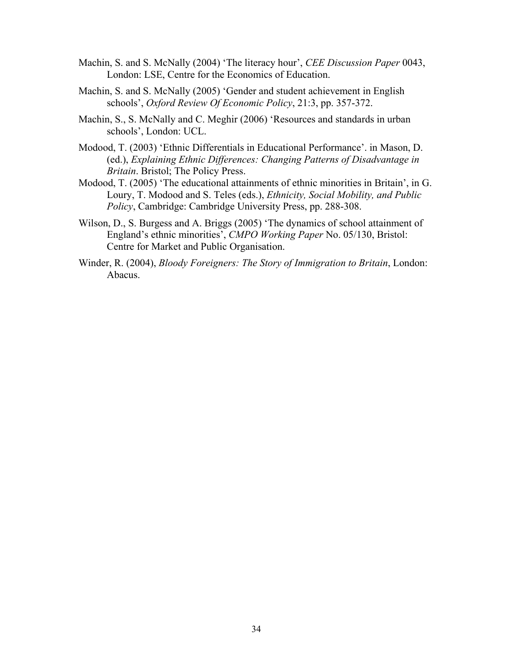- Machin, S. and S. McNally (2004) 'The literacy hour', *CEE Discussion Paper* 0043, London: LSE, Centre for the Economics of Education.
- Machin, S. and S. McNally (2005) 'Gender and student achievement in English schools', *Oxford Review Of Economic Policy*, 21:3, pp. 357-372.
- Machin, S., S. McNally and C. Meghir (2006) 'Resources and standards in urban schools', London: UCL.
- Modood, T. (2003) 'Ethnic Differentials in Educational Performance'. in Mason, D. (ed.), *Explaining Ethnic Differences: Changing Patterns of Disadvantage in Britain*. Bristol; The Policy Press.
- Modood, T. (2005) 'The educational attainments of ethnic minorities in Britain', in G. Loury, T. Modood and S. Teles (eds.), *Ethnicity, Social Mobility, and Public Policy*, Cambridge: Cambridge University Press, pp. 288-308.
- Wilson, D., S. Burgess and A. Briggs (2005) 'The dynamics of school attainment of England's ethnic minorities', *CMPO Working Paper* No. 05/130, Bristol: Centre for Market and Public Organisation.
- Winder, R. (2004), *Bloody Foreigners: The Story of Immigration to Britain*, London: Abacus.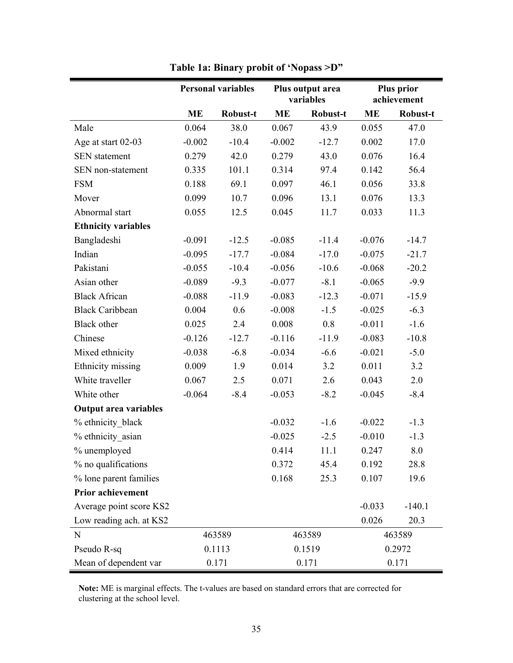|                              | <b>Personal variables</b><br>Plus output area<br>variables |          |           |          | <b>Plus prior</b><br>achievement |          |
|------------------------------|------------------------------------------------------------|----------|-----------|----------|----------------------------------|----------|
|                              | ME                                                         | Robust-t | <b>ME</b> | Robust-t | <b>ME</b>                        | Robust-t |
| Male                         | 0.064                                                      | 38.0     | 0.067     | 43.9     | 0.055                            | 47.0     |
| Age at start 02-03           | $-0.002$                                                   | $-10.4$  | $-0.002$  | $-12.7$  | 0.002                            | 17.0     |
| <b>SEN</b> statement         | 0.279                                                      | 42.0     | 0.279     | 43.0     | 0.076                            | 16.4     |
| SEN non-statement            | 0.335                                                      | 101.1    | 0.314     | 97.4     | 0.142                            | 56.4     |
| <b>FSM</b>                   | 0.188                                                      | 69.1     | 0.097     | 46.1     | 0.056                            | 33.8     |
| Mover                        | 0.099                                                      | 10.7     | 0.096     | 13.1     | 0.076                            | 13.3     |
| Abnormal start               | 0.055                                                      | 12.5     | 0.045     | 11.7     | 0.033                            | 11.3     |
| <b>Ethnicity variables</b>   |                                                            |          |           |          |                                  |          |
| Bangladeshi                  | $-0.091$                                                   | $-12.5$  | $-0.085$  | $-11.4$  | $-0.076$                         | $-14.7$  |
| Indian                       | $-0.095$                                                   | $-17.7$  | $-0.084$  | $-17.0$  | $-0.075$                         | $-21.7$  |
| Pakistani                    | $-0.055$                                                   | $-10.4$  | $-0.056$  | $-10.6$  | $-0.068$                         | $-20.2$  |
| Asian other                  | $-0.089$                                                   | $-9.3$   | $-0.077$  | $-8.1$   | $-0.065$                         | $-9.9$   |
| <b>Black African</b>         | $-0.088$                                                   | $-11.9$  | $-0.083$  | $-12.3$  | $-0.071$                         | $-15.9$  |
| <b>Black Caribbean</b>       | 0.004                                                      | 0.6      | $-0.008$  | $-1.5$   | $-0.025$                         | $-6.3$   |
| Black other                  | 0.025                                                      | 2.4      | 0.008     | 0.8      | $-0.011$                         | $-1.6$   |
| Chinese                      | $-0.126$                                                   | $-12.7$  | $-0.116$  | $-11.9$  | $-0.083$                         | $-10.8$  |
| Mixed ethnicity              | $-0.038$                                                   | $-6.8$   | $-0.034$  | $-6.6$   | $-0.021$                         | $-5.0$   |
| Ethnicity missing            | 0.009                                                      | 1.9      | 0.014     | 3.2      | 0.011                            | 3.2      |
| White traveller              | 0.067                                                      | 2.5      | 0.071     | 2.6      | 0.043                            | 2.0      |
| White other                  | $-0.064$                                                   | $-8.4$   | $-0.053$  | $-8.2$   | $-0.045$                         | $-8.4$   |
| <b>Output area variables</b> |                                                            |          |           |          |                                  |          |
| % ethnicity black            |                                                            |          | $-0.032$  | $-1.6$   | $-0.022$                         | $-1.3$   |
| % ethnicity asian            |                                                            |          | $-0.025$  | $-2.5$   | $-0.010$                         | $-1.3$   |
| % unemployed                 |                                                            |          | 0.414     | 11.1     | 0.247                            | 8.0      |
| % no qualifications          |                                                            |          | 0.372     | 45.4     | 0.192                            | 28.8     |
| % lone parent families       |                                                            |          | 0.168     | 25.3     | 0.107                            | 19.6     |
| <b>Prior achievement</b>     |                                                            |          |           |          |                                  |          |
| Average point score KS2      |                                                            |          |           |          | $-0.033$                         | $-140.1$ |
| Low reading ach. at KS2      |                                                            |          |           |          | 0.026                            | 20.3     |
| N                            |                                                            | 463589   | 463589    |          |                                  | 463589   |
| Pseudo R-sq                  |                                                            | 0.1113   |           | 0.1519   |                                  | 0.2972   |
| Mean of dependent var        |                                                            | 0.171    | 0.171     |          | 0.171                            |          |

**Table 1a: Binary probit of 'Nopass >D"** 

**Note:** ME is marginal effects. The t-values are based on standard errors that are corrected for clustering at the school level.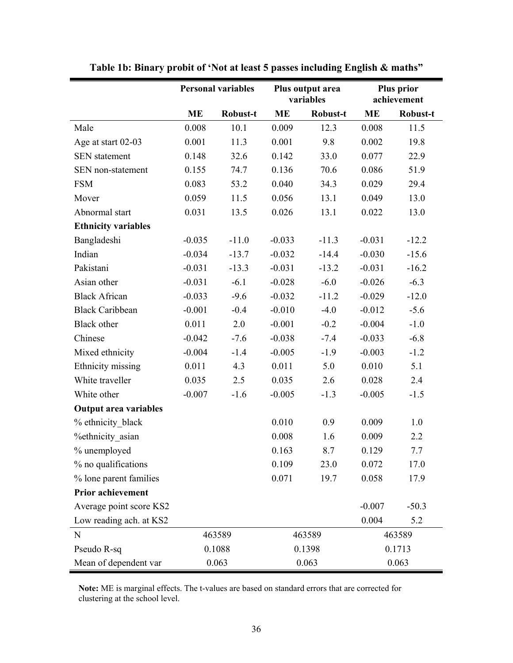|                              | <b>Personal variables</b> |          |           | Plus output area<br>variables |           | <b>Plus prior</b><br>achievement |
|------------------------------|---------------------------|----------|-----------|-------------------------------|-----------|----------------------------------|
|                              | <b>ME</b>                 | Robust-t | <b>ME</b> | Robust-t                      | <b>ME</b> | Robust-t                         |
| Male                         | 0.008                     | 10.1     | 0.009     | 12.3                          | 0.008     | 11.5                             |
| Age at start 02-03           | 0.001                     | 11.3     | 0.001     | 9.8                           | 0.002     | 19.8                             |
| <b>SEN</b> statement         | 0.148                     | 32.6     | 0.142     | 33.0                          | 0.077     | 22.9                             |
| SEN non-statement            | 0.155                     | 74.7     | 0.136     | 70.6                          | 0.086     | 51.9                             |
| <b>FSM</b>                   | 0.083                     | 53.2     | 0.040     | 34.3                          | 0.029     | 29.4                             |
| Mover                        | 0.059                     | 11.5     | 0.056     | 13.1                          | 0.049     | 13.0                             |
| Abnormal start               | 0.031                     | 13.5     | 0.026     | 13.1                          | 0.022     | 13.0                             |
| <b>Ethnicity variables</b>   |                           |          |           |                               |           |                                  |
| Bangladeshi                  | $-0.035$                  | $-11.0$  | $-0.033$  | $-11.3$                       | $-0.031$  | $-12.2$                          |
| Indian                       | $-0.034$                  | $-13.7$  | $-0.032$  | $-14.4$                       | $-0.030$  | $-15.6$                          |
| Pakistani                    | $-0.031$                  | $-13.3$  | $-0.031$  | $-13.2$                       | $-0.031$  | $-16.2$                          |
| Asian other                  | $-0.031$                  | $-6.1$   | $-0.028$  | $-6.0$                        | $-0.026$  | $-6.3$                           |
| <b>Black African</b>         | $-0.033$                  | $-9.6$   | $-0.032$  | $-11.2$                       | $-0.029$  | $-12.0$                          |
| <b>Black Caribbean</b>       | $-0.001$                  | $-0.4$   | $-0.010$  | $-4.0$                        | $-0.012$  | $-5.6$                           |
| <b>Black</b> other           | 0.011                     | 2.0      | $-0.001$  | $-0.2$                        | $-0.004$  | $-1.0$                           |
| Chinese                      | $-0.042$                  | $-7.6$   | $-0.038$  | $-7.4$                        | $-0.033$  | $-6.8$                           |
| Mixed ethnicity              | $-0.004$                  | $-1.4$   | $-0.005$  | $-1.9$                        | $-0.003$  | $-1.2$                           |
| Ethnicity missing            | 0.011                     | 4.3      | 0.011     | 5.0                           | 0.010     | 5.1                              |
| White traveller              | 0.035                     | 2.5      | 0.035     | 2.6                           | 0.028     | 2.4                              |
| White other                  | $-0.007$                  | $-1.6$   | $-0.005$  | $-1.3$                        | $-0.005$  | $-1.5$                           |
| <b>Output area variables</b> |                           |          |           |                               |           |                                  |
| % ethnicity black            |                           |          | 0.010     | 0.9                           | 0.009     | 1.0                              |
| <b>%ethnicity</b> asian      |                           |          | 0.008     | 1.6                           | 0.009     | 2.2                              |
| % unemployed                 |                           |          | 0.163     | 8.7                           | 0.129     | 7.7                              |
| % no qualifications          |                           |          | 0.109     | 23.0                          | 0.072     | 17.0                             |
| % lone parent families       |                           |          | 0.071     | 19.7                          | 0.058     | 17.9                             |
| <b>Prior achievement</b>     |                           |          |           |                               |           |                                  |
| Average point score KS2      |                           |          |           |                               | $-0.007$  | $-50.3$                          |
| Low reading ach. at KS2      |                           |          |           |                               | 0.004     | 5.2                              |
| N                            |                           | 463589   | 463589    |                               | 463589    |                                  |
| Pseudo R-sq                  |                           | 0.1088   |           | 0.1398                        |           | 0.1713                           |
| Mean of dependent var        |                           | 0.063    | 0.063     |                               | 0.063     |                                  |

**Table 1b: Binary probit of 'Not at least 5 passes including English & maths"** 

**Note:** ME is marginal effects. The t-values are based on standard errors that are corrected for clustering at the school level.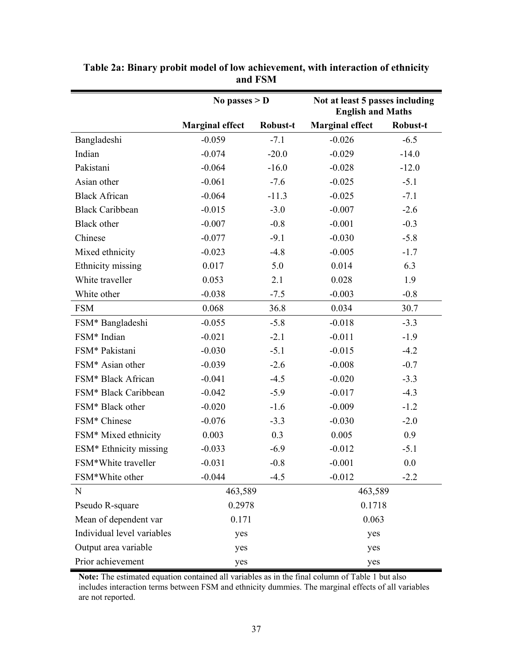|                              | No passes $> D$        |          | Not at least 5 passes including<br><b>English and Maths</b> |          |  |
|------------------------------|------------------------|----------|-------------------------------------------------------------|----------|--|
|                              | <b>Marginal effect</b> | Robust-t | <b>Marginal effect</b>                                      | Robust-t |  |
| Bangladeshi                  | $-0.059$               | $-7.1$   | $-0.026$                                                    | $-6.5$   |  |
| Indian                       | $-0.074$               | $-20.0$  | $-0.029$                                                    | $-14.0$  |  |
| Pakistani                    | $-0.064$               | $-16.0$  | $-0.028$                                                    | $-12.0$  |  |
| Asian other                  | $-0.061$               | $-7.6$   | $-0.025$                                                    | $-5.1$   |  |
| <b>Black African</b>         | $-0.064$               | $-11.3$  | $-0.025$                                                    | $-7.1$   |  |
| <b>Black Caribbean</b>       | $-0.015$               | $-3.0$   | $-0.007$                                                    | $-2.6$   |  |
| <b>Black</b> other           | $-0.007$               | $-0.8$   | $-0.001$                                                    | $-0.3$   |  |
| Chinese                      | $-0.077$               | $-9.1$   | $-0.030$                                                    | $-5.8$   |  |
| Mixed ethnicity              | $-0.023$               | $-4.8$   | $-0.005$                                                    | $-1.7$   |  |
| Ethnicity missing            | 0.017                  | 5.0      | 0.014                                                       | 6.3      |  |
| White traveller              | 0.053                  | 2.1      | 0.028                                                       | 1.9      |  |
| White other                  | $-0.038$               | $-7.5$   | $-0.003$                                                    | $-0.8$   |  |
| <b>FSM</b>                   | 0.068                  | 36.8     | 0.034                                                       | 30.7     |  |
| FSM* Bangladeshi             | $-0.055$               | $-5.8$   | $-0.018$                                                    | $-3.3$   |  |
| FSM* Indian                  | $-0.021$               | $-2.1$   | $-0.011$                                                    | $-1.9$   |  |
| FSM* Pakistani               | $-0.030$               | $-5.1$   | $-0.015$                                                    | $-4.2$   |  |
| FSM* Asian other             | $-0.039$               | $-2.6$   | $-0.008$                                                    | $-0.7$   |  |
| FSM* Black African           | $-0.041$               | $-4.5$   | $-0.020$                                                    | $-3.3$   |  |
| FSM* Black Caribbean         | $-0.042$               | $-5.9$   | $-0.017$                                                    | $-4.3$   |  |
| FSM <sup>*</sup> Black other | $-0.020$               | $-1.6$   | $-0.009$                                                    | $-1.2$   |  |
| FSM* Chinese                 | $-0.076$               | $-3.3$   | $-0.030$                                                    | $-2.0$   |  |
| FSM* Mixed ethnicity         | 0.003                  | 0.3      | 0.005                                                       | 0.9      |  |
| ESM* Ethnicity missing       | $-0.033$               | $-6.9$   | $-0.012$                                                    | $-5.1$   |  |
| FSM*White traveller          | $-0.031$               | $-0.8$   | $-0.001$                                                    | 0.0      |  |
| FSM*White other              | $-0.044$               | $-4.5$   | $-0.012$                                                    | $-2.2$   |  |
| $\mathbf N$                  | 463,589                |          | 463,589                                                     |          |  |
| Pseudo R-square              | 0.2978                 |          | 0.1718                                                      |          |  |
| Mean of dependent var        | 0.171                  |          | 0.063                                                       |          |  |
| Individual level variables   | yes                    |          | yes                                                         |          |  |
| Output area variable         | yes                    |          | yes                                                         |          |  |
| Prior achievement            | yes                    |          |                                                             | yes      |  |

**Table 2a: Binary probit model of low achievement, with interaction of ethnicity and FSM** 

**Note:** The estimated equation contained all variables as in the final column of Table 1 but also includes interaction terms between FSM and ethnicity dummies. The marginal effects of all variables are not reported.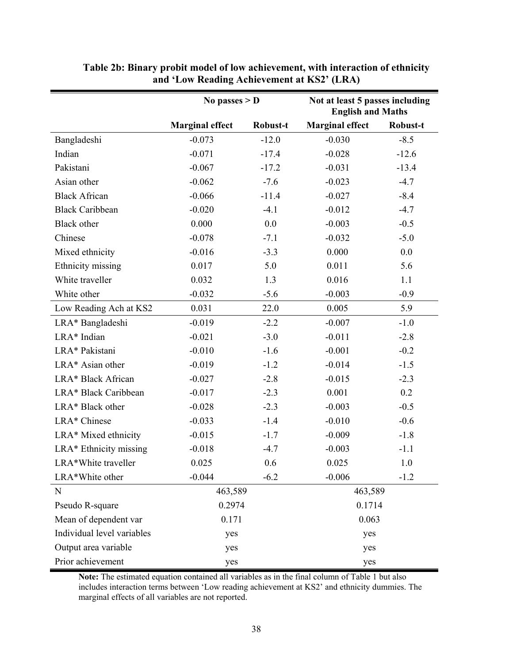|                            | No passes $> D$        |          | Not at least 5 passes including<br><b>English and Maths</b> |          |
|----------------------------|------------------------|----------|-------------------------------------------------------------|----------|
|                            | <b>Marginal effect</b> | Robust-t | <b>Marginal effect</b>                                      | Robust-t |
| Bangladeshi                | $-0.073$               | $-12.0$  | $-0.030$                                                    | $-8.5$   |
| Indian                     | $-0.071$               | $-17.4$  | $-0.028$                                                    | $-12.6$  |
| Pakistani                  | $-0.067$               | $-17.2$  | $-0.031$                                                    | $-13.4$  |
| Asian other                | $-0.062$               | $-7.6$   | $-0.023$                                                    | $-4.7$   |
| <b>Black African</b>       | $-0.066$               | $-11.4$  | $-0.027$                                                    | $-8.4$   |
| <b>Black Caribbean</b>     | $-0.020$               | $-4.1$   | $-0.012$                                                    | $-4.7$   |
| <b>Black</b> other         | 0.000                  | 0.0      | $-0.003$                                                    | $-0.5$   |
| Chinese                    | $-0.078$               | $-7.1$   | $-0.032$                                                    | $-5.0$   |
| Mixed ethnicity            | $-0.016$               | $-3.3$   | 0.000                                                       | 0.0      |
| Ethnicity missing          | 0.017                  | 5.0      | 0.011                                                       | 5.6      |
| White traveller            | 0.032                  | 1.3      | 0.016                                                       | 1.1      |
| White other                | $-0.032$               | $-5.6$   | $-0.003$                                                    | $-0.9$   |
| Low Reading Ach at KS2     | 0.031                  | 22.0     | 0.005                                                       | 5.9      |
| LRA* Bangladeshi           | $-0.019$               | $-2.2$   | $-0.007$                                                    | $-1.0$   |
| LRA* Indian                | $-0.021$               | $-3.0$   | $-0.011$                                                    | $-2.8$   |
| LRA* Pakistani             | $-0.010$               | $-1.6$   | $-0.001$                                                    | $-0.2$   |
| LRA* Asian other           | $-0.019$               | $-1.2$   | $-0.014$                                                    | $-1.5$   |
| LRA* Black African         | $-0.027$               | $-2.8$   | $-0.015$                                                    | $-2.3$   |
| LRA* Black Caribbean       | $-0.017$               | $-2.3$   | 0.001                                                       | 0.2      |
| LRA* Black other           | $-0.028$               | $-2.3$   | $-0.003$                                                    | $-0.5$   |
| LRA* Chinese               | $-0.033$               | $-1.4$   | $-0.010$                                                    | $-0.6$   |
| LRA* Mixed ethnicity       | $-0.015$               | $-1.7$   | $-0.009$                                                    | $-1.8$   |
| LRA* Ethnicity missing     | $-0.018$               | $-4.7$   | $-0.003$                                                    | $-1.1$   |
| LRA*White traveller        | 0.025                  | 0.6      | 0.025                                                       | 1.0      |
| LRA*White other            | $-0.044$               | $-6.2$   | $-0.006$                                                    | $-1.2$   |
| $\mathbf N$                | 463,589                |          | 463,589                                                     |          |
| Pseudo R-square            | 0.2974                 |          | 0.1714                                                      |          |
| Mean of dependent var      | 0.171                  |          | 0.063                                                       |          |
| Individual level variables | yes                    |          | yes                                                         |          |
| Output area variable       | yes                    |          | yes                                                         |          |
| Prior achievement          | yes                    |          | yes                                                         |          |

**Table 2b: Binary probit model of low achievement, with interaction of ethnicity and 'Low Reading Achievement at KS2' (LRA)** 

**Note:** The estimated equation contained all variables as in the final column of Table 1 but also includes interaction terms between 'Low reading achievement at KS2' and ethnicity dummies. The marginal effects of all variables are not reported.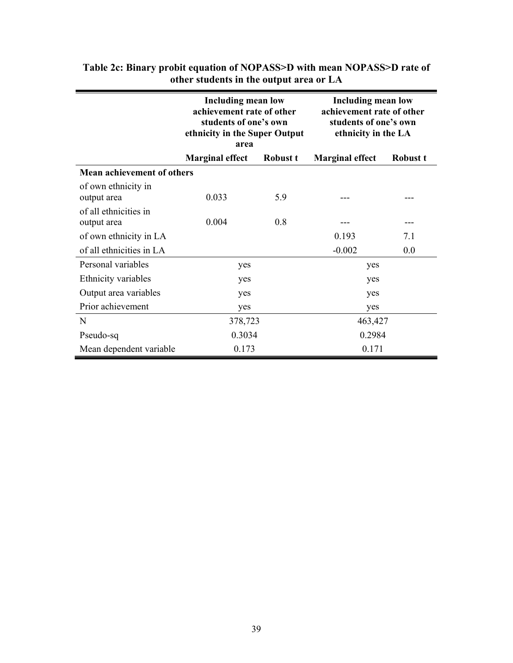|                                      | area                   | <b>Including mean low</b><br>achievement rate of other<br>students of one's own<br>ethnicity in the Super Output |                        | <b>Including mean low</b><br>achievement rate of other<br>students of one's own<br>ethnicity in the LA |
|--------------------------------------|------------------------|------------------------------------------------------------------------------------------------------------------|------------------------|--------------------------------------------------------------------------------------------------------|
|                                      | <b>Marginal effect</b> | Robust t                                                                                                         | <b>Marginal effect</b> | Robust t                                                                                               |
| <b>Mean achievement of others</b>    |                        |                                                                                                                  |                        |                                                                                                        |
| of own ethnicity in<br>output area   | 0.033                  | 5.9                                                                                                              |                        |                                                                                                        |
| of all ethnicities in<br>output area | 0.004                  | 0.8                                                                                                              |                        |                                                                                                        |
| of own ethnicity in LA               |                        |                                                                                                                  | 0.193                  | 7.1                                                                                                    |
| of all ethnicities in LA             |                        |                                                                                                                  | $-0.002$               | 0.0                                                                                                    |
| Personal variables                   | yes                    |                                                                                                                  | yes                    |                                                                                                        |
| Ethnicity variables                  | yes                    |                                                                                                                  | yes                    |                                                                                                        |
| Output area variables                | yes                    |                                                                                                                  | yes                    |                                                                                                        |
| Prior achievement                    | yes                    |                                                                                                                  | yes                    |                                                                                                        |
| N                                    |                        | 378,723                                                                                                          |                        | 463,427                                                                                                |
| Pseudo-sq                            |                        | 0.3034                                                                                                           |                        | 0.2984                                                                                                 |
| Mean dependent variable              | 0.173                  |                                                                                                                  | 0.171                  |                                                                                                        |

### **Table 2c: Binary probit equation of NOPASS>D with mean NOPASS>D rate of other students in the output area or LA**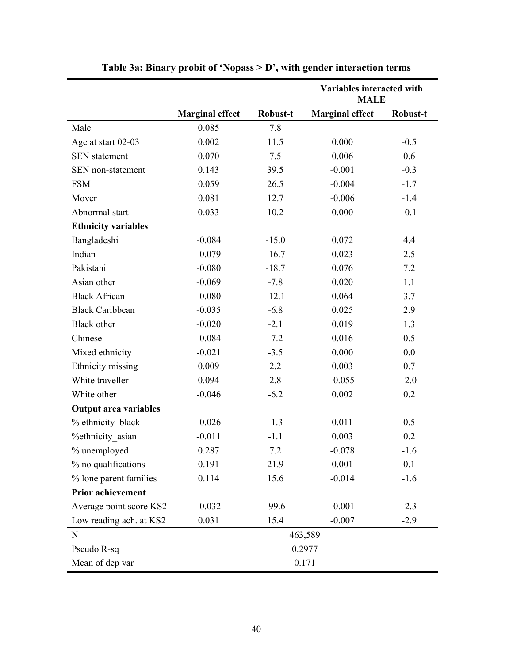|                              |                        |          | Variables interacted with<br><b>MALE</b> |          |
|------------------------------|------------------------|----------|------------------------------------------|----------|
|                              | <b>Marginal effect</b> | Robust-t | <b>Marginal effect</b>                   | Robust-t |
| Male                         | 0.085                  | 7.8      |                                          |          |
| Age at start 02-03           | 0.002                  | 11.5     | 0.000                                    | $-0.5$   |
| <b>SEN</b> statement         | 0.070                  | 7.5      | 0.006                                    | 0.6      |
| SEN non-statement            | 0.143                  | 39.5     | $-0.001$                                 | $-0.3$   |
| <b>FSM</b>                   | 0.059                  | 26.5     | $-0.004$                                 | $-1.7$   |
| Mover                        | 0.081                  | 12.7     | $-0.006$                                 | $-1.4$   |
| Abnormal start               | 0.033                  | 10.2     | 0.000                                    | $-0.1$   |
| <b>Ethnicity variables</b>   |                        |          |                                          |          |
| Bangladeshi                  | $-0.084$               | $-15.0$  | 0.072                                    | 4.4      |
| Indian                       | $-0.079$               | $-16.7$  | 0.023                                    | 2.5      |
| Pakistani                    | $-0.080$               | $-18.7$  | 0.076                                    | 7.2      |
| Asian other                  | $-0.069$               | $-7.8$   | 0.020                                    | 1.1      |
| <b>Black African</b>         | $-0.080$               | $-12.1$  | 0.064                                    | 3.7      |
| <b>Black Caribbean</b>       | $-0.035$               | $-6.8$   | 0.025                                    | 2.9      |
| <b>Black</b> other           | $-0.020$               | $-2.1$   | 0.019                                    | 1.3      |
| Chinese                      | $-0.084$               | $-7.2$   | 0.016                                    | 0.5      |
| Mixed ethnicity              | $-0.021$               | $-3.5$   | 0.000                                    | 0.0      |
| Ethnicity missing            | 0.009                  | 2.2      | 0.003                                    | 0.7      |
| White traveller              | 0.094                  | 2.8      | $-0.055$                                 | $-2.0$   |
| White other                  | $-0.046$               | $-6.2$   | 0.002                                    | 0.2      |
| <b>Output area variables</b> |                        |          |                                          |          |
| % ethnicity black            | $-0.026$               | $-1.3$   | 0.011                                    | 0.5      |
| <b>%ethnicity</b> asian      | $-0.011$               | $-1.1$   | 0.003                                    | 0.2      |
| % unemployed                 | 0.287                  | 7.2      | $-0.078$                                 | $-1.6$   |
| % no qualifications          | 0.191                  | 21.9     | 0.001                                    | 0.1      |
| % lone parent families       | 0.114                  | 15.6     | $-0.014$                                 | $-1.6$   |
| <b>Prior achievement</b>     |                        |          |                                          |          |
| Average point score KS2      | $-0.032$               | $-99.6$  | $-0.001$                                 | $-2.3$   |
| Low reading ach. at KS2      | 0.031                  | 15.4     | $-0.007$                                 | $-2.9$   |
| N                            |                        |          | 463,589                                  |          |
| Pseudo R-sq                  |                        |          | 0.2977                                   |          |
| Mean of dep var              |                        |          | 0.171                                    |          |

**Table 3a: Binary probit of 'Nopass > D', with gender interaction terms**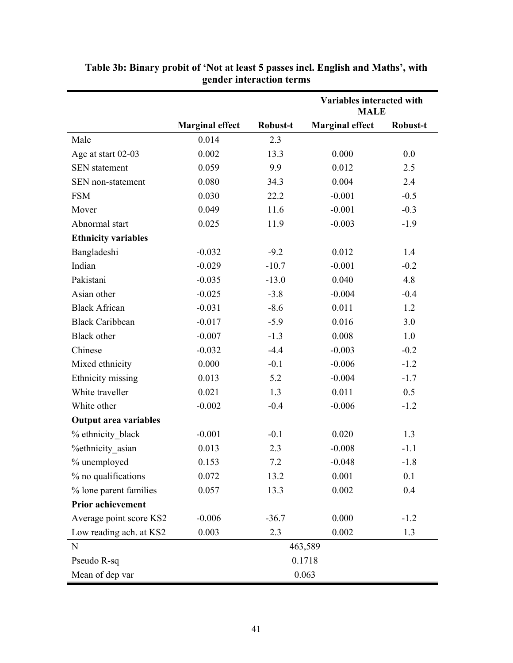|                              |                        |          | Variables interacted with<br><b>MALE</b> |          |  |  |
|------------------------------|------------------------|----------|------------------------------------------|----------|--|--|
|                              | <b>Marginal effect</b> | Robust-t | <b>Marginal effect</b>                   | Robust-t |  |  |
| Male                         | 0.014                  | 2.3      |                                          |          |  |  |
| Age at start 02-03           | 0.002                  | 13.3     | 0.000                                    | 0.0      |  |  |
| <b>SEN</b> statement         | 0.059                  | 9.9      | 0.012                                    | 2.5      |  |  |
| SEN non-statement            | 0.080                  | 34.3     | 0.004                                    | 2.4      |  |  |
| <b>FSM</b>                   | 0.030                  | 22.2     | $-0.001$                                 | $-0.5$   |  |  |
| Mover                        | 0.049                  | 11.6     | $-0.001$                                 | $-0.3$   |  |  |
| Abnormal start               | 0.025                  | 11.9     | $-0.003$                                 | $-1.9$   |  |  |
| <b>Ethnicity variables</b>   |                        |          |                                          |          |  |  |
| Bangladeshi                  | $-0.032$               | $-9.2$   | 0.012                                    | 1.4      |  |  |
| Indian                       | $-0.029$               | $-10.7$  | $-0.001$                                 | $-0.2$   |  |  |
| Pakistani                    | $-0.035$               | $-13.0$  | 0.040                                    | 4.8      |  |  |
| Asian other                  | $-0.025$               | $-3.8$   | $-0.004$                                 | $-0.4$   |  |  |
| <b>Black African</b>         | $-0.031$               | $-8.6$   | 0.011                                    | 1.2      |  |  |
| <b>Black Caribbean</b>       | $-0.017$               | $-5.9$   | 0.016                                    | 3.0      |  |  |
| <b>Black</b> other           | $-0.007$               | $-1.3$   | 0.008                                    | 1.0      |  |  |
| Chinese                      | $-0.032$               | $-4.4$   | $-0.003$                                 | $-0.2$   |  |  |
| Mixed ethnicity              | 0.000                  | $-0.1$   | $-0.006$                                 | $-1.2$   |  |  |
| Ethnicity missing            | 0.013                  | 5.2      | $-0.004$                                 | $-1.7$   |  |  |
| White traveller              | 0.021                  | 1.3      | 0.011                                    | 0.5      |  |  |
| White other                  | $-0.002$               | $-0.4$   | $-0.006$                                 | $-1.2$   |  |  |
| <b>Output area variables</b> |                        |          |                                          |          |  |  |
| % ethnicity black            | $-0.001$               | $-0.1$   | 0.020                                    | 1.3      |  |  |
| <b>%ethnicity</b> asian      | 0.013                  | 2.3      | $-0.008$                                 | $-1.1$   |  |  |
| % unemployed                 | 0.153                  | 7.2      | $-0.048$                                 | $-1.8$   |  |  |
| % no qualifications          | 0.072                  | 13.2     | 0.001                                    | 0.1      |  |  |
| % lone parent families       | 0.057                  | 13.3     | 0.002                                    | 0.4      |  |  |
| <b>Prior achievement</b>     |                        |          |                                          |          |  |  |
| Average point score KS2      | $-0.006$               | $-36.7$  | 0.000                                    | $-1.2$   |  |  |
| Low reading ach. at KS2      | 0.003                  | 2.3      | 0.002                                    | 1.3      |  |  |
| $\mathbf N$                  |                        |          | 463,589                                  |          |  |  |
| Pseudo R-sq                  |                        |          | 0.1718                                   |          |  |  |
| Mean of dep var              |                        |          | 0.063                                    |          |  |  |

**Table 3b: Binary probit of 'Not at least 5 passes incl. English and Maths', with gender interaction terms**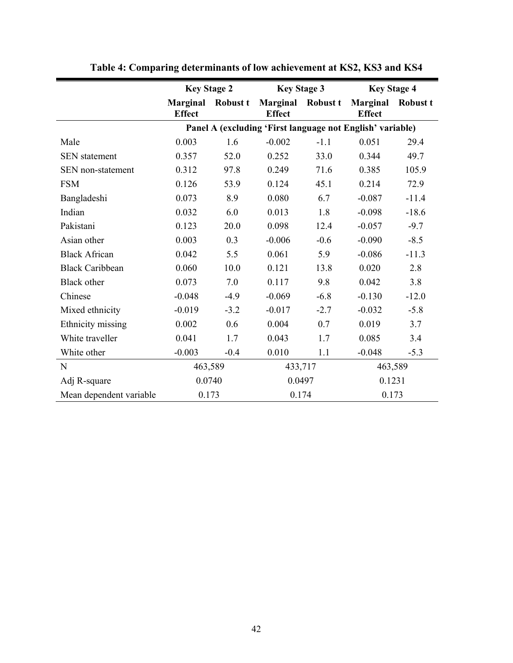|                         | <b>Key Stage 2</b>               |                 | <b>Key Stage 3</b>               |                 | <b>Key Stage 4</b>                                        |                 |  |
|-------------------------|----------------------------------|-----------------|----------------------------------|-----------------|-----------------------------------------------------------|-----------------|--|
|                         | <b>Marginal</b><br><b>Effect</b> | <b>Robust t</b> | <b>Marginal</b><br><b>Effect</b> | <b>Robust t</b> | <b>Marginal</b><br><b>Effect</b>                          | <b>Robust t</b> |  |
|                         |                                  |                 |                                  |                 | Panel A (excluding 'First language not English' variable) |                 |  |
| Male                    | 0.003                            | 1.6             | $-0.002$                         | $-1.1$          | 0.051                                                     | 29.4            |  |
| <b>SEN</b> statement    | 0.357                            | 52.0            | 0.252                            | 33.0            | 0.344                                                     | 49.7            |  |
| SEN non-statement       | 0.312                            | 97.8            | 0.249                            | 71.6            | 0.385                                                     | 105.9           |  |
| <b>FSM</b>              | 0.126                            | 53.9            | 0.124                            | 45.1            | 0.214                                                     | 72.9            |  |
| Bangladeshi             | 0.073                            | 8.9             | 0.080                            | 6.7             | $-0.087$                                                  | $-11.4$         |  |
| Indian                  | 0.032                            | 6.0             | 0.013                            | 1.8             | $-0.098$                                                  | $-18.6$         |  |
| Pakistani               | 0.123                            | 20.0            | 0.098                            | 12.4            | $-0.057$                                                  | $-9.7$          |  |
| Asian other             | 0.003                            | 0.3             | $-0.006$                         | $-0.6$          | $-0.090$                                                  | $-8.5$          |  |
| <b>Black African</b>    | 0.042                            | 5.5             | 0.061                            | 5.9             | $-0.086$                                                  | $-11.3$         |  |
| <b>Black Caribbean</b>  | 0.060                            | 10.0            | 0.121                            | 13.8            | 0.020                                                     | 2.8             |  |
| Black other             | 0.073                            | 7.0             | 0.117                            | 9.8             | 0.042                                                     | 3.8             |  |
| Chinese                 | $-0.048$                         | $-4.9$          | $-0.069$                         | $-6.8$          | $-0.130$                                                  | $-12.0$         |  |
| Mixed ethnicity         | $-0.019$                         | $-3.2$          | $-0.017$                         | $-2.7$          | $-0.032$                                                  | $-5.8$          |  |
| Ethnicity missing       | 0.002                            | 0.6             | 0.004                            | 0.7             | 0.019                                                     | 3.7             |  |
| White traveller         | 0.041                            | 1.7             | 0.043                            | 1.7             | 0.085                                                     | 3.4             |  |
| White other             | $-0.003$                         | $-0.4$          | 0.010                            | 1.1             | $-0.048$                                                  | $-5.3$          |  |
| N                       | 463,589                          |                 |                                  | 433,717         |                                                           | 463,589         |  |
| Adj R-square            | 0.0740                           |                 | 0.0497                           |                 | 0.1231                                                    |                 |  |
| Mean dependent variable | 0.173                            |                 | 0.174                            |                 | 0.173                                                     |                 |  |

**Table 4: Comparing determinants of low achievement at KS2, KS3 and KS4**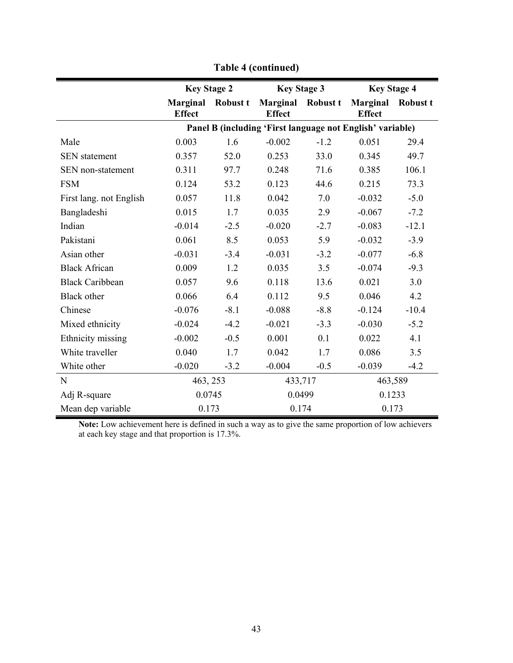|                         | <b>Key Stage 2</b>               |          | <b>Key Stage 3</b>                                        |        | <b>Key Stage 4</b>               |                 |  |
|-------------------------|----------------------------------|----------|-----------------------------------------------------------|--------|----------------------------------|-----------------|--|
|                         | <b>Marginal</b><br><b>Effect</b> | Robust t | <b>Marginal</b> Robust t<br><b>Effect</b>                 |        | <b>Marginal</b><br><b>Effect</b> | <b>Robust t</b> |  |
|                         |                                  |          | Panel B (including 'First language not English' variable) |        |                                  |                 |  |
| Male                    | 0.003                            | 1.6      | $-0.002$                                                  | $-1.2$ | 0.051                            | 29.4            |  |
| <b>SEN</b> statement    | 0.357                            | 52.0     | 0.253                                                     | 33.0   | 0.345                            | 49.7            |  |
| SEN non-statement       | 0.311                            | 97.7     | 0.248                                                     | 71.6   | 0.385                            | 106.1           |  |
| <b>FSM</b>              | 0.124                            | 53.2     | 0.123                                                     | 44.6   | 0.215                            | 73.3            |  |
| First lang. not English | 0.057                            | 11.8     | 0.042                                                     | 7.0    | $-0.032$                         | $-5.0$          |  |
| Bangladeshi             | 0.015                            | 1.7      | 0.035                                                     | 2.9    | $-0.067$                         | $-7.2$          |  |
| Indian                  | $-0.014$                         | $-2.5$   | $-0.020$                                                  | $-2.7$ | $-0.083$                         | $-12.1$         |  |
| Pakistani               | 0.061                            | 8.5      | 0.053                                                     | 5.9    | $-0.032$                         | $-3.9$          |  |
| Asian other             | $-0.031$                         | $-3.4$   | $-0.031$                                                  | $-3.2$ | $-0.077$                         | $-6.8$          |  |
| <b>Black African</b>    | 0.009                            | 1.2      | 0.035                                                     | 3.5    | $-0.074$                         | $-9.3$          |  |
| <b>Black Caribbean</b>  | 0.057                            | 9.6      | 0.118                                                     | 13.6   | 0.021                            | 3.0             |  |
| <b>Black</b> other      | 0.066                            | 6.4      | 0.112                                                     | 9.5    | 0.046                            | 4.2             |  |
| Chinese                 | $-0.076$                         | $-8.1$   | $-0.088$                                                  | $-8.8$ | $-0.124$                         | $-10.4$         |  |
| Mixed ethnicity         | $-0.024$                         | $-4.2$   | $-0.021$                                                  | $-3.3$ | $-0.030$                         | $-5.2$          |  |
| Ethnicity missing       | $-0.002$                         | $-0.5$   | 0.001                                                     | 0.1    | 0.022                            | 4.1             |  |
| White traveller         | 0.040                            | 1.7      | 0.042                                                     | 1.7    | 0.086                            | 3.5             |  |
| White other             | $-0.020$                         | $-3.2$   | $-0.004$                                                  | $-0.5$ | $-0.039$                         | $-4.2$          |  |
| N                       | 463, 253                         |          | 433,717                                                   |        | 463,589                          |                 |  |
| Adj R-square            | 0.0745                           |          | 0.0499                                                    |        | 0.1233                           |                 |  |
| Mean dep variable       | 0.173                            |          |                                                           | 0.174  |                                  | 0.173           |  |

**Table 4 (continued)** 

**Note:** Low achievement here is defined in such a way as to give the same proportion of low achievers at each key stage and that proportion is 17.3%.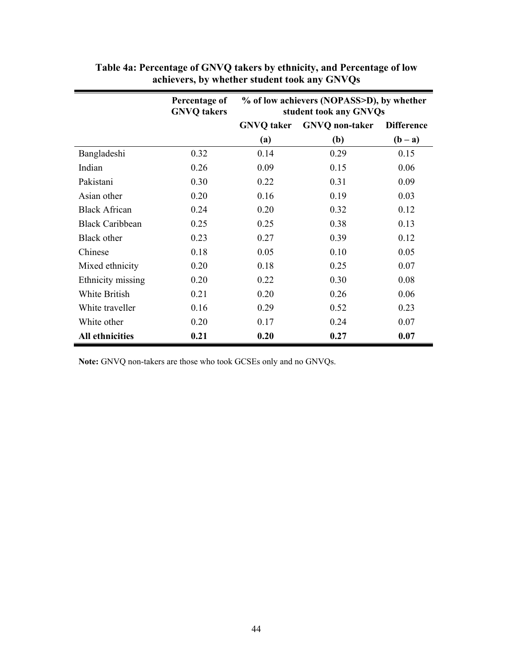|                        | Percentage of<br><b>GNVQ</b> takers | % of low achievers (NOPASS>D), by whether<br>student took any GNVQs |                       |                   |  |  |
|------------------------|-------------------------------------|---------------------------------------------------------------------|-----------------------|-------------------|--|--|
|                        |                                     | <b>GNVQ</b> taker                                                   | <b>GNVQ</b> non-taker | <b>Difference</b> |  |  |
|                        |                                     | (a)                                                                 | (b)                   | $(b - a)$         |  |  |
| Bangladeshi            | 0.32                                | 0.14                                                                | 0.29                  | 0.15              |  |  |
| Indian                 | 0.26                                | 0.09                                                                | 0.15                  | 0.06              |  |  |
| Pakistani              | 0.30                                | 0.22                                                                | 0.31                  | 0.09              |  |  |
| Asian other            | 0.20                                | 0.16                                                                | 0.19                  | 0.03              |  |  |
| <b>Black African</b>   | 0.24                                | 0.20                                                                | 0.32                  | 0.12              |  |  |
| <b>Black Caribbean</b> | 0.25                                | 0.25                                                                | 0.38                  | 0.13              |  |  |
| Black other            | 0.23                                | 0.27                                                                | 0.39                  | 0.12              |  |  |
| Chinese                | 0.18                                | 0.05                                                                | 0.10                  | 0.05              |  |  |
| Mixed ethnicity        | 0.20                                | 0.18                                                                | 0.25                  | 0.07              |  |  |
| Ethnicity missing      | 0.20                                | 0.22                                                                | 0.30                  | 0.08              |  |  |
| White British          | 0.21                                | 0.20                                                                | 0.26                  | 0.06              |  |  |
| White traveller        | 0.16                                | 0.29                                                                | 0.52                  | 0.23              |  |  |
| White other            | 0.20                                | 0.17                                                                | 0.24                  | 0.07              |  |  |
| <b>All ethnicities</b> | 0.21                                | 0.20                                                                | 0.27                  | 0.07              |  |  |

### **Table 4a: Percentage of GNVQ takers by ethnicity, and Percentage of low achievers, by whether student took any GNVQs**

**Note:** GNVQ non-takers are those who took GCSEs only and no GNVQs.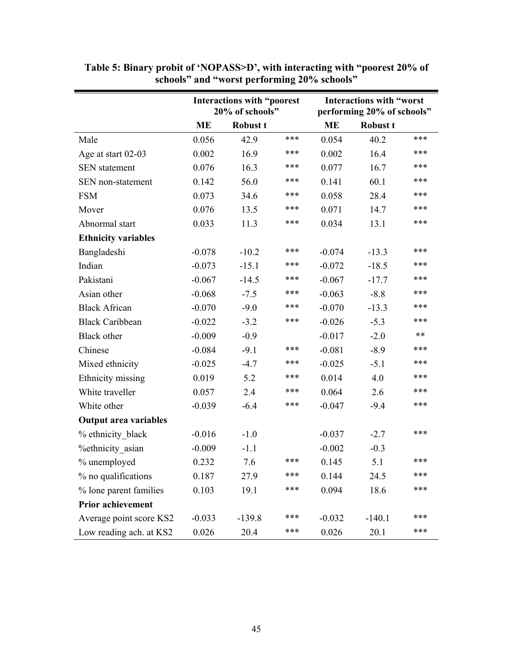|                              | Interactions with "poorest<br>20% of schools" |                 |     |           | <b>Interactions with "worst</b><br>performing 20% of schools" |     |  |  |
|------------------------------|-----------------------------------------------|-----------------|-----|-----------|---------------------------------------------------------------|-----|--|--|
|                              | <b>ME</b>                                     | <b>Robust t</b> |     | <b>ME</b> | <b>Robust t</b>                                               |     |  |  |
| Male                         | 0.056                                         | 42.9            | *** | 0.054     | 40.2                                                          | *** |  |  |
| Age at start 02-03           | 0.002                                         | 16.9            | *** | 0.002     | 16.4                                                          | *** |  |  |
| <b>SEN</b> statement         | 0.076                                         | 16.3            | *** | 0.077     | 16.7                                                          | *** |  |  |
| SEN non-statement            | 0.142                                         | 56.0            | *** | 0.141     | 60.1                                                          | *** |  |  |
| <b>FSM</b>                   | 0.073                                         | 34.6            | *** | 0.058     | 28.4                                                          | *** |  |  |
| Mover                        | 0.076                                         | 13.5            | *** | 0.071     | 14.7                                                          | *** |  |  |
| Abnormal start               | 0.033                                         | 11.3            | *** | 0.034     | 13.1                                                          | *** |  |  |
| <b>Ethnicity variables</b>   |                                               |                 |     |           |                                                               |     |  |  |
| Bangladeshi                  | $-0.078$                                      | $-10.2$         | *** | $-0.074$  | $-13.3$                                                       | *** |  |  |
| Indian                       | $-0.073$                                      | $-15.1$         | *** | $-0.072$  | $-18.5$                                                       | *** |  |  |
| Pakistani                    | $-0.067$                                      | $-14.5$         | *** | $-0.067$  | $-17.7$                                                       | *** |  |  |
| Asian other                  | $-0.068$                                      | $-7.5$          | *** | $-0.063$  | $-8.8$                                                        | *** |  |  |
| <b>Black African</b>         | $-0.070$                                      | $-9.0$          | *** | $-0.070$  | $-13.3$                                                       | *** |  |  |
| <b>Black Caribbean</b>       | $-0.022$                                      | $-3.2$          | *** | $-0.026$  | $-5.3$                                                        | *** |  |  |
| <b>Black</b> other           | $-0.009$                                      | $-0.9$          |     | $-0.017$  | $-2.0$                                                        | **  |  |  |
| Chinese                      | $-0.084$                                      | $-9.1$          | *** | $-0.081$  | $-8.9$                                                        | *** |  |  |
| Mixed ethnicity              | $-0.025$                                      | $-4.7$          | *** | $-0.025$  | $-5.1$                                                        | *** |  |  |
| Ethnicity missing            | 0.019                                         | 5.2             | *** | 0.014     | 4.0                                                           | *** |  |  |
| White traveller              | 0.057                                         | 2.4             | *** | 0.064     | 2.6                                                           | *** |  |  |
| White other                  | $-0.039$                                      | $-6.4$          | *** | $-0.047$  | $-9.4$                                                        | *** |  |  |
| <b>Output area variables</b> |                                               |                 |     |           |                                                               |     |  |  |
| % ethnicity black            | $-0.016$                                      | $-1.0$          |     | $-0.037$  | $-2.7$                                                        | *** |  |  |
| <b>%ethnicity</b> asian      | $-0.009$                                      | $-1.1$          |     | $-0.002$  | $-0.3$                                                        |     |  |  |
| % unemployed                 | 0.232                                         | 7.6             | *** | 0.145     | 5.1                                                           | *** |  |  |
| % no qualifications          | 0.187                                         | 27.9            | *** | 0.144     | 24.5                                                          | *** |  |  |
| % lone parent families       | 0.103                                         | 19.1            | *** | 0.094     | 18.6                                                          | *** |  |  |
| <b>Prior achievement</b>     |                                               |                 |     |           |                                                               |     |  |  |
| Average point score KS2      | $-0.033$                                      | $-139.8$        | *** | $-0.032$  | $-140.1$                                                      | *** |  |  |
| Low reading ach. at KS2      | 0.026                                         | 20.4            | *** | 0.026     | 20.1                                                          | *** |  |  |

**Table 5: Binary probit of 'NOPASS>D', with interacting with "poorest 20% of schools" and "worst performing 20% schools"**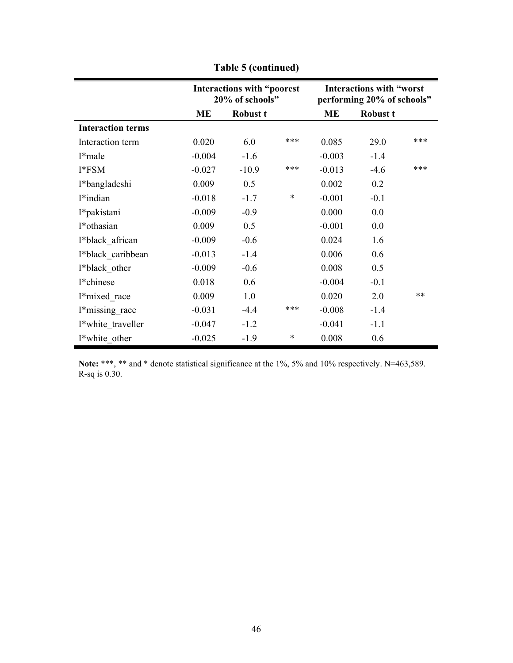|                          |           | Interactions with "poorest<br>20% of schools" |        | <b>Interactions with "worst</b><br>performing 20% of schools" |                 |      |  |
|--------------------------|-----------|-----------------------------------------------|--------|---------------------------------------------------------------|-----------------|------|--|
|                          | <b>ME</b> | <b>Robust t</b>                               |        | ME                                                            | <b>Robust t</b> |      |  |
| <b>Interaction terms</b> |           |                                               |        |                                                               |                 |      |  |
| Interaction term         | 0.020     | 6.0                                           | ***    | 0.085                                                         | 29.0            | ***  |  |
| I*male                   | $-0.004$  | $-1.6$                                        |        | $-0.003$                                                      | $-1.4$          |      |  |
| I*FSM                    | $-0.027$  | $-10.9$                                       | ***    | $-0.013$                                                      | $-4.6$          | ***  |  |
| I*bangladeshi            | 0.009     | 0.5                                           |        | 0.002                                                         | 0.2             |      |  |
| I*indian                 | $-0.018$  | $-1.7$                                        | $\ast$ | $-0.001$                                                      | $-0.1$          |      |  |
| I*pakistani              | $-0.009$  | $-0.9$                                        |        | 0.000                                                         | 0.0             |      |  |
| I*othasian               | 0.009     | 0.5                                           |        | $-0.001$                                                      | 0.0             |      |  |
| I*black african          | $-0.009$  | $-0.6$                                        |        | 0.024                                                         | 1.6             |      |  |
| I*black caribbean        | $-0.013$  | $-1.4$                                        |        | 0.006                                                         | 0.6             |      |  |
| I*black other            | $-0.009$  | $-0.6$                                        |        | 0.008                                                         | 0.5             |      |  |
| I*chinese                | 0.018     | 0.6                                           |        | $-0.004$                                                      | $-0.1$          |      |  |
| I*mixed race             | 0.009     | 1.0                                           |        | 0.020                                                         | 2.0             | $**$ |  |
| I*missing race           | $-0.031$  | $-4.4$                                        | ***    | $-0.008$                                                      | $-1.4$          |      |  |
| I*white traveller        | $-0.047$  | $-1.2$                                        |        | $-0.041$                                                      | $-1.1$          |      |  |
| I*white other            | $-0.025$  | $-1.9$                                        | $\ast$ | 0.008                                                         | 0.6             |      |  |

**Table 5 (continued)** 

**Note:** \*\*\*, \*\* and \* denote statistical significance at the 1%, 5% and 10% respectively. N=463,589. R-sq is 0.30.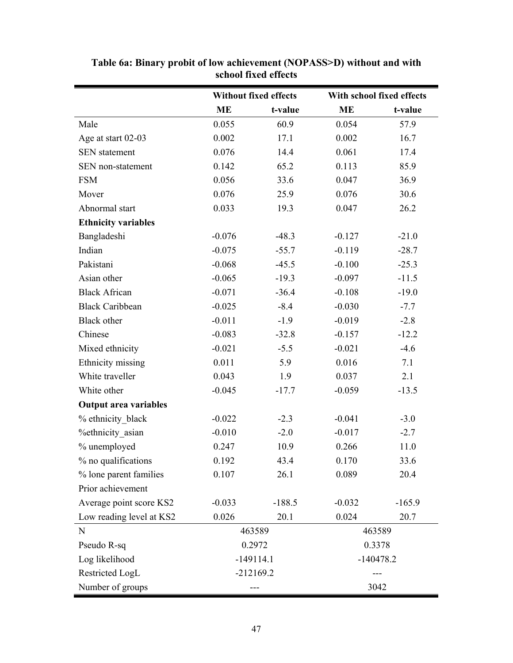|                              | <b>Without fixed effects</b> |             | With school fixed effects |          |  |
|------------------------------|------------------------------|-------------|---------------------------|----------|--|
|                              | <b>ME</b>                    | t-value     | <b>ME</b>                 | t-value  |  |
| Male                         | 0.055                        | 60.9        | 0.054                     | 57.9     |  |
| Age at start 02-03           | 0.002                        | 17.1        | 0.002                     | 16.7     |  |
| <b>SEN</b> statement         | 0.076                        | 14.4        | 0.061                     | 17.4     |  |
| SEN non-statement            | 0.142                        | 65.2        | 0.113                     | 85.9     |  |
| <b>FSM</b>                   | 0.056                        | 33.6        | 0.047                     | 36.9     |  |
| Mover                        | 0.076                        | 25.9        | 0.076                     | 30.6     |  |
| Abnormal start               | 0.033                        | 19.3        | 0.047                     | 26.2     |  |
| <b>Ethnicity variables</b>   |                              |             |                           |          |  |
| Bangladeshi                  | $-0.076$                     | $-48.3$     | $-0.127$                  | $-21.0$  |  |
| Indian                       | $-0.075$                     | $-55.7$     | $-0.119$                  | $-28.7$  |  |
| Pakistani                    | $-0.068$                     | $-45.5$     | $-0.100$                  | $-25.3$  |  |
| Asian other                  | $-0.065$                     | $-19.3$     | $-0.097$                  | $-11.5$  |  |
| <b>Black African</b>         | $-0.071$                     | $-36.4$     | $-0.108$                  | $-19.0$  |  |
| <b>Black Caribbean</b>       | $-0.025$                     | $-8.4$      | $-0.030$                  | $-7.7$   |  |
| <b>Black</b> other           | $-0.011$                     | $-1.9$      | $-0.019$                  | $-2.8$   |  |
| Chinese                      | $-0.083$                     | $-32.8$     | $-0.157$                  | $-12.2$  |  |
| Mixed ethnicity              | $-0.021$                     | $-5.5$      | $-0.021$                  | $-4.6$   |  |
| Ethnicity missing            | 0.011                        | 5.9         | 0.016                     | 7.1      |  |
| White traveller              | 0.043                        | 1.9         | 0.037                     | 2.1      |  |
| White other                  | $-0.045$                     | $-17.7$     | $-0.059$                  | $-13.5$  |  |
| <b>Output area variables</b> |                              |             |                           |          |  |
| % ethnicity black            | $-0.022$                     | $-2.3$      | $-0.041$                  | $-3.0$   |  |
| <b>%ethnicity</b> asian      | $-0.010$                     | $-2.0$      | $-0.017$                  | $-2.7$   |  |
| % unemployed                 | 0.247                        | 10.9        | 0.266                     | 11.0     |  |
| % no qualifications          | 0.192                        | 434         | 0.170                     | 33.6     |  |
| % lone parent families       | 0.107                        | 26.1        | 0.089                     | 20.4     |  |
| Prior achievement            |                              |             |                           |          |  |
| Average point score KS2      | $-0.033$                     | $-188.5$    | $-0.032$                  | $-165.9$ |  |
| Low reading level at KS2     | 0.026                        | 20.1        | 0.024                     | 20.7     |  |
| N                            |                              | 463589      |                           | 463589   |  |
| Pseudo R-sq                  |                              | 0.2972      |                           | 0.3378   |  |
| Log likelihood               |                              | $-149114.1$ | $-140478.2$               |          |  |
| Restricted LogL              |                              | $-212169.2$ |                           |          |  |
| Number of groups             |                              |             | 3042                      |          |  |

**Table 6a: Binary probit of low achievement (NOPASS>D) without and with school fixed effects**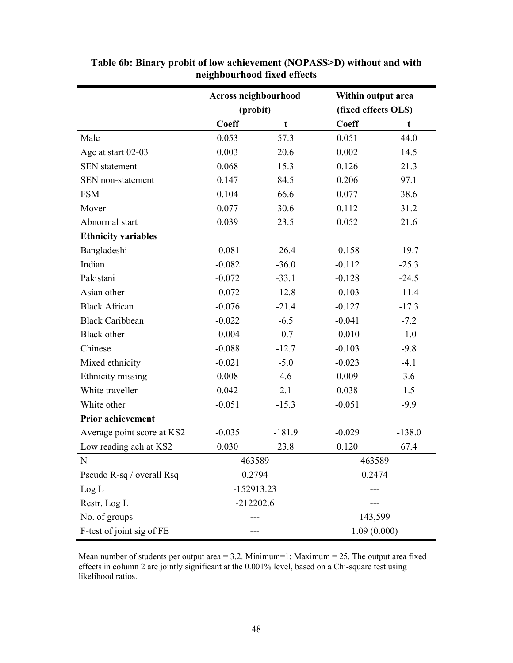|                            | Across neighbourhood |          | Within output area  |          |  |
|----------------------------|----------------------|----------|---------------------|----------|--|
|                            | (probit)             |          | (fixed effects OLS) |          |  |
|                            | Coeff                | t        | <b>Coeff</b>        | t        |  |
| Male                       | 0.053                | 57.3     | 0.051               | 44.0     |  |
| Age at start 02-03         | 0.003                | 20.6     | 0.002               | 14.5     |  |
| <b>SEN</b> statement       | 0.068                | 15.3     | 0.126               | 21.3     |  |
| SEN non-statement          | 0.147                | 84.5     | 0.206               | 97.1     |  |
| <b>FSM</b>                 | 0.104                | 66.6     | 0.077               | 38.6     |  |
| Mover                      | 0.077                | 30.6     | 0.112               | 31.2     |  |
| Abnormal start             | 0.039                | 23.5     | 0.052               | 21.6     |  |
| <b>Ethnicity variables</b> |                      |          |                     |          |  |
| Bangladeshi                | $-0.081$             | $-26.4$  | $-0.158$            | $-19.7$  |  |
| Indian                     | $-0.082$             | $-36.0$  | $-0.112$            | $-25.3$  |  |
| Pakistani                  | $-0.072$             | $-33.1$  | $-0.128$            | $-24.5$  |  |
| Asian other                | $-0.072$             | $-12.8$  | $-0.103$            | $-11.4$  |  |
| <b>Black African</b>       | $-0.076$             | $-21.4$  | $-0.127$            | $-17.3$  |  |
| <b>Black Caribbean</b>     | $-0.022$             | $-6.5$   | $-0.041$            | $-7.2$   |  |
| Black other                | $-0.004$             | $-0.7$   | $-0.010$            | $-1.0$   |  |
| Chinese                    | $-0.088$             | $-12.7$  | $-0.103$            | $-9.8$   |  |
| Mixed ethnicity            | $-0.021$             | $-5.0$   | $-0.023$            | $-4.1$   |  |
| Ethnicity missing          | 0.008                | 4.6      | 0.009               | 3.6      |  |
| White traveller            | 0.042                | 2.1      | 0.038               | 1.5      |  |
| White other                | $-0.051$             | $-15.3$  | $-0.051$            | $-9.9$   |  |
| <b>Prior achievement</b>   |                      |          |                     |          |  |
| Average point score at KS2 | $-0.035$             | $-181.9$ | $-0.029$            | $-138.0$ |  |
| Low reading ach at KS2     | 0.030                | 23.8     | 0.120               | 67.4     |  |
| N                          | 463589               |          | 463589              |          |  |
| Pseudo R-sq / overall Rsq  | 0.2794               |          | 0.2474              |          |  |
| Log L                      | -152913.23           |          |                     |          |  |
| Restr. Log L               | $-212202.6$          |          |                     |          |  |
| No. of groups              |                      |          | 143,599             |          |  |
| F-test of joint sig of FE  |                      |          | 1.09(0.000)         |          |  |

**Table 6b: Binary probit of low achievement (NOPASS>D) without and with neighbourhood fixed effects** 

Mean number of students per output area = 3.2. Minimum=1; Maximum = 25. The output area fixed effects in column 2 are jointly significant at the 0.001% level, based on a Chi-square test using likelihood ratios.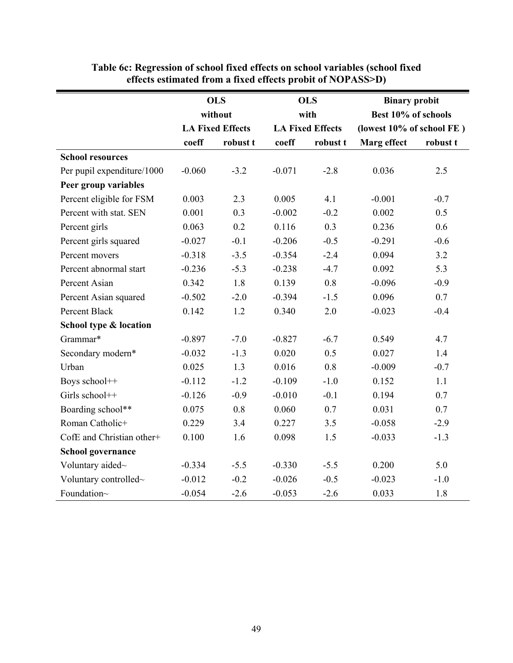|                            |          | <b>OLS</b>              |          | <b>OLS</b>              | <b>Binary probit</b>      |          |  |
|----------------------------|----------|-------------------------|----------|-------------------------|---------------------------|----------|--|
|                            |          | without                 |          | with                    | Best 10% of schools       |          |  |
|                            |          | <b>LA Fixed Effects</b> |          | <b>LA Fixed Effects</b> | (lowest 10% of school FE) |          |  |
|                            | coeff    | robust t                | coeff    | robust t                | Marg effect               | robust t |  |
| <b>School resources</b>    |          |                         |          |                         |                           |          |  |
| Per pupil expenditure/1000 | $-0.060$ | $-3.2$                  | $-0.071$ | $-2.8$                  | 0.036                     | 2.5      |  |
| Peer group variables       |          |                         |          |                         |                           |          |  |
| Percent eligible for FSM   | 0.003    | 2.3                     | 0.005    | 4.1                     | $-0.001$                  | $-0.7$   |  |
| Percent with stat. SEN     | 0.001    | 0.3                     | $-0.002$ | $-0.2$                  | 0.002                     | 0.5      |  |
| Percent girls              | 0.063    | 0.2                     | 0.116    | 0.3                     | 0.236                     | 0.6      |  |
| Percent girls squared      | $-0.027$ | $-0.1$                  | $-0.206$ | $-0.5$                  | $-0.291$                  | $-0.6$   |  |
| Percent movers             | $-0.318$ | $-3.5$                  | $-0.354$ | $-2.4$                  | 0.094                     | 3.2      |  |
| Percent abnormal start     | $-0.236$ | $-5.3$                  | $-0.238$ | $-4.7$                  | 0.092                     | 5.3      |  |
| Percent Asian              | 0.342    | 1.8                     | 0.139    | 0.8                     | $-0.096$                  | $-0.9$   |  |
| Percent Asian squared      | $-0.502$ | $-2.0$                  | $-0.394$ | $-1.5$                  | 0.096                     | 0.7      |  |
| Percent Black              | 0.142    | 1.2                     | 0.340    | 2.0                     | $-0.023$                  | $-0.4$   |  |
| School type & location     |          |                         |          |                         |                           |          |  |
| Grammar*                   | $-0.897$ | $-7.0$                  | $-0.827$ | $-6.7$                  | 0.549                     | 4.7      |  |
| Secondary modern*          | $-0.032$ | $-1.3$                  | 0.020    | 0.5                     | 0.027                     | 1.4      |  |
| Urban                      | 0.025    | 1.3                     | 0.016    | 0.8                     | $-0.009$                  | $-0.7$   |  |
| Boys school++              | $-0.112$ | $-1.2$                  | $-0.109$ | $-1.0$                  | 0.152                     | 1.1      |  |
| Girls school++             | $-0.126$ | $-0.9$                  | $-0.010$ | $-0.1$                  | 0.194                     | 0.7      |  |
| Boarding school**          | 0.075    | 0.8                     | 0.060    | 0.7                     | 0.031                     | 0.7      |  |
| Roman Catholic+            | 0.229    | 3.4                     | 0.227    | 3.5                     | $-0.058$                  | $-2.9$   |  |
| CofE and Christian other+  | 0.100    | 1.6                     | 0.098    | 1.5                     | $-0.033$                  | $-1.3$   |  |
| <b>School governance</b>   |          |                         |          |                         |                           |          |  |
| Voluntary aided~           | $-0.334$ | $-5.5$                  | $-0.330$ | $-5.5$                  | 0.200                     | 5.0      |  |
| Voluntary controlled~      | $-0.012$ | $-0.2$                  | $-0.026$ | $-0.5$                  | $-0.023$                  | $-1.0$   |  |
| Foundation~                | $-0.054$ | $-2.6$                  | $-0.053$ | $-2.6$                  | 0.033                     | 1.8      |  |

**Table 6c: Regression of school fixed effects on school variables (school fixed effects estimated from a fixed effects probit of NOPASS>D)**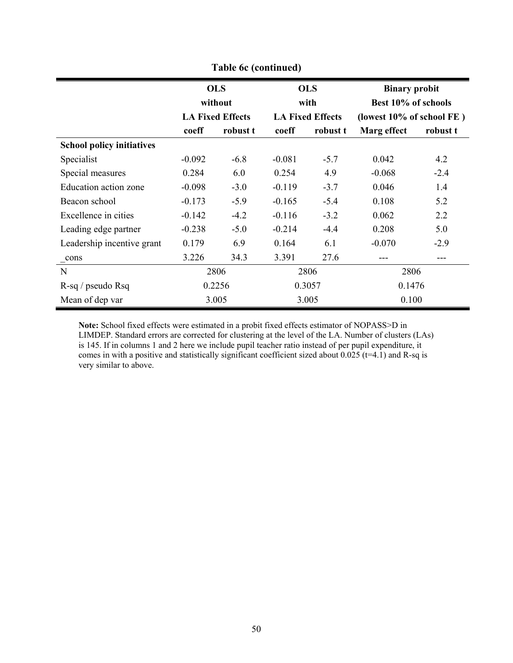| Table 6c (continued)             |                       |                         |          |                         |                                             |          |  |  |
|----------------------------------|-----------------------|-------------------------|----------|-------------------------|---------------------------------------------|----------|--|--|
|                                  | <b>OLS</b><br>without |                         |          | <b>OLS</b><br>with      | <b>Binary probit</b><br>Best 10% of schools |          |  |  |
|                                  |                       | <b>LA Fixed Effects</b> |          | <b>LA Fixed Effects</b> | (lowest 10% of school FE)                   |          |  |  |
|                                  | coeff                 | robust t                | coeff    | robust t                | Marg effect                                 | robust t |  |  |
| <b>School policy initiatives</b> |                       |                         |          |                         |                                             |          |  |  |
| Specialist                       | $-0.092$              | $-6.8$                  | $-0.081$ | $-5.7$                  | 0.042                                       | 4.2      |  |  |
| Special measures                 | 0.284                 | 6.0                     | 0.254    | 4.9                     | $-0.068$                                    | $-2.4$   |  |  |
| Education action zone            | $-0.098$              | $-3.0$                  | $-0.119$ | $-3.7$                  | 0.046                                       | 1.4      |  |  |
| Beacon school                    | $-0.173$              | $-5.9$                  | $-0.165$ | $-5.4$                  | 0.108                                       | 5.2      |  |  |
| Excellence in cities             | $-0.142$              | $-4.2$                  | $-0.116$ | $-3.2$                  | 0.062                                       | 2.2      |  |  |
| Leading edge partner             | $-0.238$              | $-5.0$                  | $-0.214$ | $-4.4$                  | 0.208                                       | 5.0      |  |  |
| Leadership incentive grant       | 0.179                 | 6.9                     | 0.164    | 6.1                     | $-0.070$                                    | $-2.9$   |  |  |
| cons                             | 3.226                 | 34.3                    | 3.391    | 27.6                    |                                             | ---      |  |  |
| N                                |                       | 2806                    |          | 2806                    | 2806                                        |          |  |  |
| R-sq / pseudo Rsq                |                       | 0.2256                  | 0.3057   |                         | 0.1476                                      |          |  |  |
| Mean of dep var                  |                       | 3.005                   |          | 3.005                   | 0.100                                       |          |  |  |

**Note:** School fixed effects were estimated in a probit fixed effects estimator of NOPASS>D in LIMDEP. Standard errors are corrected for clustering at the level of the LA. Number of clusters (LAs) is 145. If in columns 1 and 2 here we include pupil teacher ratio instead of per pupil expenditure, it comes in with a positive and statistically significant coefficient sized about  $0.025$  (t=4.1) and R-sq is very similar to above.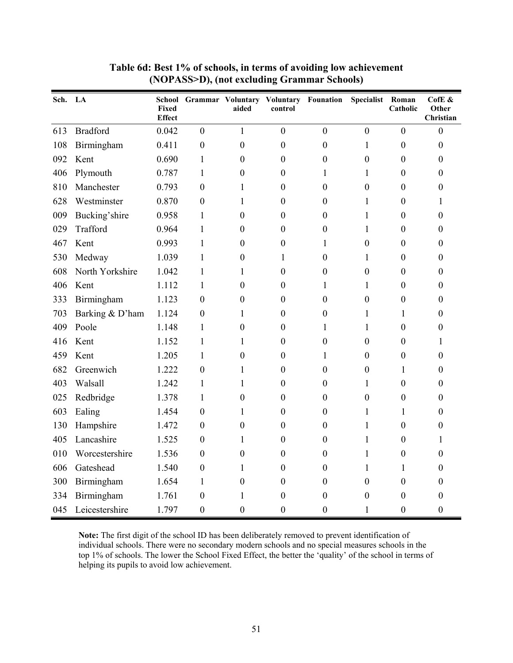| Sch. LA |                 | <b>Fixed</b><br><b>Effect</b> |                  | aided            | School Grammar Voluntary Voluntary Founation<br>control |                  | <b>Specialist</b> | Roman<br>Catholic | CofE $\&$<br>Other<br>Christian |
|---------|-----------------|-------------------------------|------------------|------------------|---------------------------------------------------------|------------------|-------------------|-------------------|---------------------------------|
| 613     | <b>Bradford</b> | 0.042                         | $\boldsymbol{0}$ | $\mathbf{1}$     | $\boldsymbol{0}$                                        | $\boldsymbol{0}$ | $\boldsymbol{0}$  | $\mathbf{0}$      | $\boldsymbol{0}$                |
| 108     | Birmingham      | 0.411                         | $\boldsymbol{0}$ | $\boldsymbol{0}$ | $\boldsymbol{0}$                                        | $\boldsymbol{0}$ | 1                 | $\boldsymbol{0}$  | $\boldsymbol{0}$                |
| 092     | Kent            | 0.690                         | $\mathbf{1}$     | $\boldsymbol{0}$ | $\boldsymbol{0}$                                        | $\boldsymbol{0}$ | $\boldsymbol{0}$  | $\boldsymbol{0}$  | $\boldsymbol{0}$                |
| 406     | Plymouth        | 0.787                         | $\mathbf{1}$     | $\boldsymbol{0}$ | $\boldsymbol{0}$                                        | $\mathbf{1}$     | 1                 | $\boldsymbol{0}$  | $\boldsymbol{0}$                |
| 810     | Manchester      | 0.793                         | $\overline{0}$   | 1                | $\boldsymbol{0}$                                        | $\boldsymbol{0}$ | $\mathbf{0}$      | $\boldsymbol{0}$  | $\mathbf{0}$                    |
| 628     | Westminster     | 0.870                         | $\overline{0}$   | 1                | $\boldsymbol{0}$                                        | $\boldsymbol{0}$ | 1                 | $\boldsymbol{0}$  | 1                               |
| 009     | Bucking'shire   | 0.958                         | $\mathbf{1}$     | $\boldsymbol{0}$ | $\boldsymbol{0}$                                        | $\boldsymbol{0}$ | $\mathbf{1}$      | $\boldsymbol{0}$  | $\boldsymbol{0}$                |
| 029     | Trafford        | 0.964                         | 1                | $\boldsymbol{0}$ | $\boldsymbol{0}$                                        | $\boldsymbol{0}$ | $\mathbf{1}$      | $\boldsymbol{0}$  | $\boldsymbol{0}$                |
| 467     | Kent            | 0.993                         | 1                | $\boldsymbol{0}$ | $\boldsymbol{0}$                                        | 1                | $\overline{0}$    | $\boldsymbol{0}$  | $\mathbf{0}$                    |
| 530     | Medway          | 1.039                         | 1                | $\boldsymbol{0}$ | $\mathbf{1}$                                            | $\boldsymbol{0}$ | $\mathbf{1}$      | $\boldsymbol{0}$  | $\boldsymbol{0}$                |
| 608     | North Yorkshire | 1.042                         | $\mathbf{1}$     | 1                | $\boldsymbol{0}$                                        | $\boldsymbol{0}$ | $\boldsymbol{0}$  | $\boldsymbol{0}$  | $\boldsymbol{0}$                |
| 406     | Kent            | 1.112                         | 1                | $\boldsymbol{0}$ | $\boldsymbol{0}$                                        | 1                | $\mathbf{1}$      | $\boldsymbol{0}$  | $\boldsymbol{0}$                |
| 333     | Birmingham      | 1.123                         | $\boldsymbol{0}$ | $\boldsymbol{0}$ | $\boldsymbol{0}$                                        | $\boldsymbol{0}$ | $\boldsymbol{0}$  | $\boldsymbol{0}$  | $\boldsymbol{0}$                |
| 703     | Barking & D'ham | 1.124                         | $\boldsymbol{0}$ | 1                | $\boldsymbol{0}$                                        | $\boldsymbol{0}$ | $\mathbf{1}$      | $\mathbf{1}$      | $\boldsymbol{0}$                |
| 409     | Poole           | 1.148                         | 1                | $\boldsymbol{0}$ | $\boldsymbol{0}$                                        | $\mathbf{1}$     | 1                 | $\boldsymbol{0}$  | $\mathbf{0}$                    |
| 416     | Kent            | 1.152                         | 1                | $\mathbf{1}$     | $\boldsymbol{0}$                                        | $\boldsymbol{0}$ | $\boldsymbol{0}$  | $\boldsymbol{0}$  | $\mathbf{1}$                    |
| 459     | Kent            | 1.205                         | $\mathbf{1}$     | $\boldsymbol{0}$ | $\boldsymbol{0}$                                        | $\mathbf{1}$     | $\boldsymbol{0}$  | $\boldsymbol{0}$  | $\boldsymbol{0}$                |
| 682     | Greenwich       | 1.222                         | $\overline{0}$   | 1                | $\boldsymbol{0}$                                        | $\boldsymbol{0}$ | $\overline{0}$    | $\mathbf{1}$      | $\mathbf{0}$                    |
| 403     | Walsall         | 1.242                         | $\mathbf{1}$     | $\mathbf{1}$     | $\boldsymbol{0}$                                        | $\boldsymbol{0}$ | $\mathbf{1}$      | $\boldsymbol{0}$  | $\boldsymbol{0}$                |
| 025     | Redbridge       | 1.378                         | $\mathbf{1}$     | $\boldsymbol{0}$ | $\boldsymbol{0}$                                        | $\boldsymbol{0}$ | $\boldsymbol{0}$  | $\boldsymbol{0}$  | $\boldsymbol{0}$                |
| 603     | Ealing          | 1.454                         | $\boldsymbol{0}$ | 1                | $\boldsymbol{0}$                                        | $\boldsymbol{0}$ | $\mathbf{1}$      | 1                 | $\boldsymbol{0}$                |
| 130     | Hampshire       | 1.472                         | $\mathbf{0}$     | $\boldsymbol{0}$ | $\boldsymbol{0}$                                        | $\boldsymbol{0}$ | 1                 | $\boldsymbol{0}$  | $\mathbf{0}$                    |
| 405     | Lancashire      | 1.525                         | $\boldsymbol{0}$ | $\mathbf{1}$     | $\boldsymbol{0}$                                        | $\boldsymbol{0}$ | $\mathbf{1}$      | $\boldsymbol{0}$  | 1                               |
| 010     | Worcestershire  | 1.536                         | $\overline{0}$   | $\boldsymbol{0}$ | $\boldsymbol{0}$                                        | $\boldsymbol{0}$ | 1                 | $\boldsymbol{0}$  | $\mathbf{0}$                    |
| 606     | Gateshead       | 1.540                         | $\overline{0}$   | $\mathbf{1}$     | $\boldsymbol{0}$                                        | $\boldsymbol{0}$ | 1                 | $\mathbf{1}$      | $\mathbf{0}$                    |
| 300     | Birmingham      | 1.654                         | $\mathbf{1}$     | $\boldsymbol{0}$ | $\boldsymbol{0}$                                        | $\boldsymbol{0}$ | $\boldsymbol{0}$  | $\boldsymbol{0}$  | $\boldsymbol{0}$                |
| 334     | Birmingham      | 1.761                         | $\boldsymbol{0}$ | 1                | $\boldsymbol{0}$                                        | $\boldsymbol{0}$ | $\boldsymbol{0}$  | $\boldsymbol{0}$  | $\boldsymbol{0}$                |
| 045     | Leicestershire  | 1.797                         | $\boldsymbol{0}$ | $\boldsymbol{0}$ | $\boldsymbol{0}$                                        | $\boldsymbol{0}$ | $\mathbf{1}$      | $\boldsymbol{0}$  | $\mathbf{0}$                    |

**Table 6d: Best 1% of schools, in terms of avoiding low achievement (NOPASS>D), (not excluding Grammar Schools)** 

**Note:** The first digit of the school ID has been deliberately removed to prevent identification of individual schools. There were no secondary modern schools and no special measures schools in the top 1% of schools. The lower the School Fixed Effect, the better the 'quality' of the school in terms of helping its pupils to avoid low achievement.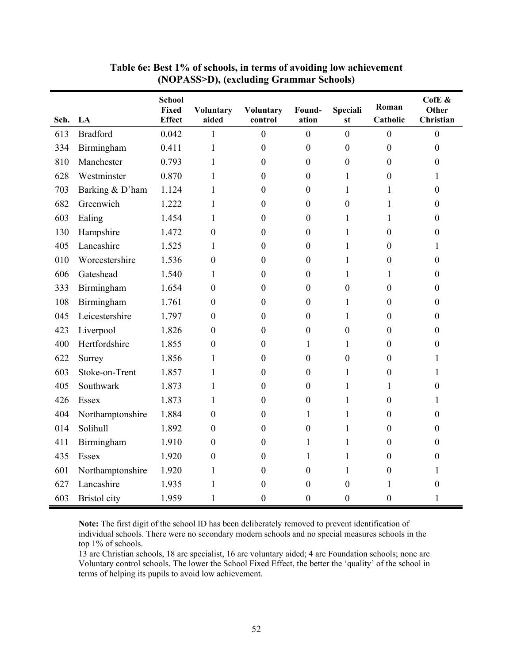| Sch. | LA               | <b>School</b><br>Fixed<br><b>Effect</b> | <b>Voluntary</b><br>aided | <b>Voluntary</b><br>control | Found-<br>ation  | <b>Speciali</b><br>st | Roman<br>Catholic | CofE &<br>Other<br>Christian |
|------|------------------|-----------------------------------------|---------------------------|-----------------------------|------------------|-----------------------|-------------------|------------------------------|
| 613  | <b>Bradford</b>  | 0.042                                   | 1                         | $\overline{0}$              | $\overline{0}$   | $\overline{0}$        | $\boldsymbol{0}$  | $\mathbf{0}$                 |
| 334  | Birmingham       | 0.411                                   | $\mathbf{1}$              | $\boldsymbol{0}$            | $\overline{0}$   | $\boldsymbol{0}$      | $\boldsymbol{0}$  | $\boldsymbol{0}$             |
| 810  | Manchester       | 0.793                                   | 1                         | $\overline{0}$              | $\mathbf{0}$     | $\boldsymbol{0}$      | $\boldsymbol{0}$  | 0                            |
| 628  | Westminster      | 0.870                                   | 1                         | $\mathbf{0}$                | $\theta$         | 1                     | $\boldsymbol{0}$  | 1                            |
| 703  | Barking & D'ham  | 1.124                                   | 1                         | $\theta$                    | $\theta$         | 1                     | 1                 | 0                            |
| 682  | Greenwich        | 1.222                                   | 1                         | $\boldsymbol{0}$            | $\boldsymbol{0}$ | $\boldsymbol{0}$      | 1                 | 0                            |
| 603  | Ealing           | 1.454                                   | 1                         | $\theta$                    | $\overline{0}$   | 1                     | 1                 | 0                            |
| 130  | Hampshire        | 1.472                                   | $\boldsymbol{0}$          | $\boldsymbol{0}$            | $\boldsymbol{0}$ | 1                     | $\boldsymbol{0}$  | $\boldsymbol{0}$             |
| 405  | Lancashire       | 1.525                                   | 1                         | $\boldsymbol{0}$            | $\boldsymbol{0}$ | $\mathbf{1}$          | $\boldsymbol{0}$  | 1                            |
| 010  | Worcestershire   | 1.536                                   | $\theta$                  | $\boldsymbol{0}$            | $\boldsymbol{0}$ | $\mathbf{1}$          | $\boldsymbol{0}$  | $\boldsymbol{0}$             |
| 606  | Gateshead        | 1.540                                   | 1                         | $\boldsymbol{0}$            | $\boldsymbol{0}$ | $\mathbf{1}$          | 1                 | $\boldsymbol{0}$             |
| 333  | Birmingham       | 1.654                                   | $\boldsymbol{0}$          | $\boldsymbol{0}$            | $\boldsymbol{0}$ | $\boldsymbol{0}$      | $\boldsymbol{0}$  | $\boldsymbol{0}$             |
| 108  | Birmingham       | 1.761                                   | $\boldsymbol{0}$          | $\boldsymbol{0}$            | $\boldsymbol{0}$ | $\mathbf{1}$          | $\boldsymbol{0}$  | $\boldsymbol{0}$             |
| 045  | Leicestershire   | 1.797                                   | $\boldsymbol{0}$          | $\boldsymbol{0}$            | $\boldsymbol{0}$ | $\mathbf{1}$          | $\boldsymbol{0}$  | 0                            |
| 423  | Liverpool        | 1.826                                   | $\boldsymbol{0}$          | $\boldsymbol{0}$            | $\boldsymbol{0}$ | $\boldsymbol{0}$      | $\boldsymbol{0}$  | $\boldsymbol{0}$             |
| 400  | Hertfordshire    | 1.855                                   | $\boldsymbol{0}$          | 0                           | 1                | 1                     | $\boldsymbol{0}$  | 0                            |
| 622  | Surrey           | 1.856                                   | $\mathbf{1}$              | $\boldsymbol{0}$            | $\boldsymbol{0}$ | $\boldsymbol{0}$      | $\boldsymbol{0}$  | 1                            |
| 603  | Stoke-on-Trent   | 1.857                                   | 1                         | $\mathbf{0}$                | $\boldsymbol{0}$ | $\mathbf{1}$          | $\boldsymbol{0}$  | 1                            |
| 405  | Southwark        | 1.873                                   | 1                         | $\boldsymbol{0}$            | $\boldsymbol{0}$ | $\mathbf{1}$          | $\mathbf{1}$      | $\boldsymbol{0}$             |
| 426  | Essex            | 1.873                                   | 1                         | $\overline{0}$              | $\boldsymbol{0}$ | $\mathbf{1}$          | $\boldsymbol{0}$  | 1                            |
| 404  | Northamptonshire | 1.884                                   | $\mathbf{0}$              | $\mathbf{0}$                | 1                | $\mathbf{1}$          | $\overline{0}$    | $\boldsymbol{0}$             |
| 014  | Solihull         | 1.892                                   | $\mathbf{0}$              | $\mathbf{0}$                | $\boldsymbol{0}$ | $\mathbf{1}$          | $\mathbf{0}$      | 0                            |
| 411  | Birmingham       | 1.910                                   | $\mathbf{0}$              | 0                           | 1                | $\mathbf{1}$          | $\boldsymbol{0}$  | $\boldsymbol{0}$             |
| 435  | Essex            | 1.920                                   | $\boldsymbol{0}$          | $\boldsymbol{0}$            | 1                | $\mathbf{1}$          | $\boldsymbol{0}$  | $\boldsymbol{0}$             |
| 601  | Northamptonshire | 1.920                                   | $\mathbf{1}$              | $\overline{0}$              | $\boldsymbol{0}$ | $\mathbf{1}$          | $\boldsymbol{0}$  | 1                            |
| 627  | Lancashire       | 1.935                                   | $\mathbf{1}$              | $\boldsymbol{0}$            | $\boldsymbol{0}$ | $\boldsymbol{0}$      | 1                 | $\boldsymbol{0}$             |
| 603  | Bristol city     | 1.959                                   | $\mathbf{1}$              | $\boldsymbol{0}$            | $\boldsymbol{0}$ | $\boldsymbol{0}$      | $\boldsymbol{0}$  | 1                            |

**Table 6e: Best 1% of schools, in terms of avoiding low achievement (NOPASS>D), (excluding Grammar Schools)** 

**Note:** The first digit of the school ID has been deliberately removed to prevent identification of individual schools. There were no secondary modern schools and no special measures schools in the top 1% of schools.

13 are Christian schools, 18 are specialist, 16 are voluntary aided; 4 are Foundation schools; none are Voluntary control schools. The lower the School Fixed Effect, the better the 'quality' of the school in terms of helping its pupils to avoid low achievement.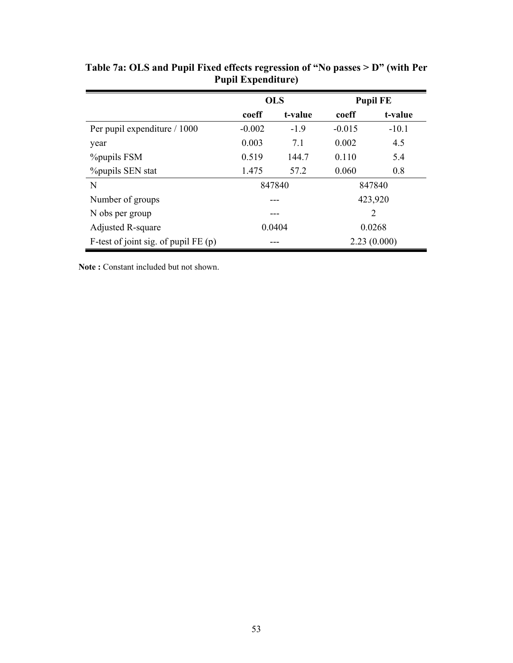|                                        |          | <b>OLS</b> |                | <b>Pupil FE</b> |
|----------------------------------------|----------|------------|----------------|-----------------|
|                                        | coeff    | t-value    | coeff          | t-value         |
| Per pupil expenditure / 1000           | $-0.002$ | $-1.9$     | $-0.015$       | $-10.1$         |
| year                                   | 0.003    | 7.1        | 0.002          | 4.5             |
| <b>%</b> pupils FSM                    | 0.519    | 144.7      | 0.110          | 5.4             |
| <b>%</b> pupils SEN stat               | 1.475    | 57.2       | 0.060          | 0.8             |
| N                                      | 847840   |            | 847840         |                 |
| Number of groups                       |          |            | 423,920        |                 |
| N obs per group                        |          |            | $\overline{2}$ |                 |
| Adjusted R-square                      | 0.0404   |            | 0.0268         |                 |
| F-test of joint sig. of pupil $FE$ (p) |          |            | 2.23(0.000)    |                 |

**Table 7a: OLS and Pupil Fixed effects regression of "No passes > D" (with Per Pupil Expenditure)** 

**Note :** Constant included but not shown.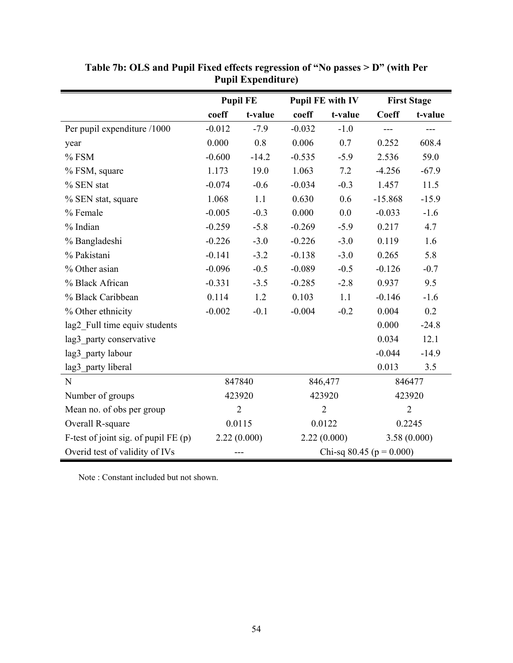|                                        | <b>Pupil FE</b> |                | <b>Pupil FE with IV</b>      |         | <b>First Stage</b> |                   |
|----------------------------------------|-----------------|----------------|------------------------------|---------|--------------------|-------------------|
|                                        | coeff           | t-value        | coeff                        | t-value | <b>Coeff</b>       | t-value           |
| Per pupil expenditure /1000            | $-0.012$        | $-7.9$         | $-0.032$                     | $-1.0$  | $---$              | $\qquad \qquad -$ |
| year                                   | 0.000           | 0.8            | 0.006                        | 0.7     | 0.252              | 608.4             |
| $%$ FSM                                | $-0.600$        | $-14.2$        | $-0.535$                     | $-5.9$  | 2.536              | 59.0              |
| % FSM, square                          | 1.173           | 19.0           | 1.063                        | 7.2     | $-4.256$           | $-67.9$           |
| % SEN stat                             | $-0.074$        | $-0.6$         | $-0.034$                     | $-0.3$  | 1.457              | 11.5              |
| % SEN stat, square                     | 1.068           | 1.1            | 0.630                        | 0.6     | $-15.868$          | $-15.9$           |
| % Female                               | $-0.005$        | $-0.3$         | 0.000                        | 0.0     | $-0.033$           | $-1.6$            |
| % Indian                               | $-0.259$        | $-5.8$         | $-0.269$                     | $-5.9$  | 0.217              | 4.7               |
| % Bangladeshi                          | $-0.226$        | $-3.0$         | $-0.226$                     | $-3.0$  | 0.119              | 1.6               |
| % Pakistani                            | $-0.141$        | $-3.2$         | $-0.138$                     | $-3.0$  | 0.265              | 5.8               |
| % Other asian                          | $-0.096$        | $-0.5$         | $-0.089$                     | $-0.5$  | $-0.126$           | $-0.7$            |
| % Black African                        | $-0.331$        | $-3.5$         | $-0.285$                     | $-2.8$  | 0.937              | 9.5               |
| % Black Caribbean                      | 0.114           | 1.2            | 0.103                        | 1.1     | $-0.146$           | $-1.6$            |
| % Other ethnicity                      | $-0.002$        | $-0.1$         | $-0.004$                     | $-0.2$  | 0.004              | 0.2               |
| lag2_Full time equiv students          |                 |                |                              |         | 0.000              | $-24.8$           |
| lag3 party conservative                |                 |                |                              |         | 0.034              | 12.1              |
| lag3 party labour                      |                 |                |                              |         | $-0.044$           | $-14.9$           |
| lag3 party liberal                     |                 |                |                              |         | 0.013              | 3.5               |
| ${\bf N}$                              |                 | 847840         |                              | 846,477 |                    | 846477            |
| Number of groups                       |                 | 423920         |                              | 423920  |                    | 423920            |
| Mean no. of obs per group              |                 | $\overline{2}$ | $\overline{2}$               |         |                    | $\overline{2}$    |
| Overall R-square                       | 0.0115          |                | 0.0122                       |         |                    | 0.2245            |
| F-test of joint sig. of pupil $FE$ (p) |                 | 2.22(0.000)    | 2.22(0.000)                  |         | 3.58(0.000)        |                   |
| Overid test of validity of IVs         |                 | ---            | Chi-sq 80.45 ( $p = 0.000$ ) |         |                    |                   |

**Table 7b: OLS and Pupil Fixed effects regression of "No passes > D" (with Per Pupil Expenditure)** 

Note : Constant included but not shown.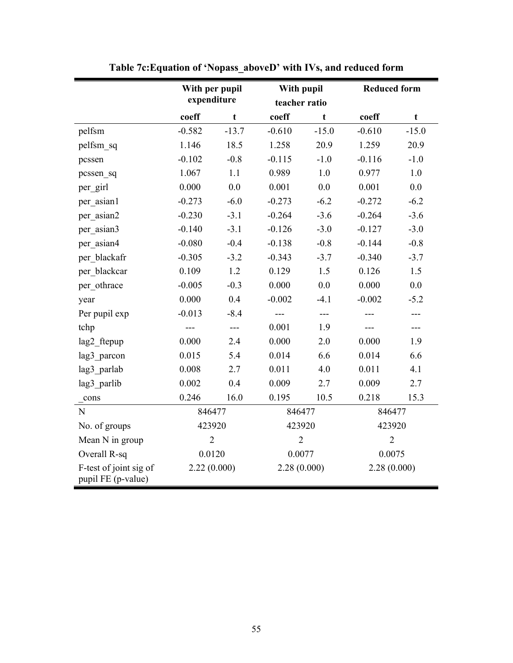|                                              | With per pupil |             | With pupil     |             | <b>Reduced form</b> |             |
|----------------------------------------------|----------------|-------------|----------------|-------------|---------------------|-------------|
|                                              | expenditure    |             | teacher ratio  |             |                     |             |
|                                              | coeff          | $\mathbf t$ | coeff          | $\mathbf t$ | coeff               | $\mathbf t$ |
| pelfsm                                       | $-0.582$       | $-13.7$     | $-0.610$       | $-15.0$     | $-0.610$            | $-15.0$     |
| pelfsm sq                                    | 1.146          | 18.5        | 1.258          | 20.9        | 1.259               | 20.9        |
| pcssen                                       | $-0.102$       | $-0.8$      | $-0.115$       | $-1.0$      | $-0.116$            | $-1.0$      |
| pcssen sq                                    | 1.067          | 1.1         | 0.989          | 1.0         | 0.977               | 1.0         |
| per girl                                     | 0.000          | 0.0         | 0.001          | 0.0         | 0.001               | 0.0         |
| per_asian1                                   | $-0.273$       | $-6.0$      | $-0.273$       | $-6.2$      | $-0.272$            | $-6.2$      |
| per asian2                                   | $-0.230$       | $-3.1$      | $-0.264$       | $-3.6$      | $-0.264$            | $-3.6$      |
| per asian3                                   | $-0.140$       | $-3.1$      | $-0.126$       | $-3.0$      | $-0.127$            | $-3.0$      |
| per asian4                                   | $-0.080$       | $-0.4$      | $-0.138$       | $-0.8$      | $-0.144$            | $-0.8$      |
| per blackafr                                 | $-0.305$       | $-3.2$      | $-0.343$       | $-3.7$      | $-0.340$            | $-3.7$      |
| per blackcar                                 | 0.109          | 1.2         | 0.129          | 1.5         | 0.126               | 1.5         |
| per othrace                                  | $-0.005$       | $-0.3$      | 0.000          | 0.0         | 0.000               | 0.0         |
| year                                         | 0.000          | 0.4         | $-0.002$       | $-4.1$      | $-0.002$            | $-5.2$      |
| Per pupil exp                                | $-0.013$       | $-8.4$      | $---$          | ---         |                     |             |
| tchp                                         | ---            | $---$       | 0.001          | 1.9         |                     | ---         |
| lag2 ftepup                                  | 0.000          | 2.4         | 0.000          | 2.0         | 0.000               | 1.9         |
| lag3 parcon                                  | 0.015          | 5.4         | 0.014          | 6.6         | 0.014               | 6.6         |
| lag3 parlab                                  | 0.008          | 2.7         | 0.011          | 4.0         | 0.011               | 4.1         |
| lag3 parlib                                  | 0.002          | 0.4         | 0.009          | 2.7         | 0.009               | 2.7         |
| cons                                         | 0.246          | 16.0        | 0.195          | 10.5        | 0.218               | 15.3        |
| $\mathbf N$                                  | 846477         |             | 846477         |             | 846477              |             |
| No. of groups                                | 423920         |             | 423920         |             | 423920              |             |
| Mean N in group                              | $\overline{2}$ |             | $\overline{2}$ |             | $\overline{2}$      |             |
| Overall R-sq                                 | 0.0120         |             | 0.0077         |             | 0.0075              |             |
| F-test of joint sig of<br>pupil FE (p-value) | 2.22(0.000)    |             | 2.28(0.000)    |             | 2.28(0.000)         |             |

**Table 7c:Equation of 'Nopass\_aboveD' with IVs, and reduced form**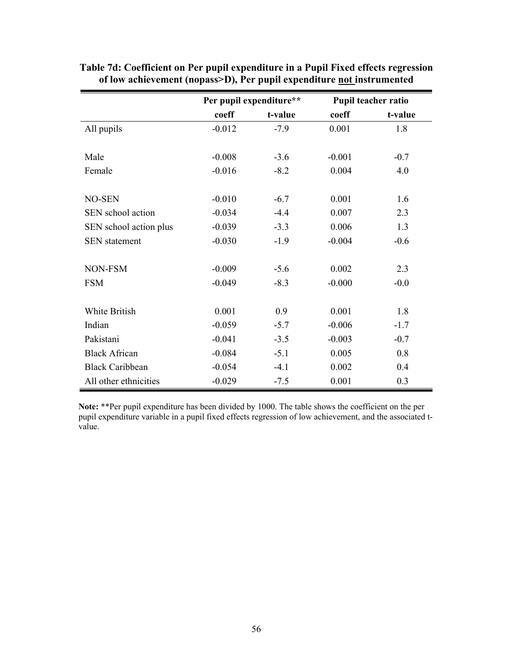|                        | Per pupil expenditure** |         |          | Pupil teacher ratio |
|------------------------|-------------------------|---------|----------|---------------------|
|                        | coeff                   | t-value | coeff    | t-value             |
| All pupils             | $-0.012$                | $-7.9$  | 0.001    | 1.8                 |
|                        |                         |         |          |                     |
| Male                   | $-0.008$                | $-3.6$  | $-0.001$ | $-0.7$              |
| Female                 | $-0.016$                | $-8.2$  | 0.004    | 4.0                 |
|                        |                         |         |          |                     |
| <b>NO-SEN</b>          | $-0.010$                | $-6.7$  | 0.001    | 1.6                 |
| SEN school action      | $-0.034$                | $-4.4$  | 0.007    | 2.3                 |
| SEN school action plus | $-0.039$                | $-3.3$  | 0.006    | 1.3                 |
| <b>SEN</b> statement   | $-0.030$                | $-1.9$  | $-0.004$ | $-0.6$              |
|                        |                         |         |          |                     |
| NON-FSM                | $-0.009$                | $-5.6$  | 0.002    | 2.3                 |
| <b>FSM</b>             | $-0.049$                | $-8.3$  | $-0.000$ | $-0.0$              |
|                        |                         |         |          |                     |
| White British          | 0.001                   | 0.9     | 0.001    | 1.8                 |
| Indian                 | $-0.059$                | $-5.7$  | $-0.006$ | $-1.7$              |
| Pakistani              | $-0.041$                | $-3.5$  | $-0.003$ | $-0.7$              |
| <b>Black African</b>   | $-0.084$                | $-5.1$  | 0.005    | 0.8                 |
| <b>Black Caribbean</b> | $-0.054$                | $-4.1$  | 0.002    | 0.4                 |
| All other ethnicities  | $-0.029$                | $-7.5$  | 0.001    | 0.3                 |

**Table 7d: Coefficient on Per pupil expenditure in a Pupil Fixed effects regression of low achievement (nopass>D), Per pupil expenditure not instrumented** 

**Note:** \*\*Per pupil expenditure has been divided by 1000. The table shows the coefficient on the per pupil expenditure variable in a pupil fixed effects regression of low achievement, and the associated tvalue.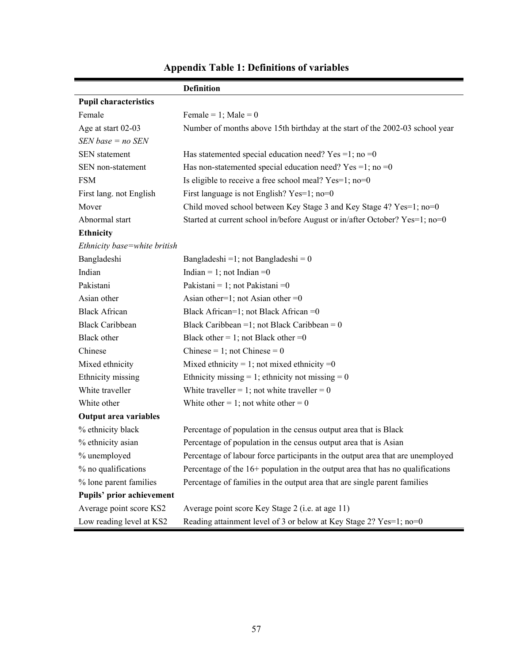|                              | <b>Definition</b>                                                                |
|------------------------------|----------------------------------------------------------------------------------|
| <b>Pupil characteristics</b> |                                                                                  |
| Female                       | Female = 1; Male = $0$                                                           |
| Age at start 02-03           | Number of months above 15th birthday at the start of the 2002-03 school year     |
| $SEN$ base = no $SEN$        |                                                                                  |
| <b>SEN</b> statement         | Has statemented special education need? Yes =1; no =0                            |
| SEN non-statement            | Has non-statemented special education need? Yes =1; no =0                        |
| <b>FSM</b>                   | Is eligible to receive a free school meal? Yes=1; no=0                           |
| First lang. not English      | First language is not English? Yes=1; no=0                                       |
| Mover                        | Child moved school between Key Stage 3 and Key Stage 4? Yes=1; no=0              |
| Abnormal start               | Started at current school in/before August or in/after October? Yes=1; no=0      |
| <b>Ethnicity</b>             |                                                                                  |
| Ethnicity base=white british |                                                                                  |
| Bangladeshi                  | Bangladeshi = 1; not Bangladeshi = $0$                                           |
| Indian                       | Indian = 1; not Indian = 0                                                       |
| Pakistani                    | Pakistani = 1; not Pakistani = 0                                                 |
| Asian other                  | Asian other=1; not Asian other =0                                                |
| <b>Black African</b>         | Black African=1; not Black African =0                                            |
| <b>Black Caribbean</b>       | Black Caribbean = 1; not Black Caribbean = $0$                                   |
| Black other                  | Black other = 1; not Black other = 0                                             |
| Chinese                      | Chinese = 1; not Chinese = $0$                                                   |
| Mixed ethnicity              | Mixed ethnicity = 1; not mixed ethnicity = $0$                                   |
| Ethnicity missing            | Ethnicity missing = 1; ethnicity not missing = $0$                               |
| White traveller              | White traveller = 1; not white traveller = $0$                                   |
| White other                  | White other = 1; not white other = 0                                             |
| <b>Output area variables</b> |                                                                                  |
| % ethnicity black            | Percentage of population in the census output area that is Black                 |
| % ethnicity asian            | Percentage of population in the census output area that is Asian                 |
| % unemployed                 | Percentage of labour force participants in the output area that are unemployed   |
| % no qualifications          | Percentage of the $16+$ population in the output area that has no qualifications |
| % lone parent families       | Percentage of families in the output area that are single parent families        |
| Pupils' prior achievement    |                                                                                  |
| Average point score KS2      | Average point score Key Stage 2 (i.e. at age 11)                                 |
| Low reading level at KS2     | Reading attainment level of 3 or below at Key Stage 2? Yes=1; no=0               |

# **Appendix Table 1: Definitions of variables**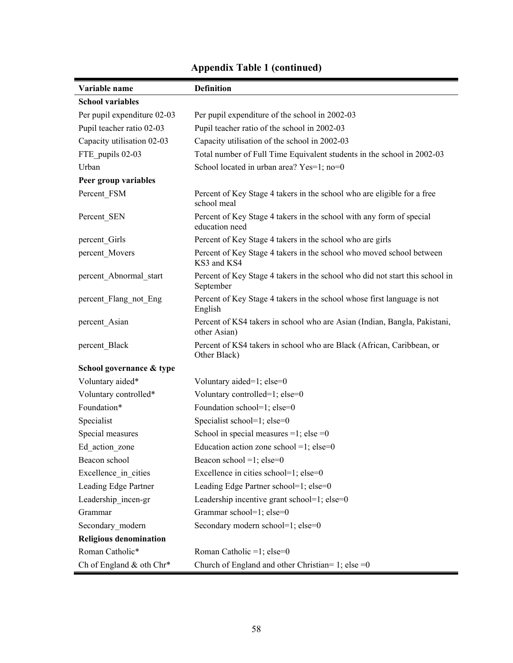| Variable name                 | <b>Definition</b>                                                                         |
|-------------------------------|-------------------------------------------------------------------------------------------|
| <b>School variables</b>       |                                                                                           |
| Per pupil expenditure 02-03   | Per pupil expenditure of the school in 2002-03                                            |
| Pupil teacher ratio 02-03     | Pupil teacher ratio of the school in 2002-03                                              |
| Capacity utilisation 02-03    | Capacity utilisation of the school in 2002-03                                             |
| FTE pupils 02-03              | Total number of Full Time Equivalent students in the school in 2002-03                    |
| Urban                         | School located in urban area? Yes=1; no=0                                                 |
| Peer group variables          |                                                                                           |
| Percent FSM                   | Percent of Key Stage 4 takers in the school who are eligible for a free<br>school meal    |
| Percent SEN                   | Percent of Key Stage 4 takers in the school with any form of special<br>education need    |
| percent Girls                 | Percent of Key Stage 4 takers in the school who are girls                                 |
| percent_Movers                | Percent of Key Stage 4 takers in the school who moved school between<br>KS3 and KS4       |
| percent_Abnormal_start        | Percent of Key Stage 4 takers in the school who did not start this school in<br>September |
| percent Flang not Eng         | Percent of Key Stage 4 takers in the school whose first language is not<br>English        |
| percent Asian                 | Percent of KS4 takers in school who are Asian (Indian, Bangla, Pakistani,<br>other Asian) |
| percent_Black                 | Percent of KS4 takers in school who are Black (African, Caribbean, or<br>Other Black)     |
| School governance & type      |                                                                                           |
| Voluntary aided*              | Voluntary aided=1; else=0                                                                 |
| Voluntary controlled*         | Voluntary controlled=1; else=0                                                            |
| Foundation*                   | Foundation school=1; else=0                                                               |
| Specialist                    | Specialist school=1; else=0                                                               |
| Special measures              | School in special measures $=1$ ; else $=0$                                               |
| Ed action zone                | Education action zone school =1; else=0                                                   |
| Beacon school                 | Beacon school =1; $else=0$                                                                |
| Excellence_in_cities          | Excellence in cities school=1; else=0                                                     |
| Leading Edge Partner          | Leading Edge Partner school=1; else=0                                                     |
| Leadership incen-gr           | Leadership incentive grant school=1; else=0                                               |
| Grammar                       | Grammar school=1; else=0                                                                  |
| Secondary_modern              | Secondary modern school=1; else=0                                                         |
| <b>Religious denomination</b> |                                                                                           |
| Roman Catholic*               | Roman Catholic =1; else=0                                                                 |
| Ch of England & oth Chr*      | Church of England and other Christian= 1; else = $0$                                      |

## **Appendix Table 1 (continued)**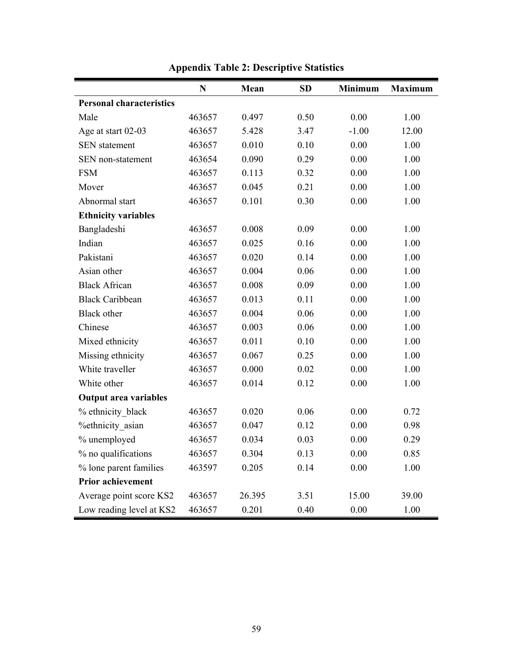|                                 | $\mathbf N$ | Mean   | <b>SD</b> | <b>Minimum</b> | <b>Maximum</b> |
|---------------------------------|-------------|--------|-----------|----------------|----------------|
| <b>Personal characteristics</b> |             |        |           |                |                |
| Male                            | 463657      | 0.497  | 0.50      | 0.00           | 1.00           |
| Age at start 02-03              | 463657      | 5.428  | 3.47      | $-1.00$        | 12.00          |
| <b>SEN</b> statement            | 463657      | 0.010  | 0.10      | 0.00           | 1.00           |
| SEN non-statement               | 463654      | 0.090  | 0.29      | 0.00           | 1.00           |
| <b>FSM</b>                      | 463657      | 0.113  | 0.32      | 0.00           | 1.00           |
| Mover                           | 463657      | 0.045  | 0.21      | 0.00           | 1.00           |
| Abnormal start                  | 463657      | 0.101  | 0.30      | 0.00           | 1.00           |
| <b>Ethnicity variables</b>      |             |        |           |                |                |
| Bangladeshi                     | 463657      | 0.008  | 0.09      | 0.00           | 1.00           |
| Indian                          | 463657      | 0.025  | 0.16      | 0.00           | 1.00           |
| Pakistani                       | 463657      | 0.020  | 0.14      | 0.00           | 1.00           |
| Asian other                     | 463657      | 0.004  | 0.06      | 0.00           | 1.00           |
| <b>Black African</b>            | 463657      | 0.008  | 0.09      | 0.00           | 1.00           |
| <b>Black Caribbean</b>          | 463657      | 0.013  | 0.11      | 0.00           | 1.00           |
| <b>Black</b> other              | 463657      | 0.004  | 0.06      | 0.00           | 1.00           |
| Chinese                         | 463657      | 0.003  | 0.06      | 0.00           | 1.00           |
| Mixed ethnicity                 | 463657      | 0.011  | 0.10      | 0.00           | 1.00           |
| Missing ethnicity               | 463657      | 0.067  | 0.25      | 0.00           | 1.00           |
| White traveller                 | 463657      | 0.000  | 0.02      | 0.00           | 1.00           |
| White other                     | 463657      | 0.014  | 0.12      | 0.00           | 1.00           |
| <b>Output area variables</b>    |             |        |           |                |                |
| % ethnicity black               | 463657      | 0.020  | 0.06      | 0.00           | 0.72           |
| %ethnicity asian                | 463657      | 0.047  | 0.12      | 0.00           | 0.98           |
| % unemployed                    | 463657      | 0.034  | 0.03      | 0.00           | 0.29           |
| % no qualifications             | 463657      | 0.304  | 0.13      | 0.00           | 0.85           |
| % lone parent families          | 463597      | 0.205  | 0.14      | 0.00           | 1.00           |
| <b>Prior achievement</b>        |             |        |           |                |                |
| Average point score KS2         | 463657      | 26.395 | 3.51      | 15.00          | 39.00          |
| Low reading level at KS2        | 463657      | 0.201  | 0.40      | 0.00           | 1.00           |

**Appendix Table 2: Descriptive Statistics**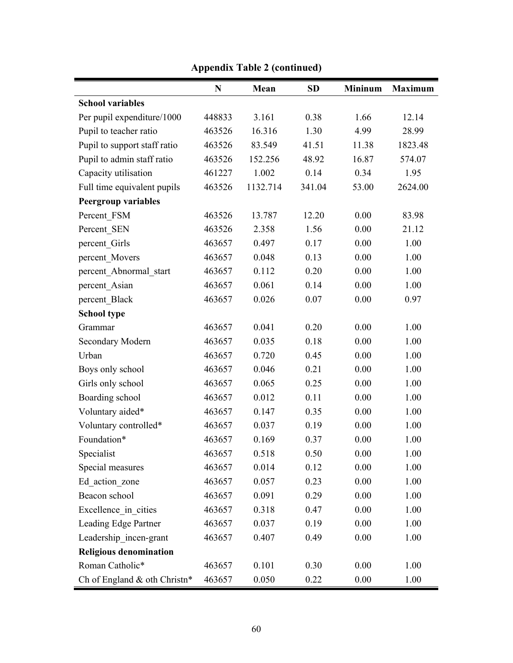|                               | $\mathbf N$ | Mean     | <b>SD</b> | <b>Mininum</b> | <b>Maximum</b> |
|-------------------------------|-------------|----------|-----------|----------------|----------------|
| <b>School variables</b>       |             |          |           |                |                |
| Per pupil expenditure/1000    | 448833      | 3.161    | 0.38      | 1.66           | 12.14          |
| Pupil to teacher ratio        | 463526      | 16.316   | 1.30      | 4.99           | 28.99          |
| Pupil to support staff ratio  | 463526      | 83.549   | 41.51     | 11.38          | 1823.48        |
| Pupil to admin staff ratio    | 463526      | 152.256  | 48.92     | 16.87          | 574.07         |
| Capacity utilisation          | 461227      | 1.002    | 0.14      | 0.34           | 1.95           |
| Full time equivalent pupils   | 463526      | 1132.714 | 341.04    | 53.00          | 2624.00        |
| <b>Peergroup variables</b>    |             |          |           |                |                |
| Percent FSM                   | 463526      | 13.787   | 12.20     | 0.00           | 83.98          |
| Percent SEN                   | 463526      | 2.358    | 1.56      | 0.00           | 21.12          |
| percent Girls                 | 463657      | 0.497    | 0.17      | 0.00           | 1.00           |
| percent Movers                | 463657      | 0.048    | 0.13      | 0.00           | 1.00           |
| percent Abnormal start        | 463657      | 0.112    | 0.20      | 0.00           | 1.00           |
| percent Asian                 | 463657      | 0.061    | 0.14      | 0.00           | 1.00           |
| percent Black                 | 463657      | 0.026    | 0.07      | 0.00           | 0.97           |
| <b>School type</b>            |             |          |           |                |                |
| Grammar                       | 463657      | 0.041    | 0.20      | 0.00           | 1.00           |
| Secondary Modern              | 463657      | 0.035    | 0.18      | 0.00           | 1.00           |
| Urban                         | 463657      | 0.720    | 0.45      | 0.00           | 1.00           |
| Boys only school              | 463657      | 0.046    | 0.21      | 0.00           | 1.00           |
| Girls only school             | 463657      | 0.065    | 0.25      | 0.00           | 1.00           |
| Boarding school               | 463657      | 0.012    | 0.11      | 0.00           | 1.00           |
| Voluntary aided*              | 463657      | 0.147    | 0.35      | 0.00           | 1.00           |
| Voluntary controlled*         | 463657      | 0.037    | 0.19      | 0.00           | 1.00           |
| Foundation*                   | 463657      | 0.169    | 0.37      | 0.00           | 1.00           |
| Specialist                    | 463657      | 0.518    | 0.50      | 0.00           | 1.00           |
| Special measures              | 463657      | 0.014    | 0.12      | 0.00           | 1.00           |
| Ed action zone                | 463657      | 0.057    | 0.23      | 0.00           | 1.00           |
| Beacon school                 | 463657      | 0.091    | 0.29      | 0.00           | 1.00           |
| Excellence in cities          | 463657      | 0.318    | 0.47      | 0.00           | 1.00           |
| Leading Edge Partner          | 463657      | 0.037    | 0.19      | 0.00           | 1.00           |
| Leadership incen-grant        | 463657      | 0.407    | 0.49      | 0.00           | 1.00           |
| <b>Religious denomination</b> |             |          |           |                |                |
| Roman Catholic*               | 463657      | 0.101    | 0.30      | 0.00           | 1.00           |
| Ch of England & oth Christn*  | 463657      | 0.050    | 0.22      | 0.00           | 1.00           |

**Appendix Table 2 (continued)**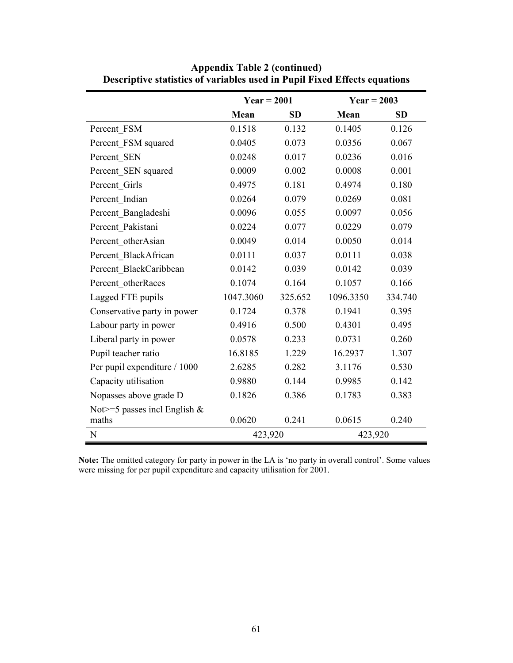|                                  | $Year = 2001$ |           | $Year = 2003$ |           |  |
|----------------------------------|---------------|-----------|---------------|-----------|--|
|                                  | Mean          | <b>SD</b> | Mean          | <b>SD</b> |  |
| Percent FSM                      | 0.1518        | 0.132     | 0.1405        | 0.126     |  |
| Percent FSM squared              | 0.0405        | 0.073     | 0.0356        | 0.067     |  |
| Percent SEN                      | 0.0248        | 0.017     | 0.0236        | 0.016     |  |
| Percent SEN squared              | 0.0009        | 0.002     | 0.0008        | 0.001     |  |
| Percent Girls                    | 0.4975        | 0.181     | 0.4974        | 0.180     |  |
| Percent Indian                   | 0.0264        | 0.079     | 0.0269        | 0.081     |  |
| Percent Bangladeshi              | 0.0096        | 0.055     | 0.0097        | 0.056     |  |
| Percent Pakistani                | 0.0224        | 0.077     | 0.0229        | 0.079     |  |
| Percent otherAsian               | 0.0049        | 0.014     | 0.0050        | 0.014     |  |
| Percent BlackAfrican             | 0.0111        | 0.037     | 0.0111        | 0.038     |  |
| Percent BlackCaribbean           | 0.0142        | 0.039     | 0.0142        | 0.039     |  |
| Percent otherRaces               | 0.1074        | 0.164     | 0.1057        | 0.166     |  |
| Lagged FTE pupils                | 1047.3060     | 325.652   | 1096.3350     | 334.740   |  |
| Conservative party in power      | 0.1724        | 0.378     | 0.1941        | 0.395     |  |
| Labour party in power            | 0.4916        | 0.500     | 0.4301        | 0.495     |  |
| Liberal party in power           | 0.0578        | 0.233     | 0.0731        | 0.260     |  |
| Pupil teacher ratio              | 16.8185       | 1.229     | 16.2937       | 1.307     |  |
| Per pupil expenditure / 1000     | 2.6285        | 0.282     | 3.1176        | 0.530     |  |
| Capacity utilisation             | 0.9880        | 0.144     | 0.9985        | 0.142     |  |
| Nopasses above grade D           | 0.1826        | 0.386     | 0.1783        | 0.383     |  |
| Not $>=$ 5 passes incl English & |               |           |               |           |  |
| maths                            | 0.0620        | 0.241     | 0.0615        | 0.240     |  |
| ${\bf N}$                        | 423,920       |           | 423,920       |           |  |

**Appendix Table 2 (continued) Descriptive statistics of variables used in Pupil Fixed Effects equations** 

**Note:** The omitted category for party in power in the LA is 'no party in overall control'. Some values were missing for per pupil expenditure and capacity utilisation for 2001.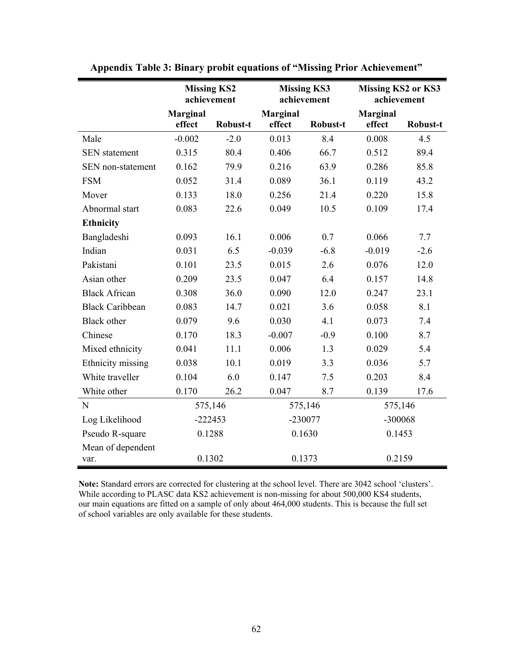|                        | <b>Missing KS2</b><br>achievement |                 |                 | <b>Missing KS3</b><br>achievement | <b>Missing KS2 or KS3</b><br>achievement |          |
|------------------------|-----------------------------------|-----------------|-----------------|-----------------------------------|------------------------------------------|----------|
|                        | <b>Marginal</b>                   |                 | <b>Marginal</b> |                                   | <b>Marginal</b>                          |          |
|                        | effect                            | <b>Robust-t</b> | effect          | <b>Robust-t</b>                   | effect                                   | Robust-t |
| Male                   | $-0.002$                          | $-2.0$          | 0.013           | 8.4                               | 0.008                                    | 4.5      |
| <b>SEN</b> statement   | 0.315                             | 80.4            | 0.406           | 66.7                              | 0.512                                    | 89.4     |
| SEN non-statement      | 0.162                             | 79.9            | 0.216           | 63.9                              | 0.286                                    | 85.8     |
| <b>FSM</b>             | 0.052                             | 31.4            | 0.089           | 36.1                              | 0.119                                    | 43.2     |
| Mover                  | 0.133                             | 18.0            | 0.256           | 21.4                              | 0.220                                    | 15.8     |
| Abnormal start         | 0.083                             | 22.6            | 0.049           | 10.5                              | 0.109                                    | 17.4     |
| <b>Ethnicity</b>       |                                   |                 |                 |                                   |                                          |          |
| Bangladeshi            | 0.093                             | 16.1            | 0.006           | 0.7                               | 0.066                                    | 7.7      |
| Indian                 | 0.031                             | 6.5             | $-0.039$        | $-6.8$                            | $-0.019$                                 | $-2.6$   |
| Pakistani              | 0.101                             | 23.5            | 0.015           | 2.6                               | 0.076                                    | 12.0     |
| Asian other            | 0.209                             | 23.5            | 0.047           | 6.4                               | 0.157                                    | 14.8     |
| <b>Black African</b>   | 0.308                             | 36.0            | 0.090           | 12.0                              | 0.247                                    | 23.1     |
| <b>Black Caribbean</b> | 0.083                             | 14.7            | 0.021           | 3.6                               | 0.058                                    | 8.1      |
| <b>Black</b> other     | 0.079                             | 9.6             | 0.030           | 4.1                               | 0.073                                    | 7.4      |
| Chinese                | 0.170                             | 18.3            | $-0.007$        | $-0.9$                            | 0.100                                    | 8.7      |
| Mixed ethnicity        | 0.041                             | 11.1            | 0.006           | 1.3                               | 0.029                                    | 5.4      |
| Ethnicity missing      | 0.038                             | 10.1            | 0.019           | 3.3                               | 0.036                                    | 5.7      |
| White traveller        | 0.104                             | 6.0             | 0.147           | 7.5                               | 0.203                                    | 8.4      |
| White other            | 0.170                             | 26.2            | 0.047           | 8.7                               | 0.139                                    | 17.6     |
| N                      | 575,146                           |                 |                 | 575,146                           | 575,146                                  |          |
| Log Likelihood         | $-222453$                         |                 |                 | -230077                           |                                          | -300068  |
| Pseudo R-square        | 0.1288                            |                 | 0.1630          |                                   | 0.1453                                   |          |
| Mean of dependent      |                                   |                 |                 |                                   |                                          |          |
| var.                   | 0.1302                            |                 |                 | 0.1373                            | 0.2159                                   |          |

| <b>Appendix Table 3: Binary probit equations of "Missing Prior Achievement"</b> |  |  |  |
|---------------------------------------------------------------------------------|--|--|--|
|                                                                                 |  |  |  |

**Note:** Standard errors are corrected for clustering at the school level. There are 3042 school 'clusters'. While according to PLASC data KS2 achievement is non-missing for about 500,000 KS4 students, our main equations are fitted on a sample of only about 464,000 students. This is because the full set of school variables are only available for these students.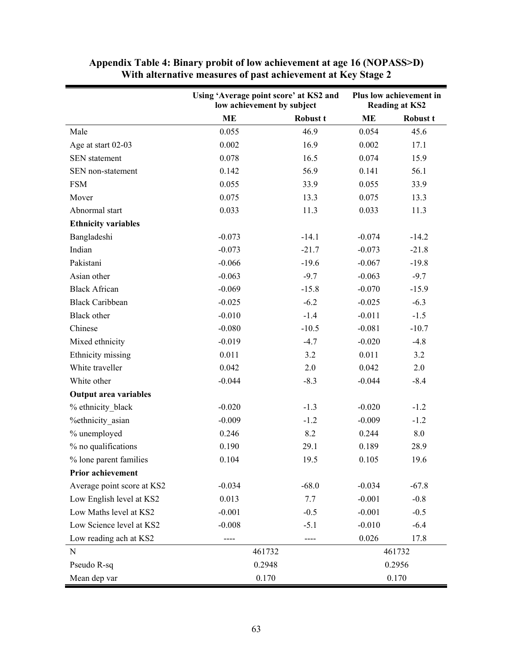|                              | Using 'Average point score' at KS2 and<br>low achievement by subject |          | Plus low achievement in<br><b>Reading at KS2</b> |          |
|------------------------------|----------------------------------------------------------------------|----------|--------------------------------------------------|----------|
|                              | <b>ME</b>                                                            | Robust t | <b>ME</b>                                        | Robust t |
| Male                         | 0.055                                                                | 46.9     | 0.054                                            | 45.6     |
| Age at start 02-03           | 0.002                                                                | 16.9     | 0.002                                            | 17.1     |
| <b>SEN</b> statement         | 0.078                                                                | 16.5     | 0.074                                            | 15.9     |
| SEN non-statement            | 0.142                                                                | 56.9     | 0.141                                            | 56.1     |
| <b>FSM</b>                   | 0.055                                                                | 33.9     | 0.055                                            | 33.9     |
| Mover                        | 0.075                                                                | 13.3     | 0.075                                            | 13.3     |
| Abnormal start               | 0.033                                                                | 11.3     | 0.033                                            | 11.3     |
| <b>Ethnicity variables</b>   |                                                                      |          |                                                  |          |
| Bangladeshi                  | $-0.073$                                                             | $-14.1$  | $-0.074$                                         | $-14.2$  |
| Indian                       | $-0.073$                                                             | $-21.7$  | $-0.073$                                         | $-21.8$  |
| Pakistani                    | $-0.066$                                                             | $-19.6$  | $-0.067$                                         | $-19.8$  |
| Asian other                  | $-0.063$                                                             | $-9.7$   | $-0.063$                                         | $-9.7$   |
| <b>Black African</b>         | $-0.069$                                                             | $-15.8$  | $-0.070$                                         | $-15.9$  |
| <b>Black Caribbean</b>       | $-0.025$                                                             | $-6.2$   | $-0.025$                                         | $-6.3$   |
| <b>Black</b> other           | $-0.010$                                                             | $-1.4$   | $-0.011$                                         | $-1.5$   |
| Chinese                      | $-0.080$                                                             | $-10.5$  | $-0.081$                                         | $-10.7$  |
| Mixed ethnicity              | $-0.019$                                                             | $-4.7$   | $-0.020$                                         | $-4.8$   |
| Ethnicity missing            | 0.011                                                                | 3.2      | 0.011                                            | 3.2      |
| White traveller              | 0.042                                                                | 2.0      | 0.042                                            | 2.0      |
| White other                  | $-0.044$                                                             | $-8.3$   | $-0.044$                                         | $-8.4$   |
| <b>Output area variables</b> |                                                                      |          |                                                  |          |
| % ethnicity black            | $-0.020$                                                             | $-1.3$   | $-0.020$                                         | $-1.2$   |
| %ethnicity_asian             | $-0.009$                                                             | $-1.2$   | $-0.009$                                         | $-1.2$   |
| % unemployed                 | 0.246                                                                | 8.2      | 0.244                                            | $8.0\,$  |
| % no qualifications          | 0.190                                                                | 29.1     | 0.189                                            | 28.9     |
| % lone parent families       | 0.104                                                                | 19.5     | 0.105                                            | 19.6     |
| Prior achievement            |                                                                      |          |                                                  |          |
| Average point score at KS2   | $-0.034$                                                             | $-68.0$  | $-0.034$                                         | $-67.8$  |
| Low English level at KS2     | 0.013                                                                | 7.7      | $-0.001$                                         | $-0.8$   |
| Low Maths level at KS2       | $-0.001$                                                             | $-0.5$   | $-0.001$                                         | $-0.5$   |
| Low Science level at KS2     | $-0.008$                                                             | $-5.1$   | $-0.010$                                         | $-6.4$   |
| Low reading ach at KS2       | ----                                                                 | ----     | 0.026                                            | 17.8     |
| ${\bf N}$                    | 461732                                                               |          |                                                  | 461732   |
| Pseudo R-sq                  | 0.2948                                                               |          | 0.2956                                           |          |
| Mean dep var                 | 0.170                                                                |          | 0.170                                            |          |

**Appendix Table 4: Binary probit of low achievement at age 16 (NOPASS>D) With alternative measures of past achievement at Key Stage 2**